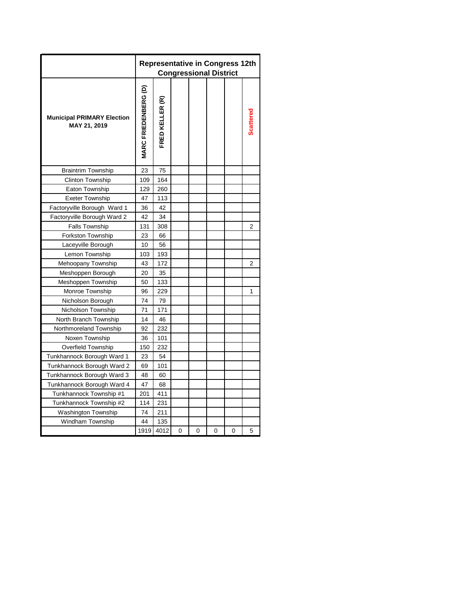|                                                   |                             |                 |   | <b>Congressional District</b> |   | <b>Representative in Congress 12th</b> |   |
|---------------------------------------------------|-----------------------------|-----------------|---|-------------------------------|---|----------------------------------------|---|
| <b>Municipal PRIMARY Election</b><br>MAY 21, 2019 | <b>MARC FRIEDENBERG (D)</b> | FRED KELLER (R) |   |                               |   |                                        |   |
| <b>Braintrim Township</b>                         | 23                          | 75              |   |                               |   |                                        |   |
| <b>Clinton Township</b>                           | 109                         | 164             |   |                               |   |                                        |   |
| Eaton Township                                    | 129                         | 260             |   |                               |   |                                        |   |
| <b>Exeter Township</b>                            | 47                          | 113             |   |                               |   |                                        |   |
| Factoryville Borough Ward 1                       | 36                          | 42              |   |                               |   |                                        |   |
| Factoryville Borough Ward 2                       | 42                          | 34              |   |                               |   |                                        |   |
| <b>Falls Township</b>                             | 131                         | 308             |   |                               |   |                                        | 2 |
| Forkston Township                                 | 23                          | 66              |   |                               |   |                                        |   |
| Laceyville Borough                                | 10                          | 56              |   |                               |   |                                        |   |
| Lemon Township                                    | 103                         | 193             |   |                               |   |                                        |   |
| Mehoopany Township                                | 43                          | 172             |   |                               |   |                                        | 2 |
| Meshoppen Borough                                 | 20                          | 35              |   |                               |   |                                        |   |
| Meshoppen Township                                | 50                          | 133             |   |                               |   |                                        |   |
| Monroe Township                                   | 96                          | 229             |   |                               |   |                                        | 1 |
| Nicholson Borough                                 | 74                          | 79              |   |                               |   |                                        |   |
| Nicholson Township                                | 71                          | 171             |   |                               |   |                                        |   |
| North Branch Township                             | 14                          | 46              |   |                               |   |                                        |   |
| Northmoreland Township                            | 92                          | 232             |   |                               |   |                                        |   |
| Noxen Township                                    | 36                          | 101             |   |                               |   |                                        |   |
| Overfield Township                                | 150                         | 232             |   |                               |   |                                        |   |
| Tunkhannock Borough Ward 1                        | 23                          | 54              |   |                               |   |                                        |   |
| Tunkhannock Borough Ward 2                        | 69                          | 101             |   |                               |   |                                        |   |
| Tunkhannock Borough Ward 3                        | 48                          | 60              |   |                               |   |                                        |   |
| Tunkhannock Borough Ward 4                        | 47                          | 68              |   |                               |   |                                        |   |
| Tunkhannock Township #1                           | 201                         | 411             |   |                               |   |                                        |   |
| Tunkhannock Township #2                           | 114                         | 231             |   |                               |   |                                        |   |
| <b>Washington Township</b>                        | 74                          | 211             |   |                               |   |                                        |   |
| Windham Township                                  | 44                          | 135             |   |                               |   |                                        |   |
|                                                   | 1919                        | 4012            | 0 | 0                             | 0 | 0                                      | 5 |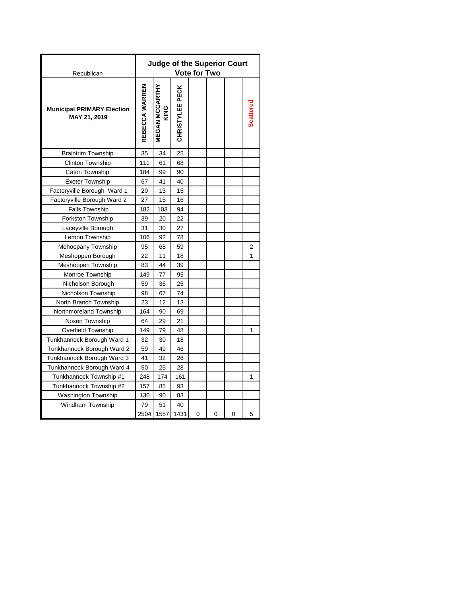| Republican                                        |                | <b>Judge of the Superior Court</b> |                 | <b>Vote for Two</b> |   |   |                  |
|---------------------------------------------------|----------------|------------------------------------|-----------------|---------------------|---|---|------------------|
| <b>Municipal PRIMARY Election</b><br>MAY 21, 2019 | REBECCA WARREN | <b>MEGAN MCCARTHY</b><br>KING      | CHRISTYLEE PECK |                     |   |   | <b>Scattered</b> |
| <b>Braintrim Township</b>                         | 35             | 34                                 | 25              |                     |   |   |                  |
| <b>Clinton Township</b>                           | 111            | 61                                 | 68              |                     |   |   |                  |
| Eaton Township                                    | 184            | 99                                 | 90              |                     |   |   |                  |
| <b>Exeter Township</b>                            | 67             | 41                                 | 40              |                     |   |   |                  |
| Factoryville Borough Ward 1                       | 20             | 13                                 | 15              |                     |   |   |                  |
| Factoryville Borough Ward 2                       | 27             | 15                                 | 16              |                     |   |   |                  |
| <b>Falls Township</b>                             | 182            | 103                                | 94              |                     |   |   |                  |
| <b>Forkston Township</b>                          | 39             | 20                                 | 22              |                     |   |   |                  |
| Laceyville Borough                                | 31             | 30                                 | 27              |                     |   |   |                  |
| Lemon Township                                    | 106            | 92                                 | 78              |                     |   |   |                  |
| Mehoopany Township                                | 95             | 68                                 | 59              |                     |   |   | 2                |
| Meshoppen Borough                                 | 22             | 11                                 | 18              |                     |   |   | 1                |
| Meshoppen Township                                | 83             | 44                                 | 39              |                     |   |   |                  |
| Monroe Township                                   | 149            | 77                                 | 95              |                     |   |   |                  |
| Nicholson Borough                                 | 59             | 36                                 | 25              |                     |   |   |                  |
| Nicholson Township                                | 98             | 67                                 | 74              |                     |   |   |                  |
| North Branch Township                             | 23             | 12                                 | 13              |                     |   |   |                  |
| Northmoreland Township                            | 164            | 90                                 | 69              |                     |   |   |                  |
| Noxen Township                                    | 64             | 29                                 | 21              |                     |   |   |                  |
| <b>Overfield Township</b>                         | 149            | 79                                 | 48              |                     |   |   | 1                |
| Tunkhannock Borough Ward 1                        | 32             | 30                                 | 18              |                     |   |   |                  |
| Tunkhannock Borough Ward 2                        | 59             | 49                                 | 46              |                     |   |   |                  |
| Tunkhannock Borough Ward 3                        | 41             | 32                                 | 26              |                     |   |   |                  |
| Tunkhannock Borough Ward 4                        | 50             | 25                                 | 28              |                     |   |   |                  |
| Tunkhannock Township #1                           | 248            | 174                                | 161             |                     |   |   | 1                |
| Tunkhannock Township #2                           | 157            | 85                                 | 93              |                     |   |   |                  |
| Washington Township                               | 130            | 90                                 | 83              |                     |   |   |                  |
| Windham Township                                  | 79             | 51                                 | 40              |                     |   |   |                  |
|                                                   | 2504           | 1557                               | 1431            | 0                   | 0 | 0 | 5                |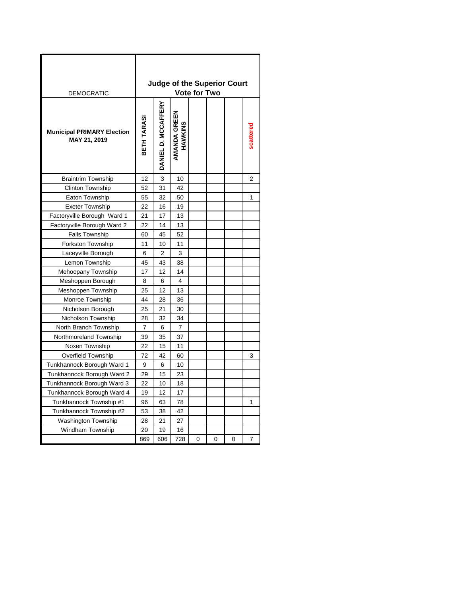| <b>DEMOCRATIC</b>                                 |                |                     | <b>Judge of the Superior Court</b> | <b>Vote for Two</b> |   |   |                |
|---------------------------------------------------|----------------|---------------------|------------------------------------|---------------------|---|---|----------------|
| <b>Municipal PRIMARY Election</b><br>MAY 21, 2019 | BETH TARASI    | DANIEL D. MCCAFFERY | AMANDA GREEN<br>HAWKINS            |                     |   |   |                |
| <b>Braintrim Township</b>                         | 12             | 3                   | 10                                 |                     |   |   | $\overline{2}$ |
| <b>Clinton Township</b>                           | 52             | 31                  | 42                                 |                     |   |   |                |
| Eaton Township                                    | 55             | 32                  | 50                                 |                     |   |   | 1              |
| <b>Exeter Township</b>                            | 22             | 16                  | 19                                 |                     |   |   |                |
| Factoryville Borough Ward 1                       | 21             | 17                  | 13                                 |                     |   |   |                |
| Factoryville Borough Ward 2                       | 22             | 14                  | 13                                 |                     |   |   |                |
| <b>Falls Township</b>                             | 60             | 45                  | 52                                 |                     |   |   |                |
| Forkston Township                                 | 11             | 10                  | 11                                 |                     |   |   |                |
| Laceyville Borough                                | 6              | $\overline{2}$      | 3                                  |                     |   |   |                |
| Lemon Township                                    | 45             | 43                  | 38                                 |                     |   |   |                |
| Mehoopany Township                                | 17             | 12                  | 14                                 |                     |   |   |                |
| Meshoppen Borough                                 | 8              | 6                   | 4                                  |                     |   |   |                |
| Meshoppen Township                                | 25             | 12                  | 13                                 |                     |   |   |                |
| Monroe Township                                   | 44             | 28                  | 36                                 |                     |   |   |                |
| Nicholson Borough                                 | 25             | 21                  | 30                                 |                     |   |   |                |
| Nicholson Township                                | 28             | 32                  | 34                                 |                     |   |   |                |
| North Branch Township                             | $\overline{7}$ | 6                   | $\overline{7}$                     |                     |   |   |                |
| Northmoreland Township                            | 39             | 35                  | 37                                 |                     |   |   |                |
| Noxen Township                                    | 22             | 15                  | 11                                 |                     |   |   |                |
| Overfield Township                                | 72             | 42                  | 60                                 |                     |   |   | 3              |
| Tunkhannock Borough Ward 1                        | 9              | 6                   | 10                                 |                     |   |   |                |
| Tunkhannock Borough Ward 2                        | 29             | 15                  | 23                                 |                     |   |   |                |
| Tunkhannock Borough Ward 3                        | 22             | 10                  | 18                                 |                     |   |   |                |
| Tunkhannock Borough Ward 4                        | 19             | 12                  | 17                                 |                     |   |   |                |
| Tunkhannock Township #1                           | 96             | 63                  | 78                                 |                     |   |   | 1              |
| Tunkhannock Township #2                           | 53             | 38                  | 42                                 |                     |   |   |                |
| Washington Township                               | 28             | 21                  | 27                                 |                     |   |   |                |
| Windham Township                                  | 20             | 19                  | 16                                 |                     |   |   |                |
|                                                   | 869            | 606                 | 728                                | 0                   | 0 | 0 | 7              |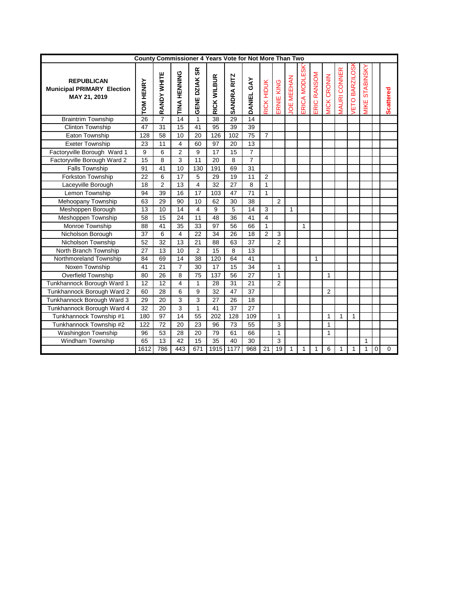|                                                                        | County Commissioner 4 Years Vote for Not More Than Two |                 |                         |                            |                 |             |                 |                |                |                   |               |              |                    |                     |               |                         |   |                  |
|------------------------------------------------------------------------|--------------------------------------------------------|-----------------|-------------------------|----------------------------|-----------------|-------------|-----------------|----------------|----------------|-------------------|---------------|--------------|--------------------|---------------------|---------------|-------------------------|---|------------------|
| <b>REPUBLICAN</b><br><b>Municipal PRIMARY Election</b><br>MAY 21, 2019 | TOM HENRY                                              | RANDY WHITE     | TINA HENNING            | æ<br>DZIAK:<br><b>GENE</b> | RICK WILBUR     | SANDRA RITZ | DANIEL GAY      | RICK HIDUK     | ERNIE KING     | <b>JOE MEEHAN</b> | ERICA MODLESK | ERIC RANSOM  | <b>VICK CRONIN</b> | <b>MAURI CONNER</b> | ETO BARZILOSI | <b>STABINSK</b><br>MIKE |   | <b>Scattered</b> |
| <b>Braintrim Township</b>                                              | 26                                                     | 7               | 14                      | 1                          | 38              | 29          | 14              |                |                |                   |               |              |                    |                     |               |                         |   |                  |
| <b>Clinton Township</b>                                                | 47                                                     | 31              | 15                      | 41                         | 95              | 39          | 39              |                |                |                   |               |              |                    |                     |               |                         |   |                  |
| Eaton Township                                                         | 128                                                    | 58              | 10                      | 20                         | 126             | 102         | 75              | $\overline{7}$ |                |                   |               |              |                    |                     |               |                         |   |                  |
| <b>Exeter Township</b>                                                 | 23                                                     | 11              | 4                       | 60                         | 97              | 20          | 13              |                |                |                   |               |              |                    |                     |               |                         |   |                  |
| Factoryville Borough Ward 1                                            | 9                                                      | 6               | $\overline{2}$          | 9                          | $\overline{17}$ | 15          | $\overline{7}$  |                |                |                   |               |              |                    |                     |               |                         |   |                  |
| Factoryville Borough Ward 2                                            | $\overline{15}$                                        | 8               | 3                       | 11                         | $\overline{20}$ | 8           |                 |                |                |                   |               |              |                    |                     |               |                         |   |                  |
| <b>Falls Township</b>                                                  | 91                                                     | 41              | 10                      | 130                        | 191             | 69          | 31              |                |                |                   |               |              |                    |                     |               |                         |   |                  |
| <b>Forkston Township</b>                                               | 22                                                     | 6               | 17                      | 5                          | 29              | 19          | 11              | $\overline{2}$ |                |                   |               |              |                    |                     |               |                         |   |                  |
| Laceyville Borough                                                     | 18                                                     | $\overline{2}$  | 13                      | 4                          | 32              | 27          | 8               | $\mathbf{1}$   |                |                   |               |              |                    |                     |               |                         |   |                  |
| Lemon Township                                                         | 94                                                     | 39              | 16                      | 17                         | 103             | 47          | $\overline{71}$ | $\mathbf{1}$   |                |                   |               |              |                    |                     |               |                         |   |                  |
| Mehoopany Township                                                     | 63                                                     | 29              | 90                      | 10                         | 62              | 30          | 38              |                | $\overline{2}$ |                   |               |              |                    |                     |               |                         |   |                  |
| Meshoppen Borough                                                      | 13                                                     | 10              | 14                      | $\overline{\mathbf{4}}$    | 9               | 5           | 14              | 3              |                | 1                 |               |              |                    |                     |               |                         |   |                  |
| Meshoppen Township                                                     | 58                                                     | 15              | 24                      | 11                         | 48              | 36          | 41              | 4              |                |                   |               |              |                    |                     |               |                         |   |                  |
| Monroe Township                                                        | 88                                                     | 41              | 35                      | 33                         | 97              | 56          | 66              | $\mathbf{1}$   |                |                   | 1             |              |                    |                     |               |                         |   |                  |
| Nicholson Borough                                                      | 37                                                     | 6               | 4                       | 22                         | 34              | 26          | 18              | $\overline{2}$ | 3              |                   |               |              |                    |                     |               |                         |   |                  |
| Nicholson Township                                                     | 52                                                     | $\overline{32}$ | 13                      | 21                         | 88              | 63          | 37              |                | $\overline{2}$ |                   |               |              |                    |                     |               |                         |   |                  |
| North Branch Township                                                  | 27                                                     | 13              | 10                      | 2                          | 15              | 8           | 13              |                |                |                   |               |              |                    |                     |               |                         |   |                  |
| Northmoreland Township                                                 | 84                                                     | 69              | 14                      | 38                         | 120             | 64          | 41              |                |                |                   |               | $\mathbf{1}$ |                    |                     |               |                         |   |                  |
| Noxen Township                                                         | 41                                                     | 21              | $\overline{7}$          | 30                         | 17              | 15          | 34              |                | $\mathbf{1}$   |                   |               |              |                    |                     |               |                         |   |                  |
| <b>Overfield Township</b>                                              | 80                                                     | 26              | 8                       | 75                         | 137             | 56          | 27              |                | $\mathbf{1}$   |                   |               |              | $\mathbf{1}$       |                     |               |                         |   |                  |
| Tunkhannock Borough Ward 1                                             | 12                                                     | 12              | $\overline{\mathbf{4}}$ | $\mathbf{1}$               | 28              | 31          | 21              |                | $\overline{2}$ |                   |               |              |                    |                     |               |                         |   |                  |
| Tunkhannock Borough Ward 2                                             | 60                                                     | 28              | 6                       | 9                          | 32              | 47          | 37              |                |                |                   |               |              | $\overline{2}$     |                     |               |                         |   |                  |
| Tunkhannock Borough Ward 3                                             | 29                                                     | 20              | 3                       | 3                          | 27              | 26          | 18              |                |                |                   |               |              |                    |                     |               |                         |   |                  |
| Tunkhannock Borough Ward 4                                             | 32                                                     | 20              | 3                       | 1                          | 41              | 37          | 27              |                |                |                   |               |              |                    |                     |               |                         |   |                  |
| Tunkhannock Township #1                                                | 180                                                    | 97              | 14                      | 55                         | 202             | 128         | 109             |                | $\mathbf{1}$   |                   |               |              | $\mathbf{1}$       | $\mathbf{1}$        | 1             |                         |   |                  |
| Tunkhannock Township #2                                                | 122                                                    | 72              | 20                      | 23                         | 96              | 73          | 55              |                | 3              |                   |               |              | 1                  |                     |               |                         |   |                  |
| Washington Township                                                    | 96                                                     | 53              | 28                      | 20                         | 79              | 61          | 66              |                | $\mathbf{1}$   |                   |               |              | 1                  |                     |               |                         |   |                  |
| Windham Township                                                       | 65                                                     | 13              | 42                      | 15                         | 35              | 40          | 30              |                | 3              |                   |               |              |                    |                     |               | 1                       |   |                  |
|                                                                        | 1612                                                   | 786             | 443                     | 671                        | 1915            | 1177        | 968             | 21             | 19             | 1                 | 1             | 1            | 6                  | 1                   | 1             | 1                       | 0 | 0                |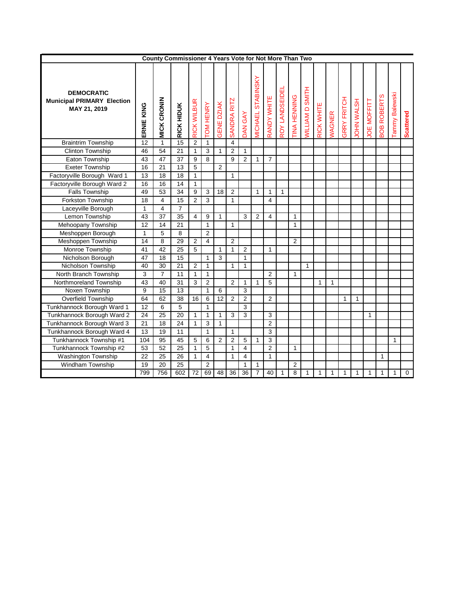|                                                                        |              | County Commissioner 4 Years Vote for Not More Than Two |                 |                    |                 |                   |                         |                |                                           |                    |                       |                     |                        |                   |                      |                    |                  |                   |                    |                     |                  |
|------------------------------------------------------------------------|--------------|--------------------------------------------------------|-----------------|--------------------|-----------------|-------------------|-------------------------|----------------|-------------------------------------------|--------------------|-----------------------|---------------------|------------------------|-------------------|----------------------|--------------------|------------------|-------------------|--------------------|---------------------|------------------|
| <b>DEMOCRATIC</b><br><b>Municipal PRIMARY Election</b><br>MAY 21, 2019 | ERNIE KING   | <b>MICK CRONIN</b>                                     | RICK HIDUK      | <b>RICK WILBUR</b> | <b>OM HENRY</b> | <b>GENE DZIAK</b> | SANDRA RITZ             | DAN GAY        | STABINSKY<br><b><i><u>MICHAEL</u></i></b> | <b>RANDY WHITE</b> | <b>ROY LANDSEIDEI</b> | <b>TINA HENNING</b> | <b>MILLIAM D SMITH</b> | <b>RICK WHITE</b> | <b><i>NAGNER</i></b> | <b>GRRY FRITCH</b> | <b>DHN WALSH</b> | <b>OE MOFFITT</b> | <b>BOB ROBERTS</b> | Balewski<br>I Vuuue | <b>Scattered</b> |
| <b>Braintrim Township</b>                                              | 12           | $\mathbf{1}$                                           | 15              | $\overline{2}$     | $\mathbf{1}$    |                   | $\overline{\mathbf{4}}$ |                |                                           |                    |                       |                     |                        |                   |                      |                    |                  |                   |                    |                     |                  |
| <b>Clinton Township</b>                                                | 46           | 54                                                     | 21              | $\mathbf{1}$       | 3               | $\mathbf{1}$      | $\overline{2}$          | $\mathbf{1}$   |                                           |                    |                       |                     |                        |                   |                      |                    |                  |                   |                    |                     |                  |
| Eaton Township                                                         | 43           | 47                                                     | 37              | 9                  | 8               |                   | 9                       | $\overline{2}$ | $\mathbf{1}$                              | $\overline{7}$     |                       |                     |                        |                   |                      |                    |                  |                   |                    |                     |                  |
| <b>Exeter Township</b>                                                 | 16           | 21                                                     | 13              | 5                  |                 | $\overline{2}$    |                         |                |                                           |                    |                       |                     |                        |                   |                      |                    |                  |                   |                    |                     |                  |
| Factoryville Borough Ward 1                                            | 13           | 18                                                     | 18              | $\mathbf{1}$       |                 |                   | 1                       |                |                                           |                    |                       |                     |                        |                   |                      |                    |                  |                   |                    |                     |                  |
| Factoryville Borough Ward 2                                            | 16           | 16                                                     | 14              | $\mathbf{1}$       |                 |                   |                         |                |                                           |                    |                       |                     |                        |                   |                      |                    |                  |                   |                    |                     |                  |
| <b>Falls Township</b>                                                  | 49           | 53                                                     | $\overline{34}$ | $\overline{9}$     | 3               | 18                | $\overline{2}$          |                | 1                                         | 1                  | 1                     |                     |                        |                   |                      |                    |                  |                   |                    |                     |                  |
| Forkston Township                                                      | 18           | 4                                                      | 15              | $\overline{2}$     | 3               |                   | $\mathbf{1}$            |                |                                           | 4                  |                       |                     |                        |                   |                      |                    |                  |                   |                    |                     |                  |
| Laceyville Borough                                                     | $\mathbf{1}$ | 4                                                      | $\overline{7}$  |                    |                 |                   |                         |                |                                           |                    |                       |                     |                        |                   |                      |                    |                  |                   |                    |                     |                  |
| Lemon Township                                                         | 43           | 37                                                     | 35              | 4                  | 9               | $\mathbf{1}$      |                         | 3              | 2                                         | 4                  |                       | 1                   |                        |                   |                      |                    |                  |                   |                    |                     |                  |
| Mehoopany Township                                                     | 12           | 14                                                     | 21              |                    | $\mathbf{1}$    |                   | $\mathbf{1}$            |                |                                           |                    |                       | $\mathbf{1}$        |                        |                   |                      |                    |                  |                   |                    |                     |                  |
| Meshoppen Borough                                                      | $\mathbf{1}$ | 5                                                      | 8               |                    | $\overline{2}$  |                   |                         |                |                                           |                    |                       |                     |                        |                   |                      |                    |                  |                   |                    |                     |                  |
| Meshoppen Township                                                     | 14           | 8                                                      | 29              | $\overline{2}$     | $\overline{4}$  |                   | $\overline{2}$          |                |                                           |                    |                       | $\overline{2}$      |                        |                   |                      |                    |                  |                   |                    |                     |                  |
| Monroe Township                                                        | 41           | 42                                                     | 25              | 5                  |                 | $\mathbf{1}$      | 1                       | $\overline{2}$ |                                           | 1                  |                       |                     |                        |                   |                      |                    |                  |                   |                    |                     |                  |
| Nicholson Borough                                                      | 47           | 18                                                     | 15              |                    | $\mathbf{1}$    | 3                 |                         | $\mathbf{1}$   |                                           |                    |                       |                     |                        |                   |                      |                    |                  |                   |                    |                     |                  |
| Nicholson Township                                                     | 40           | 30                                                     | 21              | 2                  | $\mathbf{1}$    |                   | $\mathbf{1}$            | 1              |                                           |                    |                       |                     | 1                      |                   |                      |                    |                  |                   |                    |                     |                  |
| North Branch Township                                                  | 3            | $\overline{7}$                                         | 11              | $\mathbf{1}$       | $\mathbf{1}$    |                   |                         |                |                                           | $\overline{2}$     |                       | $\mathbf{1}$        |                        |                   |                      |                    |                  |                   |                    |                     |                  |
| Northmoreland Township                                                 | 43           | 40                                                     | 31              | 3                  | $\overline{2}$  |                   | $\overline{2}$          | $\mathbf{1}$   | $\mathbf{1}$                              | 5                  |                       |                     |                        | 1                 | $\mathbf{1}$         |                    |                  |                   |                    |                     |                  |
| Noxen Township                                                         | 9            | 15                                                     | 13              |                    | $\mathbf{1}$    | 6                 |                         | 3              |                                           |                    |                       |                     |                        |                   |                      |                    |                  |                   |                    |                     |                  |
| Overfield Township                                                     | 64           | 62                                                     | 38              | 16                 | 6               | 12                | $\overline{2}$          | $\overline{c}$ |                                           | $\overline{2}$     |                       |                     |                        |                   |                      | 1                  | 1                |                   |                    |                     |                  |
| Tunkhannock Borough Ward 1                                             | 12           | 6                                                      | 5               |                    | $\mathbf{1}$    |                   |                         | 3              |                                           |                    |                       |                     |                        |                   |                      |                    |                  |                   |                    |                     |                  |
| Tunkhannock Borough Ward 2                                             | 24           | 25                                                     | 20              | 1                  | $\mathbf{1}$    | 1                 | 3                       | 3              |                                           | 3                  |                       |                     |                        |                   |                      |                    |                  | 1                 |                    |                     |                  |
| Tunkhannock Borough Ward 3                                             | 21           | 18                                                     | 24              | $\mathbf{1}$       | 3               | $\mathbf{1}$      |                         |                |                                           | $\overline{2}$     |                       |                     |                        |                   |                      |                    |                  |                   |                    |                     |                  |
| Tunkhannock Borough Ward 4                                             | 13           | 19                                                     | 11              |                    | $\mathbf{1}$    |                   | $\mathbf{1}$            |                |                                           | 3                  |                       |                     |                        |                   |                      |                    |                  |                   |                    |                     |                  |
| Tunkhannock Township #1                                                | 104          | 95                                                     | 45              | 5                  | 6               | $\overline{2}$    | $\overline{2}$          | 5              | $\mathbf{1}$                              | 3                  |                       |                     |                        |                   |                      |                    |                  |                   |                    | 1                   |                  |
| Tunkhannock Township #2                                                | 53           | $\overline{52}$                                        | $\overline{25}$ | $\mathbf{1}$       | 5               |                   | $\mathbf{1}$            | 4              |                                           | $\overline{2}$     |                       | 1                   |                        |                   |                      |                    |                  |                   |                    |                     |                  |
| Washington Township                                                    | 22           | 25                                                     | 26              | 1                  | $\overline{4}$  |                   | 1                       | 4              |                                           | 1                  |                       |                     |                        |                   |                      |                    |                  |                   | 1                  |                     |                  |
| Windham Township                                                       | 19           | 20                                                     | 25              |                    | $\overline{2}$  |                   |                         | 1              | $\mathbf{1}$                              |                    |                       | $\overline{2}$      |                        |                   |                      |                    |                  |                   |                    |                     |                  |
|                                                                        | 799          | 756                                                    | 602             | 72                 | 69              | 48                | 36                      | 36             | $\overline{7}$                            | 40                 | 1                     | 8                   | 1                      | 1                 | $\mathbf{1}$         | 1                  | 1                | 1                 | 1                  | 1                   | $\mathbf 0$      |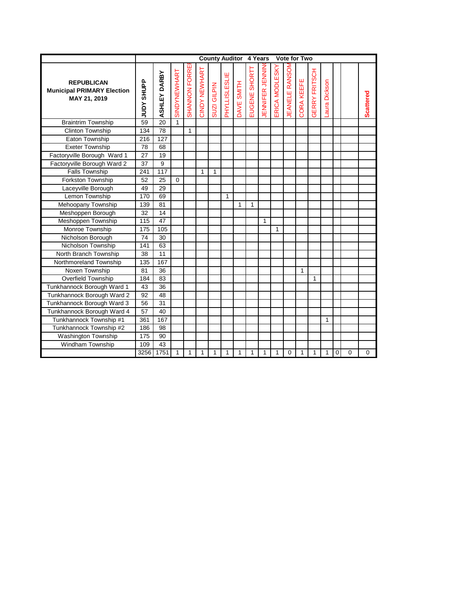|                                                                        |                             |                 |              |                      |                      | <b>County Auditor 4 Years</b> |                     |            |                 |                |               | Vote for Two  |                   |                                |              |                |          |                  |
|------------------------------------------------------------------------|-----------------------------|-----------------|--------------|----------------------|----------------------|-------------------------------|---------------------|------------|-----------------|----------------|---------------|---------------|-------------------|--------------------------------|--------------|----------------|----------|------------------|
| <b>REPUBLICAN</b><br><b>Municipal PRIMARY Election</b><br>MAY 21, 2019 | <b>SHUPP</b><br><b>Adnr</b> | ASHLEY DARBY    | SINDYNEWHART | <b>SHANNON FORRE</b> | <b>CINDY NEWHART</b> | GILPIN<br>SUZI <sup></sup>    | <b>HYLLISLESLIE</b> | DAVE SMITH | SHORT<br>EUGENE | ENNIFER JENNIN | RICA MODLESKY | EANELE RANSON | <b>CORA KEEFE</b> | ERRY FRITSCH<br>$\overline{C}$ | aura Dickson |                |          | <b>Scattered</b> |
| <b>Braintrim Township</b>                                              | 59                          | 20              | $\mathbf{1}$ |                      |                      |                               |                     |            |                 |                |               |               |                   |                                |              |                |          |                  |
| <b>Clinton Township</b>                                                | 134                         | $\overline{78}$ |              | $\mathbf{1}$         |                      |                               |                     |            |                 |                |               |               |                   |                                |              |                |          |                  |
| Eaton Township                                                         | 216                         | 127             |              |                      |                      |                               |                     |            |                 |                |               |               |                   |                                |              |                |          |                  |
| <b>Exeter Township</b>                                                 | 78                          | 68              |              |                      |                      |                               |                     |            |                 |                |               |               |                   |                                |              |                |          |                  |
| Factoryville Borough Ward 1                                            | 27                          | 19              |              |                      |                      |                               |                     |            |                 |                |               |               |                   |                                |              |                |          |                  |
| Factoryville Borough Ward 2                                            | 37                          | 9               |              |                      |                      |                               |                     |            |                 |                |               |               |                   |                                |              |                |          |                  |
| <b>Falls Township</b>                                                  | 241                         | 117             |              |                      | 1                    | $\mathbf{1}$                  |                     |            |                 |                |               |               |                   |                                |              |                |          |                  |
| Forkston Township                                                      | 52                          | 25              | $\Omega$     |                      |                      |                               |                     |            |                 |                |               |               |                   |                                |              |                |          |                  |
| Laceyville Borough                                                     | 49                          | 29              |              |                      |                      |                               |                     |            |                 |                |               |               |                   |                                |              |                |          |                  |
| Lemon Township                                                         | 170                         | 69              |              |                      |                      |                               | 1                   |            |                 |                |               |               |                   |                                |              |                |          |                  |
| Mehoopany Township                                                     | 139                         | 81              |              |                      |                      |                               |                     | 1          | $\mathbf{1}$    |                |               |               |                   |                                |              |                |          |                  |
| Meshoppen Borough                                                      | 32                          | 14              |              |                      |                      |                               |                     |            |                 |                |               |               |                   |                                |              |                |          |                  |
| Meshoppen Township                                                     | 115                         | 47              |              |                      |                      |                               |                     |            |                 | 1              |               |               |                   |                                |              |                |          |                  |
| Monroe Township                                                        | 175                         | 105             |              |                      |                      |                               |                     |            |                 |                | $\mathbf{1}$  |               |                   |                                |              |                |          |                  |
| Nicholson Borough                                                      | 74                          | 30              |              |                      |                      |                               |                     |            |                 |                |               |               |                   |                                |              |                |          |                  |
| Nicholson Township                                                     | 141                         | 63              |              |                      |                      |                               |                     |            |                 |                |               |               |                   |                                |              |                |          |                  |
| North Branch Township                                                  | 38                          | 11              |              |                      |                      |                               |                     |            |                 |                |               |               |                   |                                |              |                |          |                  |
| Northmoreland Township                                                 | 135                         | 167             |              |                      |                      |                               |                     |            |                 |                |               |               |                   |                                |              |                |          |                  |
| Noxen Township                                                         | 81                          | 36              |              |                      |                      |                               |                     |            |                 |                |               |               | 1                 |                                |              |                |          |                  |
| Overfield Township                                                     | 184                         | 83              |              |                      |                      |                               |                     |            |                 |                |               |               |                   | 1                              |              |                |          |                  |
| Tunkhannock Borough Ward 1                                             | 43                          | 36              |              |                      |                      |                               |                     |            |                 |                |               |               |                   |                                |              |                |          |                  |
| Tunkhannock Borough Ward 2                                             | 92                          | 48              |              |                      |                      |                               |                     |            |                 |                |               |               |                   |                                |              |                |          |                  |
| Tunkhannock Borough Ward 3                                             | 56                          | 31              |              |                      |                      |                               |                     |            |                 |                |               |               |                   |                                |              |                |          |                  |
| Tunkhannock Borough Ward 4                                             | 57                          | 40              |              |                      |                      |                               |                     |            |                 |                |               |               |                   |                                |              |                |          |                  |
| Tunkhannock Township #1                                                | 361                         | 167             |              |                      |                      |                               |                     |            |                 |                |               |               |                   |                                | 1            |                |          |                  |
| Tunkhannock Township #2                                                | 186                         | 98              |              |                      |                      |                               |                     |            |                 |                |               |               |                   |                                |              |                |          |                  |
| Washington Township                                                    | 175                         | 90              |              |                      |                      |                               |                     |            |                 |                |               |               |                   |                                |              |                |          |                  |
| Windham Township                                                       | 109                         | 43              |              |                      |                      |                               |                     |            |                 |                |               |               |                   |                                |              |                |          |                  |
|                                                                        | 3256                        | 1751            | $\mathbf{1}$ | $\mathbf{1}$         | 1                    | 1                             | 1                   | 1          | 1               | 1              | 1             | 0             | $\mathbf{1}$      | $\mathbf{1}$                   | $\mathbf{1}$ | $\overline{0}$ | $\Omega$ | 0                |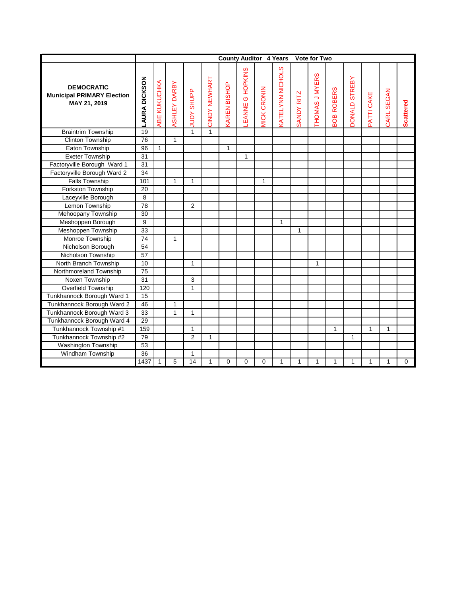|                                                                        |                      |              |              |                             |               |                    | <b>County Auditor 4 Years</b> |                    |                         |              | <b>Vote for Two</b>   |                      |                      |              |                      |                  |
|------------------------------------------------------------------------|----------------------|--------------|--------------|-----------------------------|---------------|--------------------|-------------------------------|--------------------|-------------------------|--------------|-----------------------|----------------------|----------------------|--------------|----------------------|------------------|
| <b>DEMOCRATIC</b><br><b>Municipal PRIMARY Election</b><br>MAY 21, 2019 | <b>LAURA DICKSON</b> | ABE KUKUCHKA | ASHLEY DARBY | <b>SHUPP</b><br><b>Adnr</b> | CINDY NEWHART | <b>AREN BISHOP</b> | HOPKINS<br>$\circ$<br>EANNE   | <b>AICK CRONIN</b> | <b>VATELYNN NICHOLS</b> | SANDY RITZ   | <b>THOMAS J MYERS</b> | <b>ROBERS</b><br>BOB | <b>DONALD STREBY</b> | PATTI CAKE   | <b>SEGAN</b><br>CARL | <b>Scattered</b> |
| <b>Braintrim Township</b>                                              | 19                   |              |              | 1                           | $\mathbf{1}$  |                    |                               |                    |                         |              |                       |                      |                      |              |                      |                  |
| <b>Clinton Township</b>                                                | 76                   |              | $\mathbf{1}$ |                             |               |                    |                               |                    |                         |              |                       |                      |                      |              |                      |                  |
| Eaton Township                                                         | 96                   | $\mathbf{1}$ |              |                             |               | $\mathbf{1}$       |                               |                    |                         |              |                       |                      |                      |              |                      |                  |
| <b>Exeter Township</b>                                                 | 31                   |              |              |                             |               |                    | $\mathbf{1}$                  |                    |                         |              |                       |                      |                      |              |                      |                  |
| Factoryville Borough Ward 1                                            | 31                   |              |              |                             |               |                    |                               |                    |                         |              |                       |                      |                      |              |                      |                  |
| Factoryville Borough Ward 2                                            | $\overline{34}$      |              |              |                             |               |                    |                               |                    |                         |              |                       |                      |                      |              |                      |                  |
| <b>Falls Township</b>                                                  | 101                  |              | $\mathbf{1}$ | $\mathbf{1}$                |               |                    |                               | $\mathbf{1}$       |                         |              |                       |                      |                      |              |                      |                  |
| Forkston Township                                                      | 20                   |              |              |                             |               |                    |                               |                    |                         |              |                       |                      |                      |              |                      |                  |
| Laceyville Borough                                                     | 8                    |              |              |                             |               |                    |                               |                    |                         |              |                       |                      |                      |              |                      |                  |
| Lemon Township                                                         | $\overline{78}$      |              |              | $\overline{2}$              |               |                    |                               |                    |                         |              |                       |                      |                      |              |                      |                  |
| Mehoopany Township                                                     | 30                   |              |              |                             |               |                    |                               |                    |                         |              |                       |                      |                      |              |                      |                  |
| Meshoppen Borough                                                      | 9                    |              |              |                             |               |                    |                               |                    | $\mathbf{1}$            |              |                       |                      |                      |              |                      |                  |
| Meshoppen Township                                                     | 33                   |              |              |                             |               |                    |                               |                    |                         | $\mathbf{1}$ |                       |                      |                      |              |                      |                  |
| Monroe Township                                                        | 74                   |              | 1            |                             |               |                    |                               |                    |                         |              |                       |                      |                      |              |                      |                  |
| Nicholson Borough                                                      | 54                   |              |              |                             |               |                    |                               |                    |                         |              |                       |                      |                      |              |                      |                  |
| Nicholson Township                                                     | 57                   |              |              |                             |               |                    |                               |                    |                         |              |                       |                      |                      |              |                      |                  |
| North Branch Township                                                  | 10                   |              |              | $\mathbf{1}$                |               |                    |                               |                    |                         |              | 1                     |                      |                      |              |                      |                  |
| Northmoreland Township                                                 | 75                   |              |              |                             |               |                    |                               |                    |                         |              |                       |                      |                      |              |                      |                  |
| Noxen Township                                                         | 31                   |              |              | 3                           |               |                    |                               |                    |                         |              |                       |                      |                      |              |                      |                  |
| Overfield Township                                                     | 120                  |              |              | 1                           |               |                    |                               |                    |                         |              |                       |                      |                      |              |                      |                  |
| Tunkhannock Borough Ward 1                                             | 15                   |              |              |                             |               |                    |                               |                    |                         |              |                       |                      |                      |              |                      |                  |
| Tunkhannock Borough Ward 2                                             | 46                   |              | $\mathbf{1}$ |                             |               |                    |                               |                    |                         |              |                       |                      |                      |              |                      |                  |
| Tunkhannock Borough Ward 3                                             | 33                   |              | $\mathbf{1}$ | 1                           |               |                    |                               |                    |                         |              |                       |                      |                      |              |                      |                  |
| Tunkhannock Borough Ward 4                                             | 29                   |              |              |                             |               |                    |                               |                    |                         |              |                       |                      |                      |              |                      |                  |
| Tunkhannock Township #1                                                | 159                  |              |              | $\mathbf{1}$                |               |                    |                               |                    |                         |              |                       | $\overline{1}$       |                      | 1            | 1                    |                  |
| Tunkhannock Township #2                                                | 79                   |              |              | $\overline{2}$              | 1             |                    |                               |                    |                         |              |                       |                      | 1                    |              |                      |                  |
| Washington Township                                                    | 53                   |              |              |                             |               |                    |                               |                    |                         |              |                       |                      |                      |              |                      |                  |
| Windham Township                                                       | 36                   |              |              | $\mathbf{1}$                |               |                    |                               |                    |                         |              |                       |                      |                      |              |                      |                  |
|                                                                        | 1437                 | $\mathbf{1}$ | 5            | 14                          | 1             | $\Omega$           | $\Omega$                      | $\Omega$           | $\mathbf{1}$            | 1            | 1                     | $\mathbf{1}$         | $\mathbf{1}$         | $\mathbf{1}$ | $\mathbf{1}$         | $\Omega$         |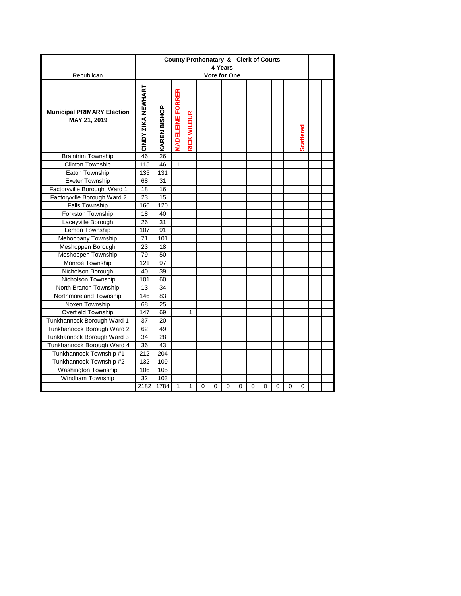|                                                   |                    |              | County Prothonatary & Clerk of Courts |                    |   |          |                                |   |   |   |   |   |                  |  |
|---------------------------------------------------|--------------------|--------------|---------------------------------------|--------------------|---|----------|--------------------------------|---|---|---|---|---|------------------|--|
|                                                   |                    |              |                                       |                    |   |          | 4 Years<br><b>Vote for One</b> |   |   |   |   |   |                  |  |
| Republican                                        |                    |              |                                       |                    |   |          |                                |   |   |   |   |   |                  |  |
| <b>Municipal PRIMARY Election</b><br>MAY 21, 2019 | CINDY ZIKA NEWHART | KAREN BISHOP | <b>MADELEINE FORRER</b>               | <b>RICK WILBUR</b> |   |          |                                |   |   |   |   |   | <b>Scattered</b> |  |
| <b>Braintrim Township</b>                         | 46                 | 26           |                                       |                    |   |          |                                |   |   |   |   |   |                  |  |
| <b>Clinton Township</b>                           | 115                | 46           | 1                                     |                    |   |          |                                |   |   |   |   |   |                  |  |
| Eaton Township                                    | 135                | 131          |                                       |                    |   |          |                                |   |   |   |   |   |                  |  |
| <b>Exeter Township</b>                            | 68                 | 31           |                                       |                    |   |          |                                |   |   |   |   |   |                  |  |
| Factoryville Borough Ward 1                       | 18                 | 16           |                                       |                    |   |          |                                |   |   |   |   |   |                  |  |
| Factoryville Borough Ward 2                       | 23                 | 15           |                                       |                    |   |          |                                |   |   |   |   |   |                  |  |
| <b>Falls Township</b>                             | 166                | 120          |                                       |                    |   |          |                                |   |   |   |   |   |                  |  |
| Forkston Township                                 | 18                 | 40           |                                       |                    |   |          |                                |   |   |   |   |   |                  |  |
| Laceyville Borough                                | 26                 | 31           |                                       |                    |   |          |                                |   |   |   |   |   |                  |  |
| Lemon Township                                    | 107                | 91           |                                       |                    |   |          |                                |   |   |   |   |   |                  |  |
| Mehoopany Township                                | 71                 | 101          |                                       |                    |   |          |                                |   |   |   |   |   |                  |  |
| Meshoppen Borough                                 | 23                 | 18           |                                       |                    |   |          |                                |   |   |   |   |   |                  |  |
| Meshoppen Township                                | 79                 | 50           |                                       |                    |   |          |                                |   |   |   |   |   |                  |  |
| Monroe Township                                   | 121                | 97           |                                       |                    |   |          |                                |   |   |   |   |   |                  |  |
| Nicholson Borough                                 | 40                 | 39           |                                       |                    |   |          |                                |   |   |   |   |   |                  |  |
| Nicholson Township                                | 101                | 60           |                                       |                    |   |          |                                |   |   |   |   |   |                  |  |
| North Branch Township                             | 13                 | 34           |                                       |                    |   |          |                                |   |   |   |   |   |                  |  |
| Northmoreland Township                            | 146                | 83           |                                       |                    |   |          |                                |   |   |   |   |   |                  |  |
| Noxen Township                                    | 68                 | 25           |                                       |                    |   |          |                                |   |   |   |   |   |                  |  |
| Overfield Township                                | 147                | 69           |                                       | 1                  |   |          |                                |   |   |   |   |   |                  |  |
| Tunkhannock Borough Ward 1                        | 37                 | 20           |                                       |                    |   |          |                                |   |   |   |   |   |                  |  |
| Tunkhannock Borough Ward 2                        | 62                 | 49           |                                       |                    |   |          |                                |   |   |   |   |   |                  |  |
| Tunkhannock Borough Ward 3                        | 34                 | 28           |                                       |                    |   |          |                                |   |   |   |   |   |                  |  |
| Tunkhannock Borough Ward 4                        | 36                 | 43           |                                       |                    |   |          |                                |   |   |   |   |   |                  |  |
| Tunkhannock Township #1                           | 212                | 204          |                                       |                    |   |          |                                |   |   |   |   |   |                  |  |
| Tunkhannock Township #2                           | 132                | 109          |                                       |                    |   |          |                                |   |   |   |   |   |                  |  |
| <b>Washington Township</b>                        | 106                | 105          |                                       |                    |   |          |                                |   |   |   |   |   |                  |  |
| Windham Township                                  | 32                 | 103          |                                       |                    |   |          |                                |   |   |   |   |   |                  |  |
|                                                   | 2182               | 1784         | 1                                     | 1                  | 0 | $\Omega$ | 0                              | 0 | 0 | 0 | 0 | 0 | 0                |  |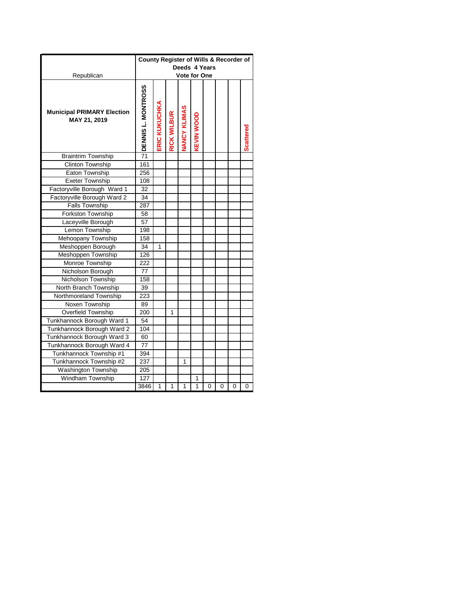|                                                   | County Register of Wills & Recorder of |                      |                    | Deeds 4 Years       |                   |   |   |   |                  |
|---------------------------------------------------|----------------------------------------|----------------------|--------------------|---------------------|-------------------|---|---|---|------------------|
| Republican                                        |                                        |                      |                    | <b>Vote for One</b> |                   |   |   |   |                  |
| <b>Municipal PRIMARY Election</b><br>MAY 21, 2019 | DENNIS L. MONTROSS                     | <b>ERIC KUKUCHKA</b> | <b>RICK WILBUR</b> | <b>JANCY KLIMAS</b> | <b>KEVIN WOOD</b> |   |   |   | <b>Scattered</b> |
| <b>Braintrim Township</b>                         | $\overline{71}$                        |                      |                    |                     |                   |   |   |   |                  |
| <b>Clinton Township</b>                           | 161                                    |                      |                    |                     |                   |   |   |   |                  |
| Eaton Township                                    | 256                                    |                      |                    |                     |                   |   |   |   |                  |
| <b>Exeter Township</b>                            | 108                                    |                      |                    |                     |                   |   |   |   |                  |
| Factoryville Borough Ward 1                       | 32                                     |                      |                    |                     |                   |   |   |   |                  |
| Factoryville Borough Ward 2                       | 34                                     |                      |                    |                     |                   |   |   |   |                  |
| <b>Falls Township</b>                             | 287                                    |                      |                    |                     |                   |   |   |   |                  |
| Forkston Township                                 | 58                                     |                      |                    |                     |                   |   |   |   |                  |
| Laceyville Borough                                | 57                                     |                      |                    |                     |                   |   |   |   |                  |
| Lemon Township                                    | 198                                    |                      |                    |                     |                   |   |   |   |                  |
| Mehoopany Township                                | 158                                    |                      |                    |                     |                   |   |   |   |                  |
| Meshoppen Borough                                 | 34                                     | 1                    |                    |                     |                   |   |   |   |                  |
| Meshoppen Township                                | 126                                    |                      |                    |                     |                   |   |   |   |                  |
| Monroe Township                                   | 222                                    |                      |                    |                     |                   |   |   |   |                  |
| Nicholson Borough                                 | 77                                     |                      |                    |                     |                   |   |   |   |                  |
| Nicholson Township                                | 158                                    |                      |                    |                     |                   |   |   |   |                  |
| North Branch Township                             | 39                                     |                      |                    |                     |                   |   |   |   |                  |
| Northmoreland Township                            | 223                                    |                      |                    |                     |                   |   |   |   |                  |
| Noxen Township                                    | 89                                     |                      |                    |                     |                   |   |   |   |                  |
| Overfield Township                                | 200                                    |                      | 1                  |                     |                   |   |   |   |                  |
| Tunkhannock Borough Ward 1                        | 54                                     |                      |                    |                     |                   |   |   |   |                  |
| Tunkhannock Borough Ward 2                        | 104                                    |                      |                    |                     |                   |   |   |   |                  |
| Tunkhannock Borough Ward 3                        | 60                                     |                      |                    |                     |                   |   |   |   |                  |
| Tunkhannock Borough Ward 4                        | 77                                     |                      |                    |                     |                   |   |   |   |                  |
| Tunkhannock Township #1                           | 394                                    |                      |                    |                     |                   |   |   |   |                  |
| Tunkhannock Township #2                           | 237                                    |                      |                    | 1                   |                   |   |   |   |                  |
| Washington Township                               | 205                                    |                      |                    |                     |                   |   |   |   |                  |
| Windham Township                                  | 127                                    |                      |                    |                     | 1                 |   |   |   |                  |
|                                                   | 3846                                   | 1                    | 1                  | 1                   | 1                 | 0 | 0 | 0 | 0                |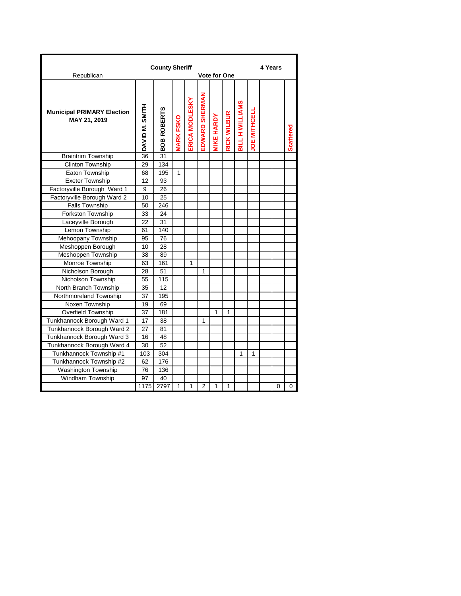| Republican                                        |                | <b>County Sheriff</b> |                   |                |                | <b>Vote for One</b> |                    |                        |                     | 4 Years |   |                  |
|---------------------------------------------------|----------------|-----------------------|-------------------|----------------|----------------|---------------------|--------------------|------------------------|---------------------|---------|---|------------------|
|                                                   |                |                       |                   |                |                |                     |                    |                        |                     |         |   |                  |
| <b>Municipal PRIMARY Election</b><br>MAY 21, 2019 | DAVID M. SMITH | <b>BOB ROBERTS</b>    | <b>VIARK FSKO</b> | ERICA MODLESKY | EDWARD SHERMAN | <b>VIKE HARDY</b>   | <b>RICK WILBUR</b> | <b>BILL H WILLIAMS</b> | <b>JOE MITHCELI</b> |         |   | <b>Scattered</b> |
| <b>Braintrim Township</b>                         | 36             | 31                    |                   |                |                |                     |                    |                        |                     |         |   |                  |
| <b>Clinton Township</b>                           | 29             | 134                   |                   |                |                |                     |                    |                        |                     |         |   |                  |
| Eaton Township                                    | 68             | 195                   | 1                 |                |                |                     |                    |                        |                     |         |   |                  |
| <b>Exeter Township</b>                            | 12             | 93                    |                   |                |                |                     |                    |                        |                     |         |   |                  |
| Factoryville Borough Ward 1                       | 9              | 26                    |                   |                |                |                     |                    |                        |                     |         |   |                  |
| Factoryville Borough Ward 2                       | 10             | 25                    |                   |                |                |                     |                    |                        |                     |         |   |                  |
| <b>Falls Township</b>                             | 50             | 246                   |                   |                |                |                     |                    |                        |                     |         |   |                  |
| Forkston Township                                 | 33             | 24                    |                   |                |                |                     |                    |                        |                     |         |   |                  |
| Laceyville Borough                                | 22             | 31                    |                   |                |                |                     |                    |                        |                     |         |   |                  |
| Lemon Township                                    | 61             | 140                   |                   |                |                |                     |                    |                        |                     |         |   |                  |
| Mehoopany Township                                | 95             | 76                    |                   |                |                |                     |                    |                        |                     |         |   |                  |
| Meshoppen Borough                                 | 10             | 28                    |                   |                |                |                     |                    |                        |                     |         |   |                  |
| Meshoppen Township                                | 38             | 89                    |                   |                |                |                     |                    |                        |                     |         |   |                  |
| Monroe Township                                   | 63             | 161                   |                   | 1              |                |                     |                    |                        |                     |         |   |                  |
| Nicholson Borough                                 | 28             | 51                    |                   |                | 1              |                     |                    |                        |                     |         |   |                  |
| Nicholson Township                                | 55             | 115                   |                   |                |                |                     |                    |                        |                     |         |   |                  |
| North Branch Township                             | 35             | 12                    |                   |                |                |                     |                    |                        |                     |         |   |                  |
| Northmoreland Township                            | 37             | 195                   |                   |                |                |                     |                    |                        |                     |         |   |                  |
| Noxen Township                                    | 19             | 69                    |                   |                |                |                     |                    |                        |                     |         |   |                  |
| Overfield Township                                | 37             | 181                   |                   |                |                | 1                   | 1                  |                        |                     |         |   |                  |
| Tunkhannock Borough Ward 1                        | 17             | 38                    |                   |                | 1              |                     |                    |                        |                     |         |   |                  |
| Tunkhannock Borough Ward 2                        | 27             | 81                    |                   |                |                |                     |                    |                        |                     |         |   |                  |
| Tunkhannock Borough Ward 3                        | 16             | 48                    |                   |                |                |                     |                    |                        |                     |         |   |                  |
| Tunkhannock Borough Ward 4                        | 30             | 52                    |                   |                |                |                     |                    |                        |                     |         |   |                  |
| Tunkhannock Township #1                           | 103            | 304                   |                   |                |                |                     |                    | 1                      | 1                   |         |   |                  |
| Tunkhannock Township #2                           | 62             | 176                   |                   |                |                |                     |                    |                        |                     |         |   |                  |
| Washington Township                               | 76             | 136                   |                   |                |                |                     |                    |                        |                     |         |   |                  |
| Windham Township                                  | 97             | 40                    |                   |                |                |                     |                    |                        |                     |         |   |                  |
|                                                   | 1175           | 2797                  | 1                 | 1              | 2              | 1                   | 1                  |                        |                     |         | 0 | 0                |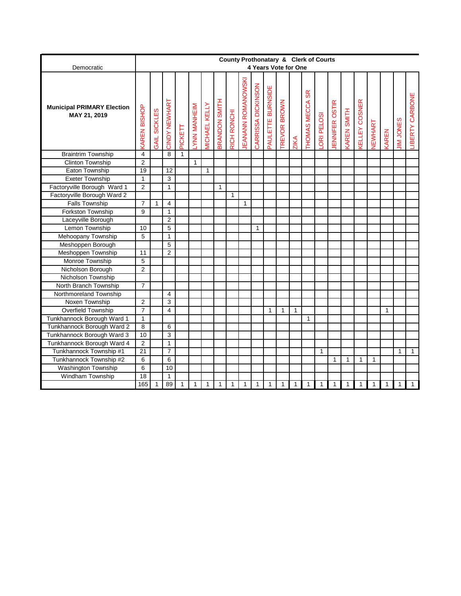|                                                   | County Prothonatary & Clerk of Courts<br>4 Years Vote for One<br><b>JEANANN ROMANOWSKI</b><br>CARRISSA DICKINSON<br>PAULETTE BURNSIDE<br><b>SR</b><br>BRANDON SMITH<br>CINDY NEWHART<br><b><i>CELLEY COSNER</i></b><br><b>TREVOR BROWN</b><br>THOMAS MECCA<br>ENNIFER OSTIR<br><b>MICHAEL KELLY</b><br>LYNN MANHEIM<br><b>AREN BISHOP</b><br><b>CAREN SMITH</b><br><b>SICKLES</b><br>RICH RONCHI<br>ORI PELOSI<br><b>JIM JONES</b><br>VEWHART<br>PICKETT<br>KAREN<br>GAIL<br><b>ZIKA</b><br>4<br>8<br>$\mathbf{1}$<br>$\overline{2}$<br>1<br>19<br>12<br>$\mathbf{1}$<br>$\overline{\omega}$<br>$\mathbf{1}$<br>$\overline{2}$<br>1<br>1<br>$\mathbf{1}$<br>$\overline{7}$<br>4<br>$\mathbf{1}$<br>$\mathbf{1}$<br>9<br>1<br>$\overline{2}$<br>5<br>10<br>$\mathbf{1}$<br>5<br>1<br>5<br>11<br>$\overline{2}$ |              |                |   |              |             |              |   |              |   |   |   |   |              |   |              |              |   |              |              |   |                     |
|---------------------------------------------------|---------------------------------------------------------------------------------------------------------------------------------------------------------------------------------------------------------------------------------------------------------------------------------------------------------------------------------------------------------------------------------------------------------------------------------------------------------------------------------------------------------------------------------------------------------------------------------------------------------------------------------------------------------------------------------------------------------------------------------------------------------------------------------------------------------------|--------------|----------------|---|--------------|-------------|--------------|---|--------------|---|---|---|---|--------------|---|--------------|--------------|---|--------------|--------------|---|---------------------|
| Democratic                                        |                                                                                                                                                                                                                                                                                                                                                                                                                                                                                                                                                                                                                                                                                                                                                                                                               |              |                |   |              |             |              |   |              |   |   |   |   |              |   |              |              |   |              |              |   |                     |
| <b>Municipal PRIMARY Election</b><br>MAY 21, 2019 |                                                                                                                                                                                                                                                                                                                                                                                                                                                                                                                                                                                                                                                                                                                                                                                                               |              |                |   |              |             |              |   |              |   |   |   |   |              |   |              |              |   |              |              |   | ш<br>LIBERTY CARBON |
| <b>Braintrim Township</b>                         |                                                                                                                                                                                                                                                                                                                                                                                                                                                                                                                                                                                                                                                                                                                                                                                                               |              |                |   |              |             |              |   |              |   |   |   |   |              |   |              |              |   |              |              |   |                     |
| <b>Clinton Township</b>                           |                                                                                                                                                                                                                                                                                                                                                                                                                                                                                                                                                                                                                                                                                                                                                                                                               |              |                |   |              |             |              |   |              |   |   |   |   |              |   |              |              |   |              |              |   |                     |
| Eaton Township                                    |                                                                                                                                                                                                                                                                                                                                                                                                                                                                                                                                                                                                                                                                                                                                                                                                               |              |                |   |              |             |              |   |              |   |   |   |   |              |   |              |              |   |              |              |   |                     |
| <b>Exeter Township</b>                            |                                                                                                                                                                                                                                                                                                                                                                                                                                                                                                                                                                                                                                                                                                                                                                                                               |              |                |   |              |             |              |   |              |   |   |   |   |              |   |              |              |   |              |              |   |                     |
| Factoryville Borough Ward 1                       |                                                                                                                                                                                                                                                                                                                                                                                                                                                                                                                                                                                                                                                                                                                                                                                                               |              |                |   |              |             |              |   |              |   |   |   |   |              |   |              |              |   |              |              |   |                     |
| Factoryville Borough Ward 2                       |                                                                                                                                                                                                                                                                                                                                                                                                                                                                                                                                                                                                                                                                                                                                                                                                               |              |                |   |              |             |              |   |              |   |   |   |   |              |   |              |              |   |              |              |   |                     |
| <b>Falls Township</b>                             |                                                                                                                                                                                                                                                                                                                                                                                                                                                                                                                                                                                                                                                                                                                                                                                                               |              |                |   |              |             |              |   |              |   |   |   |   |              |   |              |              |   |              |              |   |                     |
| Forkston Township                                 |                                                                                                                                                                                                                                                                                                                                                                                                                                                                                                                                                                                                                                                                                                                                                                                                               |              |                |   |              |             |              |   |              |   |   |   |   |              |   |              |              |   |              |              |   |                     |
| Laceyville Borough                                |                                                                                                                                                                                                                                                                                                                                                                                                                                                                                                                                                                                                                                                                                                                                                                                                               |              |                |   |              |             |              |   |              |   |   |   |   |              |   |              |              |   |              |              |   |                     |
| Lemon Township                                    |                                                                                                                                                                                                                                                                                                                                                                                                                                                                                                                                                                                                                                                                                                                                                                                                               |              |                |   |              |             |              |   |              |   |   |   |   |              |   |              |              |   |              |              |   |                     |
| Mehoopany Township                                |                                                                                                                                                                                                                                                                                                                                                                                                                                                                                                                                                                                                                                                                                                                                                                                                               |              |                |   |              |             |              |   |              |   |   |   |   |              |   |              |              |   |              |              |   |                     |
| Meshoppen Borough                                 |                                                                                                                                                                                                                                                                                                                                                                                                                                                                                                                                                                                                                                                                                                                                                                                                               |              |                |   |              |             |              |   |              |   |   |   |   |              |   |              |              |   |              |              |   |                     |
| Meshoppen Township                                |                                                                                                                                                                                                                                                                                                                                                                                                                                                                                                                                                                                                                                                                                                                                                                                                               |              |                |   |              |             |              |   |              |   |   |   |   |              |   |              |              |   |              |              |   |                     |
| Monroe Township                                   | 5                                                                                                                                                                                                                                                                                                                                                                                                                                                                                                                                                                                                                                                                                                                                                                                                             |              |                |   |              |             |              |   |              |   |   |   |   |              |   |              |              |   |              |              |   |                     |
| Nicholson Borough                                 | $\overline{2}$                                                                                                                                                                                                                                                                                                                                                                                                                                                                                                                                                                                                                                                                                                                                                                                                |              |                |   |              |             |              |   |              |   |   |   |   |              |   |              |              |   |              |              |   |                     |
| Nicholson Township                                |                                                                                                                                                                                                                                                                                                                                                                                                                                                                                                                                                                                                                                                                                                                                                                                                               |              |                |   |              |             |              |   |              |   |   |   |   |              |   |              |              |   |              |              |   |                     |
| North Branch Township                             | $\overline{7}$                                                                                                                                                                                                                                                                                                                                                                                                                                                                                                                                                                                                                                                                                                                                                                                                |              |                |   |              |             |              |   |              |   |   |   |   |              |   |              |              |   |              |              |   |                     |
| Northmoreland Township                            |                                                                                                                                                                                                                                                                                                                                                                                                                                                                                                                                                                                                                                                                                                                                                                                                               |              | $\overline{4}$ |   |              |             |              |   |              |   |   |   |   |              |   |              |              |   |              |              |   |                     |
| Noxen Township                                    | $\overline{2}$                                                                                                                                                                                                                                                                                                                                                                                                                                                                                                                                                                                                                                                                                                                                                                                                |              | 3              |   |              |             |              |   |              |   |   |   |   |              |   |              |              |   |              |              |   |                     |
| Overfield Township                                | $\overline{7}$                                                                                                                                                                                                                                                                                                                                                                                                                                                                                                                                                                                                                                                                                                                                                                                                |              | $\overline{4}$ |   |              |             |              |   |              |   | 1 | 1 | 1 |              |   |              |              |   |              | $\mathbf{1}$ |   |                     |
| Tunkhannock Borough Ward 1                        | $\mathbf{1}$                                                                                                                                                                                                                                                                                                                                                                                                                                                                                                                                                                                                                                                                                                                                                                                                  |              |                |   |              |             |              |   |              |   |   |   |   | $\mathbf{1}$ |   |              |              |   |              |              |   |                     |
| Tunkhannock Borough Ward 2                        | 8                                                                                                                                                                                                                                                                                                                                                                                                                                                                                                                                                                                                                                                                                                                                                                                                             |              | 6              |   |              |             |              |   |              |   |   |   |   |              |   |              |              |   |              |              |   |                     |
| Tunkhannock Borough Ward 3                        | 10                                                                                                                                                                                                                                                                                                                                                                                                                                                                                                                                                                                                                                                                                                                                                                                                            |              | 3              |   |              |             |              |   |              |   |   |   |   |              |   |              |              |   |              |              |   |                     |
| Tunkhannock Borough Ward 4                        | $\overline{2}$                                                                                                                                                                                                                                                                                                                                                                                                                                                                                                                                                                                                                                                                                                                                                                                                |              | 1              |   |              |             |              |   |              |   |   |   |   |              |   |              |              |   |              |              |   |                     |
| Tunkhannock Township #1                           | 21                                                                                                                                                                                                                                                                                                                                                                                                                                                                                                                                                                                                                                                                                                                                                                                                            |              | $\overline{7}$ |   |              |             |              |   |              |   |   |   |   |              | 1 |              |              |   |              |              | 1 | $\mathbf{1}$        |
| Tunkhannock Township #2                           | 6                                                                                                                                                                                                                                                                                                                                                                                                                                                                                                                                                                                                                                                                                                                                                                                                             |              | 6              |   |              |             |              |   |              |   |   |   |   |              |   | $\mathbf{1}$ | $\mathbf{1}$ | 1 | $\mathbf{1}$ |              |   |                     |
| <b>Washington Township</b>                        | 6                                                                                                                                                                                                                                                                                                                                                                                                                                                                                                                                                                                                                                                                                                                                                                                                             |              | 10             |   |              |             |              |   |              |   |   |   |   |              |   |              |              |   |              |              |   |                     |
| Windham Township                                  | 18                                                                                                                                                                                                                                                                                                                                                                                                                                                                                                                                                                                                                                                                                                                                                                                                            |              | $\mathbf{1}$   |   |              |             |              |   |              |   |   |   |   |              |   |              |              |   |              |              |   |                     |
|                                                   | 165                                                                                                                                                                                                                                                                                                                                                                                                                                                                                                                                                                                                                                                                                                                                                                                                           | $\mathbf{1}$ | 89             | 1 | $\mathbf{1}$ | $\mathbf 1$ | $\mathbf{1}$ | 1 | $\mathbf{1}$ | 1 | 1 | 1 | 1 | 1            | 1 | 1            | $\mathbf{1}$ | 1 | 1            | 1            | 1 | $\mathbf{1}$        |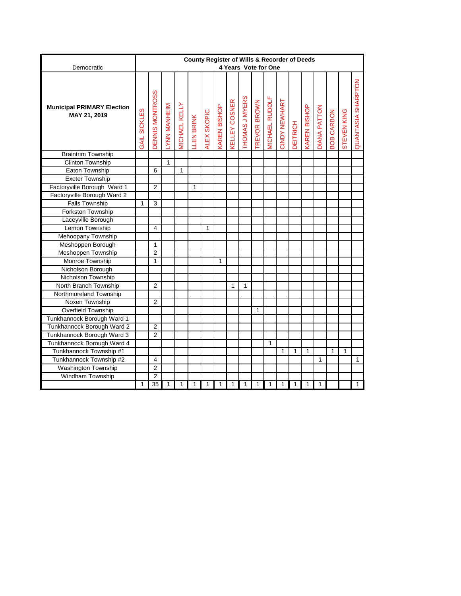|                                                   |                     |                |                    |                      | County Register of Wills & Recorder of Deeds |             |                    |                      |                |             |                       |               |                 |                    |                     |                   |                    |                    |
|---------------------------------------------------|---------------------|----------------|--------------------|----------------------|----------------------------------------------|-------------|--------------------|----------------------|----------------|-------------|-----------------------|---------------|-----------------|--------------------|---------------------|-------------------|--------------------|--------------------|
| Democratic                                        |                     |                |                    |                      |                                              |             |                    |                      |                |             | 4 Years Vote for One  |               |                 |                    |                     |                   |                    |                    |
| <b>Municipal PRIMARY Election</b><br>MAY 21, 2019 | <b>GAIL SICKLES</b> | ENNIS MONTROSS | <b>NNN MANHEIM</b> | <b>MICHAEL KELLY</b> | <b>LEN BRINK</b>                             | ALEX SKOPIC | <b>AREN BISHOP</b> | <b>CELLEY COSNER</b> | THOMAS J MYERS | REVOR BROWN | <b>MICHAEL RUDOLF</b> | CINDY NEWHART | <b>DEITRICH</b> | <b>AREN BISHOP</b> | <b>DIANA PATTON</b> | <b>BOB CARBON</b> | <b>STEVEN KING</b> | QUANTASIA SHARPTON |
| <b>Braintrim Township</b>                         |                     |                |                    |                      |                                              |             |                    |                      |                |             |                       |               |                 |                    |                     |                   |                    |                    |
| <b>Clinton Township</b>                           |                     |                | $\mathbf{1}$       |                      |                                              |             |                    |                      |                |             |                       |               |                 |                    |                     |                   |                    |                    |
| Eaton Township                                    |                     | 6              |                    | $\mathbf{1}$         |                                              |             |                    |                      |                |             |                       |               |                 |                    |                     |                   |                    |                    |
| <b>Exeter Township</b>                            |                     |                |                    |                      |                                              |             |                    |                      |                |             |                       |               |                 |                    |                     |                   |                    |                    |
| Factoryville Borough Ward 1                       |                     | $\overline{2}$ |                    |                      | 1                                            |             |                    |                      |                |             |                       |               |                 |                    |                     |                   |                    |                    |
| Factoryville Borough Ward 2                       |                     |                |                    |                      |                                              |             |                    |                      |                |             |                       |               |                 |                    |                     |                   |                    |                    |
| <b>Falls Township</b>                             | 1                   | 3              |                    |                      |                                              |             |                    |                      |                |             |                       |               |                 |                    |                     |                   |                    |                    |
| Forkston Township                                 |                     |                |                    |                      |                                              |             |                    |                      |                |             |                       |               |                 |                    |                     |                   |                    |                    |
| Laceyville Borough                                |                     |                |                    |                      |                                              |             |                    |                      |                |             |                       |               |                 |                    |                     |                   |                    |                    |
| Lemon Township                                    |                     | $\overline{4}$ |                    |                      |                                              | 1           |                    |                      |                |             |                       |               |                 |                    |                     |                   |                    |                    |
| Mehoopany Township                                |                     |                |                    |                      |                                              |             |                    |                      |                |             |                       |               |                 |                    |                     |                   |                    |                    |
| Meshoppen Borough                                 |                     | 1              |                    |                      |                                              |             |                    |                      |                |             |                       |               |                 |                    |                     |                   |                    |                    |
| Meshoppen Township                                |                     | $\overline{2}$ |                    |                      |                                              |             |                    |                      |                |             |                       |               |                 |                    |                     |                   |                    |                    |
| Monroe Township                                   |                     | 1              |                    |                      |                                              |             | 1                  |                      |                |             |                       |               |                 |                    |                     |                   |                    |                    |
| Nicholson Borough                                 |                     |                |                    |                      |                                              |             |                    |                      |                |             |                       |               |                 |                    |                     |                   |                    |                    |
| Nicholson Township                                |                     |                |                    |                      |                                              |             |                    |                      |                |             |                       |               |                 |                    |                     |                   |                    |                    |
| North Branch Township                             |                     | $\overline{2}$ |                    |                      |                                              |             |                    | 1                    | 1              |             |                       |               |                 |                    |                     |                   |                    |                    |
| Northmoreland Township                            |                     |                |                    |                      |                                              |             |                    |                      |                |             |                       |               |                 |                    |                     |                   |                    |                    |
| Noxen Township                                    |                     | $\overline{2}$ |                    |                      |                                              |             |                    |                      |                |             |                       |               |                 |                    |                     |                   |                    |                    |
| <b>Overfield Township</b>                         |                     |                |                    |                      |                                              |             |                    |                      |                | 1           |                       |               |                 |                    |                     |                   |                    |                    |
| Tunkhannock Borough Ward 1                        |                     |                |                    |                      |                                              |             |                    |                      |                |             |                       |               |                 |                    |                     |                   |                    |                    |
| Tunkhannock Borough Ward 2                        |                     | $\overline{c}$ |                    |                      |                                              |             |                    |                      |                |             |                       |               |                 |                    |                     |                   |                    |                    |
| Tunkhannock Borough Ward 3                        |                     | $\overline{2}$ |                    |                      |                                              |             |                    |                      |                |             |                       |               |                 |                    |                     |                   |                    |                    |
| Tunkhannock Borough Ward 4                        |                     |                |                    |                      |                                              |             |                    |                      |                |             | 1                     |               |                 |                    |                     |                   |                    |                    |
| Tunkhannock Township #1                           |                     |                |                    |                      |                                              |             |                    |                      |                |             |                       | 1             | 1               | 1                  |                     | $\mathbf{1}$      | 1                  |                    |
| Tunkhannock Township #2                           |                     | 4              |                    |                      |                                              |             |                    |                      |                |             |                       |               |                 |                    | 1                   |                   |                    | $\mathbf{1}$       |
| <b>Washington Township</b>                        |                     | $\overline{2}$ |                    |                      |                                              |             |                    |                      |                |             |                       |               |                 |                    |                     |                   |                    |                    |
| Windham Township                                  |                     | $\overline{2}$ |                    |                      |                                              |             |                    |                      |                |             |                       |               |                 |                    |                     |                   |                    |                    |
|                                                   | 1                   | 35             | 1                  | $\mathbf{1}$         | 1                                            | 1           | 1                  | 1                    | 1              | 1           | 1                     | 1             | 1               | 1                  | $\mathbf{1}$        |                   |                    | $\mathbf{1}$       |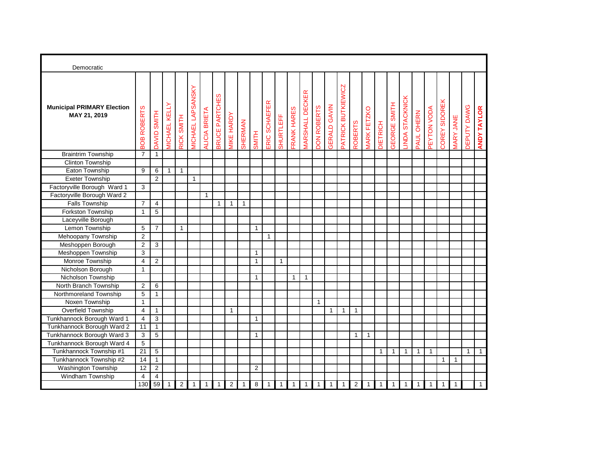| Democratic                                        |                 |                         |                       |                |                          |               |                |                    |                |              |               |              |              |                         |                    |                     |                    |                |                    |                 |                               |                |              |              |               |                  |              |                    |
|---------------------------------------------------|-----------------|-------------------------|-----------------------|----------------|--------------------------|---------------|----------------|--------------------|----------------|--------------|---------------|--------------|--------------|-------------------------|--------------------|---------------------|--------------------|----------------|--------------------|-----------------|-------------------------------|----------------|--------------|--------------|---------------|------------------|--------------|--------------------|
| <b>Municipal PRIMARY Election</b><br>MAY 21, 2019 | BOB ROBERTS     | DAVID SMITH             | <b>VIICHAEL KELLY</b> | RICK SMITH     | <b>VICHAEL LAPSANSKY</b> | ALICIA BRIETA | BRUCE PARTCHES | <b>VIIKE HARDY</b> | <b>SHERMAN</b> | <b>SMITH</b> | ERIC SCHAEFER | SHURTLEFF    | FRANK HARES  | <b>VIARSHALL DECKER</b> | <b>DON ROBERTS</b> | <b>GERALD GAVIN</b> | PATRICK BUTKIEWICZ | <b>ROBERTS</b> | <b>MARK FETZKO</b> | <b>DIETRICH</b> | <b>SMITH</b><br><b>GEORGE</b> | INDA STACKNICK | PAUL OHERN   | PEYTON VODA  | COREY SIDOREK | <b>MARY JANE</b> | DEPUTY DAWG  | <b>ANDY TAYLOR</b> |
| <b>Braintrim Township</b>                         | $\overline{7}$  | $\mathbf{1}$            |                       |                |                          |               |                |                    |                |              |               |              |              |                         |                    |                     |                    |                |                    |                 |                               |                |              |              |               |                  |              |                    |
| Clinton Township                                  |                 |                         |                       |                |                          |               |                |                    |                |              |               |              |              |                         |                    |                     |                    |                |                    |                 |                               |                |              |              |               |                  |              |                    |
| Eaton Township                                    | 9               | 6                       | $\mathbf{1}$          | $\mathbf{1}$   |                          |               |                |                    |                |              |               |              |              |                         |                    |                     |                    |                |                    |                 |                               |                |              |              |               |                  |              |                    |
| Exeter Township                                   |                 | $\overline{2}$          |                       |                | $\mathbf{1}$             |               |                |                    |                |              |               |              |              |                         |                    |                     |                    |                |                    |                 |                               |                |              |              |               |                  |              |                    |
| Factoryville Borough Ward 1                       | 3               |                         |                       |                |                          |               |                |                    |                |              |               |              |              |                         |                    |                     |                    |                |                    |                 |                               |                |              |              |               |                  |              |                    |
| Factoryville Borough Ward 2                       |                 |                         |                       |                |                          | $\mathbf{1}$  |                |                    |                |              |               |              |              |                         |                    |                     |                    |                |                    |                 |                               |                |              |              |               |                  |              |                    |
| Falls Township                                    | $\overline{7}$  | 4                       |                       |                |                          |               | 1              | $\mathbf{1}$       | $\mathbf{1}$   |              |               |              |              |                         |                    |                     |                    |                |                    |                 |                               |                |              |              |               |                  |              |                    |
| <b>Forkston Township</b>                          | $\mathbf{1}$    | 5                       |                       |                |                          |               |                |                    |                |              |               |              |              |                         |                    |                     |                    |                |                    |                 |                               |                |              |              |               |                  |              |                    |
| Laceyville Borough                                |                 |                         |                       |                |                          |               |                |                    |                |              |               |              |              |                         |                    |                     |                    |                |                    |                 |                               |                |              |              |               |                  |              |                    |
| Lemon Township                                    | 5               | $\overline{7}$          |                       | $\mathbf{1}$   |                          |               |                |                    |                | 1            |               |              |              |                         |                    |                     |                    |                |                    |                 |                               |                |              |              |               |                  |              |                    |
| Mehoopany Township                                | $\overline{2}$  |                         |                       |                |                          |               |                |                    |                |              | $\mathbf{1}$  |              |              |                         |                    |                     |                    |                |                    |                 |                               |                |              |              |               |                  |              |                    |
| Meshoppen Borough                                 | $\overline{2}$  | 3                       |                       |                |                          |               |                |                    |                |              |               |              |              |                         |                    |                     |                    |                |                    |                 |                               |                |              |              |               |                  |              |                    |
| Meshoppen Township                                | 3               |                         |                       |                |                          |               |                |                    |                | 1            |               |              |              |                         |                    |                     |                    |                |                    |                 |                               |                |              |              |               |                  |              |                    |
| Monroe Township                                   | $\overline{4}$  | 2                       |                       |                |                          |               |                |                    |                | $\mathbf{1}$ |               | $\mathbf{1}$ |              |                         |                    |                     |                    |                |                    |                 |                               |                |              |              |               |                  |              |                    |
| Nicholson Borough                                 | $\mathbf{1}$    |                         |                       |                |                          |               |                |                    |                |              |               |              |              |                         |                    |                     |                    |                |                    |                 |                               |                |              |              |               |                  |              |                    |
| Nicholson Township                                |                 |                         |                       |                |                          |               |                |                    |                | 1            |               |              | $\mathbf{1}$ | $\mathbf{1}$            |                    |                     |                    |                |                    |                 |                               |                |              |              |               |                  |              |                    |
| North Branch Township                             | $\overline{2}$  | $\,6\,$                 |                       |                |                          |               |                |                    |                |              |               |              |              |                         |                    |                     |                    |                |                    |                 |                               |                |              |              |               |                  |              |                    |
| Northmoreland Township                            | 5               | $\mathbf{1}$            |                       |                |                          |               |                |                    |                |              |               |              |              |                         |                    |                     |                    |                |                    |                 |                               |                |              |              |               |                  |              |                    |
| Noxen Township                                    | $\mathbf{1}$    |                         |                       |                |                          |               |                |                    |                |              |               |              |              |                         | $\mathbf{1}$       |                     |                    |                |                    |                 |                               |                |              |              |               |                  |              |                    |
| Overfield Township                                | $\overline{4}$  | $\mathbf{1}$            |                       |                |                          |               |                | $\mathbf{1}$       |                |              |               |              |              |                         |                    | $\mathbf{1}$        | $\mathbf{1}$       | $\mathbf{1}$   |                    |                 |                               |                |              |              |               |                  |              |                    |
| Tunkhannock Borough Ward 1                        | 4               | 3                       |                       |                |                          |               |                |                    |                | $\mathbf{1}$ |               |              |              |                         |                    |                     |                    |                |                    |                 |                               |                |              |              |               |                  |              |                    |
| Tunkhannock Borough Ward 2                        | 11              | $\mathbf{1}$            |                       |                |                          |               |                |                    |                |              |               |              |              |                         |                    |                     |                    |                |                    |                 |                               |                |              |              |               |                  |              |                    |
| Tunkhannock Borough Ward 3                        | 3               | 5                       |                       |                |                          |               |                |                    |                | 1            |               |              |              |                         |                    |                     |                    | $\mathbf{1}$   | $\mathbf{1}$       |                 |                               |                |              |              |               |                  |              |                    |
| Tunkhannock Borough Ward 4                        | 5               |                         |                       |                |                          |               |                |                    |                |              |               |              |              |                         |                    |                     |                    |                |                    |                 |                               |                |              |              |               |                  |              |                    |
| Tunkhannock Township #1                           | $\overline{21}$ | $\overline{5}$          |                       |                |                          |               |                |                    |                |              |               |              |              |                         |                    |                     |                    |                |                    | $\mathbf{1}$    | $\mathbf{1}$                  | $\mathbf{1}$   | $\mathbf{1}$ | $\mathbf{1}$ |               |                  | $\mathbf{1}$ | $\overline{1}$     |
| Tunkhannock Township #2                           | 14              | $\mathbf{1}$            |                       |                |                          |               |                |                    |                |              |               |              |              |                         |                    |                     |                    |                |                    |                 |                               |                |              |              | $\mathbf{1}$  | $\mathbf{1}$     |              |                    |
| Washington Township                               | 12              | 2                       |                       |                |                          |               |                |                    |                | 2            |               |              |              |                         |                    |                     |                    |                |                    |                 |                               |                |              |              |               |                  |              |                    |
| Windham Township                                  | $\overline{4}$  | $\overline{\mathbf{4}}$ |                       |                |                          |               |                |                    |                |              |               |              |              |                         |                    |                     |                    |                |                    |                 |                               |                |              |              |               |                  |              |                    |
|                                                   | 130             | 59                      | $\mathbf{1}$          | $\overline{2}$ | 1                        | $\mathbf{1}$  | 1              | 2                  | 1              | 8            | 1             | 1            | $\mathbf{1}$ | $\mathbf{1}$            | 1                  | 1                   | 1                  | 2              | $\mathbf{1}$       | 1               | 1                             | -1             | 1            | 1            | $\mathbf{1}$  | 1                |              | $\mathbf{1}$       |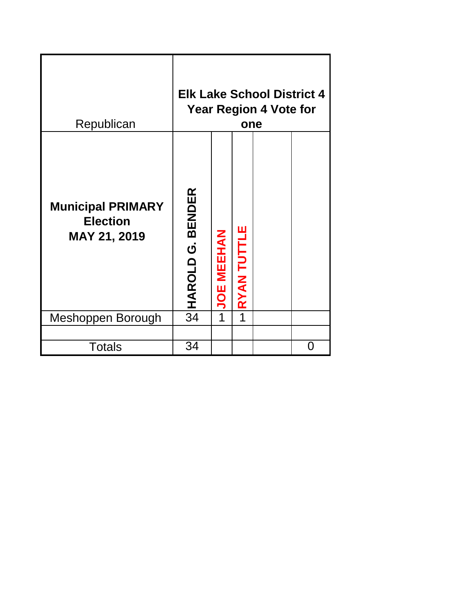| Republican                                                         |                                           |                   | one                | <b>Elk Lake School District 4</b><br><b>Year Region 4 Vote for</b> |   |
|--------------------------------------------------------------------|-------------------------------------------|-------------------|--------------------|--------------------------------------------------------------------|---|
| <b>Municipal PRIMARY</b><br><b>Election</b><br><b>MAY 21, 2019</b> | <b>BENDER</b><br>$\dot{\sigma}$<br>HAROLD | <b>JOE MEEHAN</b> | <b>RYAN TUTTLE</b> |                                                                    |   |
| Meshoppen Borough                                                  | 34                                        | 1                 | 1                  |                                                                    |   |
|                                                                    |                                           |                   |                    |                                                                    |   |
| <b>Totals</b>                                                      | 34                                        |                   |                    |                                                                    | O |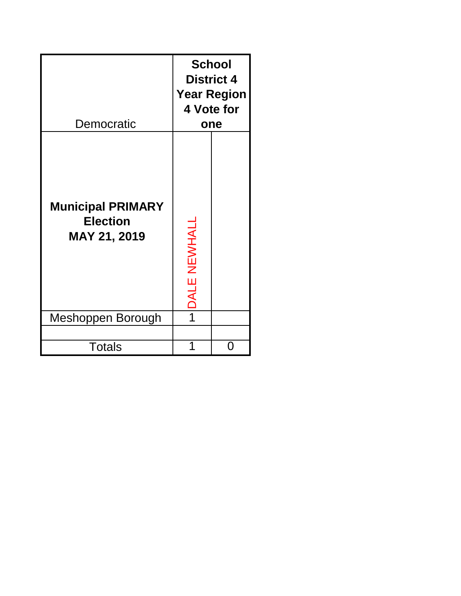| Democratic                                                         |                        | <b>School</b><br><b>District 4</b><br><b>Year Region</b><br>4 Vote for<br>one |
|--------------------------------------------------------------------|------------------------|-------------------------------------------------------------------------------|
| <b>Municipal PRIMARY</b><br><b>Election</b><br><b>MAY 21, 2019</b> | NEWHALL<br><b>DALE</b> |                                                                               |
| Meshoppen Borough                                                  |                        |                                                                               |
|                                                                    |                        |                                                                               |
| <b>Totals</b>                                                      |                        |                                                                               |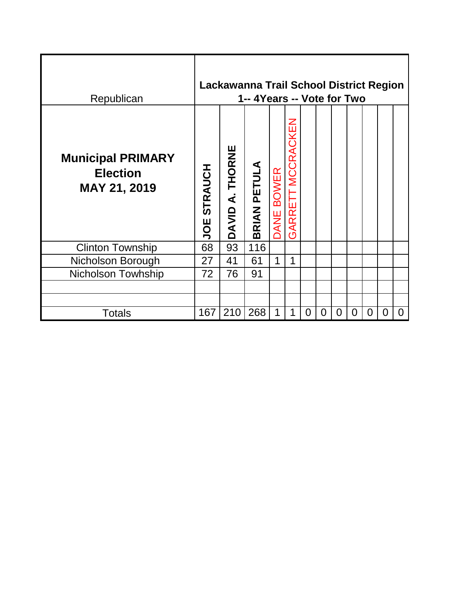| Republican                                                  |                |                 | Lackawanna Trail School District Region<br>1-- 4 Years -- Vote for Two |                             |                   |   |   |                |                |   |   |          |
|-------------------------------------------------------------|----------------|-----------------|------------------------------------------------------------------------|-----------------------------|-------------------|---|---|----------------|----------------|---|---|----------|
| <b>Municipal PRIMARY</b><br><b>Election</b><br>MAY 21, 2019 | STRAUCH<br>UOE | DAVID A. THORNE | <b>BRIAN PETULA</b>                                                    | <b>BOWER</b><br><b>DANE</b> | GARRETT MCCRACKEN |   |   |                |                |   |   |          |
| <b>Clinton Township</b>                                     | 68             | 93              | 116                                                                    |                             |                   |   |   |                |                |   |   |          |
| Nicholson Borough                                           | 27             | 41              | 61                                                                     | 1                           | $\mathbf 1$       |   |   |                |                |   |   |          |
| <b>Nicholson Towhship</b>                                   | 72             | 76              | 91                                                                     |                             |                   |   |   |                |                |   |   |          |
|                                                             |                |                 |                                                                        |                             |                   |   |   |                |                |   |   |          |
|                                                             |                |                 |                                                                        |                             |                   |   |   |                |                |   |   |          |
| <b>Totals</b>                                               | 167            | 210             | 268                                                                    | 1                           | 1                 | 0 | 0 | $\overline{0}$ | $\overline{0}$ | 0 | 0 | $\Omega$ |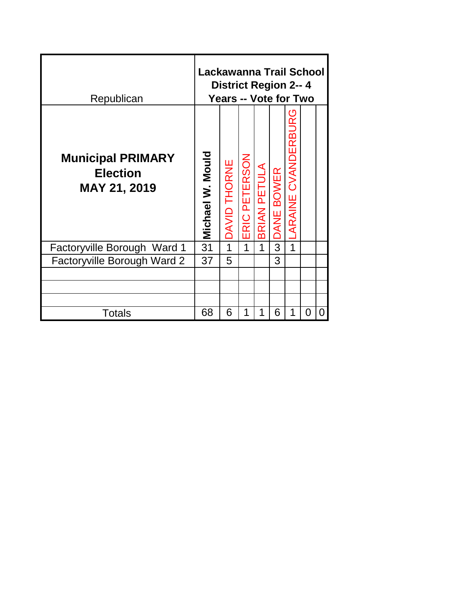| Republican                                                         | Lackawanna Trail School | <b>District Region 2-- 4</b><br><b>Years -- Vote for Two</b> |                  |            |                      |                         |   |   |
|--------------------------------------------------------------------|-------------------------|--------------------------------------------------------------|------------------|------------|----------------------|-------------------------|---|---|
| <b>Municipal PRIMARY</b><br><b>Election</b><br><b>MAY 21, 2019</b> | Michael W. Mould        | <b>DAVID THORNE</b>                                          | PETERSON<br>ERIC | BRIAN PETU | <b>BOWER</b><br>JANE | URG<br>ARAINE CVANDERBI |   |   |
| Factoryville Borough Ward 1                                        | 31                      | 1                                                            | 1                | 1          | 3                    | 1                       |   |   |
| Factoryville Borough Ward 2                                        | 37                      | 5                                                            |                  |            | 3                    |                         |   |   |
|                                                                    |                         |                                                              |                  |            |                      |                         |   |   |
|                                                                    |                         |                                                              |                  |            |                      |                         |   |   |
|                                                                    |                         |                                                              |                  |            |                      |                         |   |   |
| Totals                                                             | 68                      | 6                                                            | 1                | 1          | 6                    | 1                       | 0 | 0 |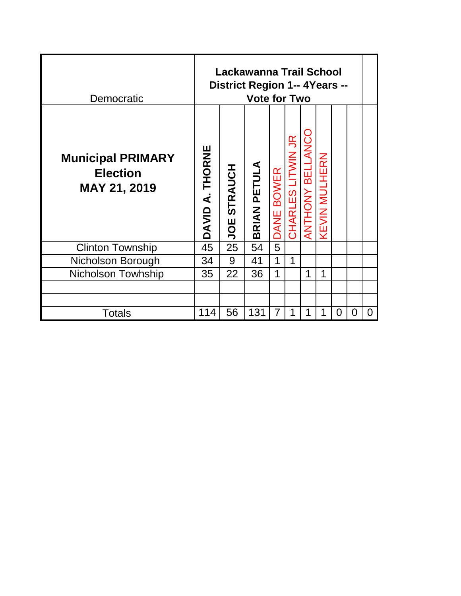| Democratic                                                         |                 |                       | Lackawanna Trail School<br>District Region 1-- 4Years --<br><b>Vote for Two</b> |            |                   |                 |                      |          |   |   |
|--------------------------------------------------------------------|-----------------|-----------------------|---------------------------------------------------------------------------------|------------|-------------------|-----------------|----------------------|----------|---|---|
| <b>Municipal PRIMARY</b><br><b>Election</b><br><b>MAY 21, 2019</b> | DAVID A. THORNE | <b>STRAUCH</b><br>JOE | <b>BRIAN PETULA</b>                                                             | DANE BOWER | CHARLES LITWIN JR | ANTHONY BELLANC | <b>KEVIN MULHERN</b> |          |   |   |
| <b>Clinton Township</b>                                            | 45              | 25                    | 54                                                                              | 5          |                   |                 |                      |          |   |   |
| Nicholson Borough                                                  | 34              | 9                     | 41                                                                              | 1          | 1                 |                 |                      |          |   |   |
| <b>Nicholson Towhship</b>                                          | 35              | 22                    | 36                                                                              | 1          |                   | 1               |                      |          |   |   |
|                                                                    |                 |                       |                                                                                 |            |                   |                 |                      |          |   |   |
|                                                                    |                 |                       |                                                                                 |            |                   |                 |                      |          |   |   |
| <b>Totals</b>                                                      | 114             | 56                    | 131                                                                             | 7          | 1                 | 1               | 1                    | $\Omega$ | 0 | 0 |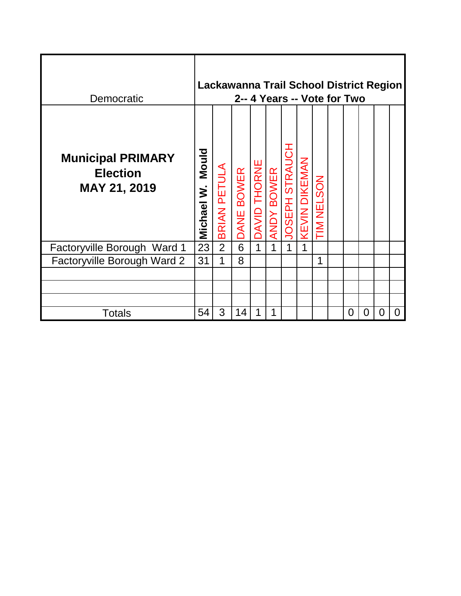| Democratic                                                  |                     |                | Lackawanna Trail School District Region<br>2-- 4 Years -- Vote for Two |              |                   |                       |                      |                   |          |   |   |          |
|-------------------------------------------------------------|---------------------|----------------|------------------------------------------------------------------------|--------------|-------------------|-----------------------|----------------------|-------------------|----------|---|---|----------|
| <b>Municipal PRIMARY</b><br><b>Election</b><br>MAY 21, 2019 | Mould<br>Michael W. | BRIAN PETULA   | DANE BOWER                                                             | DAVID THORNE | <b>ANDY BOWER</b> | <b>JOSEPH STRAUCH</b> | <b>KEVIN DIKEMAN</b> | <b>TIM NELSON</b> |          |   |   |          |
| Factoryville Borough Ward 1                                 | 23                  | $\overline{2}$ | 6                                                                      | 1            | 1                 | $\mathbf 1$           | 1                    |                   |          |   |   |          |
| Factoryville Borough Ward 2                                 | 31                  | 1              | 8                                                                      |              |                   |                       |                      | 1                 |          |   |   |          |
|                                                             |                     |                |                                                                        |              |                   |                       |                      |                   |          |   |   |          |
|                                                             |                     |                |                                                                        |              |                   |                       |                      |                   |          |   |   |          |
|                                                             |                     |                |                                                                        |              |                   |                       |                      |                   |          |   |   |          |
| <b>Totals</b>                                               | 54                  | 3              | 14                                                                     |              | 1                 |                       |                      |                   | $\Omega$ | 0 | 0 | $\Omega$ |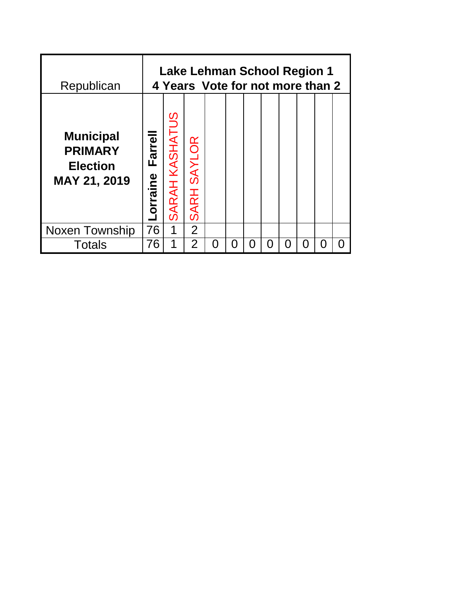| Republican                                                                   |                         |                |                              | Lake Lehman School Region 1<br>4 Years Vote for not more than 2 |  |  |     |        |  |
|------------------------------------------------------------------------------|-------------------------|----------------|------------------------------|-----------------------------------------------------------------|--|--|-----|--------|--|
| <b>Municipal</b><br><b>PRIMARY</b><br><b>Election</b><br><b>MAY 21, 2019</b> | Farrell<br>ine<br>orral | SARAH KASHATUS | <b>SAYLOR</b><br><b>SARH</b> |                                                                 |  |  |     |        |  |
| Noxen Township                                                               | 76                      | 1              | 2                            |                                                                 |  |  |     |        |  |
| <b>Totals</b>                                                                | 76                      | 1              | $\overline{2}$               | O                                                               |  |  | ( ) | $\Box$ |  |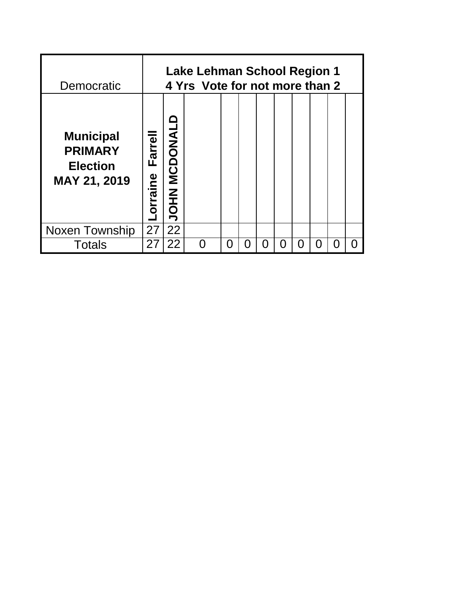| Democratic                                                            |                           |                         | <b>Lake Lehman School Region 1</b><br>4 Yrs Vote for not more than 2 |     |   |   |   |  |  |
|-----------------------------------------------------------------------|---------------------------|-------------------------|----------------------------------------------------------------------|-----|---|---|---|--|--|
| <b>Municipal</b><br><b>PRIMARY</b><br><b>Election</b><br>MAY 21, 2019 | <b>Farrell</b><br>orraine | <b>MCDONAL</b><br>INHOL |                                                                      |     |   |   |   |  |  |
| Noxen Township                                                        | 27                        | 22                      |                                                                      |     |   |   |   |  |  |
| Totals                                                                | 27                        | 22                      |                                                                      | ( ) | ŋ | Ω | Ω |  |  |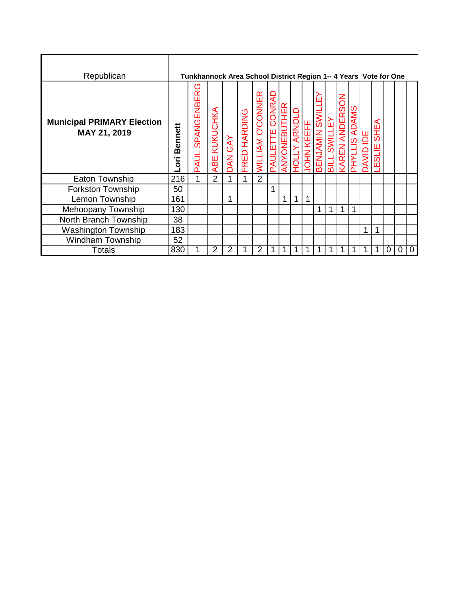| Republican                                        |                       | Tunkhannock Area School District Region 1-- 4 Years Vote for One |                |         |              |                         |                                     |              |                      |                   |                                      |              |                                            |                             |                           |                   |   |   |   |
|---------------------------------------------------|-----------------------|------------------------------------------------------------------|----------------|---------|--------------|-------------------------|-------------------------------------|--------------|----------------------|-------------------|--------------------------------------|--------------|--------------------------------------------|-----------------------------|---------------------------|-------------------|---|---|---|
| <b>Municipal PRIMARY Election</b><br>MAY 21, 2019 | <b>Bennett</b><br>iao | ღ<br>SPANGENBER<br><b>PAUL</b>                                   | ABE KUKUCHKA   | DAN GAY | FRED HARDING | <b>WILLIAM O'CONNER</b> | ₽<br><b>CONR</b><br><b>PAULETTE</b> | ANYONEBUTHER | ARNOLD<br><b>TOH</b> | <b>JOHN KEEFE</b> | ĹП<br><b>IIMS</b><br><b>BENJAMIN</b> | SWILLEY<br>들 | <b>NOS</b><br><b>ANDER</b><br><b>KAREN</b> | <b>ADAMS</b><br><b>LXHd</b> | <b>BU</b><br><b>ONVAC</b> | ⋖<br>SHE,<br>의 IE |   |   |   |
| <b>Eaton Township</b>                             | 216                   | 1                                                                | $\overline{2}$ | 1       | 1            | $\overline{2}$          |                                     |              |                      |                   |                                      |              |                                            |                             |                           |                   |   |   |   |
| <b>Forkston Township</b>                          | 50                    |                                                                  |                |         |              |                         | 1                                   |              |                      |                   |                                      |              |                                            |                             |                           |                   |   |   |   |
| Lemon Township                                    | 161                   |                                                                  |                | 1       |              |                         |                                     | 1            | 1                    |                   |                                      |              |                                            |                             |                           |                   |   |   |   |
| Mehoopany Township                                | 130                   |                                                                  |                |         |              |                         |                                     |              |                      |                   | 1                                    | 1            | 1                                          | ۸                           |                           |                   |   |   |   |
| North Branch Township                             | 38                    |                                                                  |                |         |              |                         |                                     |              |                      |                   |                                      |              |                                            |                             |                           |                   |   |   |   |
| <b>Washington Township</b>                        | 183                   |                                                                  |                |         |              |                         |                                     |              |                      |                   |                                      |              |                                            |                             | 1                         | 1                 |   |   |   |
| Windham Township                                  | 52                    |                                                                  |                |         |              |                         |                                     |              |                      |                   |                                      |              |                                            |                             |                           |                   |   |   |   |
| <b>Totals</b>                                     | 830                   | 1                                                                | $\overline{2}$ | 2       |              | 2                       |                                     | 1            |                      |                   | 1                                    | 1            | 1                                          |                             | 1                         |                   | 0 | 0 | 0 |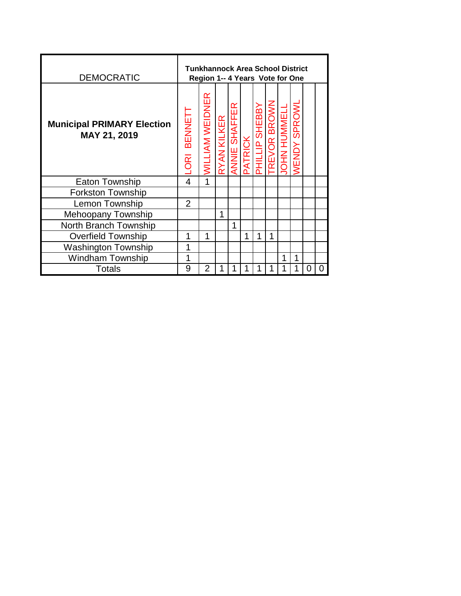| <b>DEMOCRATIC</b>                                 |                                  | <b>Tunkhannock Area School District</b><br>Region 1-- 4 Years Vote for One |                    |               |         |                         |                     |                  |                       |   |   |
|---------------------------------------------------|----------------------------------|----------------------------------------------------------------------------|--------------------|---------------|---------|-------------------------|---------------------|------------------|-----------------------|---|---|
| <b>Municipal PRIMARY Election</b><br>MAY 21, 2019 | <b>BENNET</b><br>$\overline{OR}$ | <b><i>MILLIAM WEIDNER</i></b>                                              | <b>RYAN KILKER</b> | ANNIE SHAFFER | PATRICK | SHEBBY<br><b>dITIHE</b> | <b>TREVOR BROWN</b> | <b>OHN HUMME</b> | SPROW<br><b>VENDY</b> |   |   |
| Eaton Township                                    | 4                                | $\mathbf 1$                                                                |                    |               |         |                         |                     |                  |                       |   |   |
| <b>Forkston Township</b>                          |                                  |                                                                            |                    |               |         |                         |                     |                  |                       |   |   |
| Lemon Township                                    | 2                                |                                                                            |                    |               |         |                         |                     |                  |                       |   |   |
| Mehoopany Township                                |                                  |                                                                            | 1                  |               |         |                         |                     |                  |                       |   |   |
| North Branch Township                             |                                  |                                                                            |                    | 1             |         |                         |                     |                  |                       |   |   |
| <b>Overfield Township</b>                         | 1                                | 1                                                                          |                    |               | 1       | 1                       | 1                   |                  |                       |   |   |
| <b>Washington Township</b>                        | 1                                |                                                                            |                    |               |         |                         |                     |                  |                       |   |   |
| <b>Windham Township</b>                           | 1                                |                                                                            |                    |               |         |                         |                     | 1                | 1                     |   |   |
| Totals                                            | 9                                | 2                                                                          | 1                  |               |         |                         |                     |                  |                       | 0 | 0 |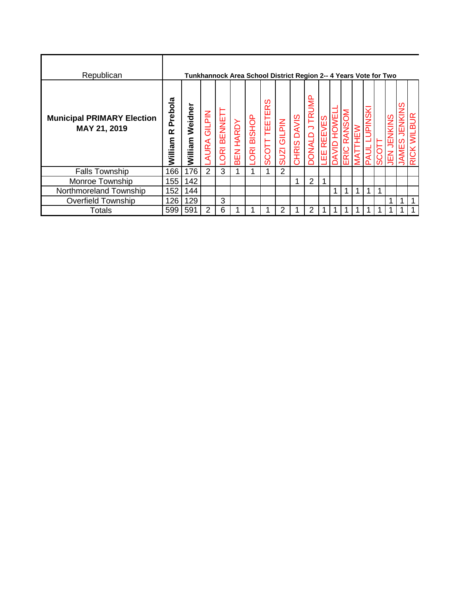| Republican                                        |                         | Tunkhannock Area School District Region 2-- 4 Years Vote for Two |                              |                     |                     |                                 |                                    |                              |                       |                                                        |                 |   |                                 |        |                    |             |                        |   |  |
|---------------------------------------------------|-------------------------|------------------------------------------------------------------|------------------------------|---------------------|---------------------|---------------------------------|------------------------------------|------------------------------|-----------------------|--------------------------------------------------------|-----------------|---|---------------------------------|--------|--------------------|-------------|------------------------|---|--|
| <b>Municipal PRIMARY Election</b><br>MAY 21, 2019 | Prebola<br>œ<br>William | Weidner<br>William                                               | <b>MId719</b><br><b>AURA</b> | BENNET<br><b>BO</b> | <b>HARDY</b><br>BEN | <b>BISHOP</b><br>$\overline{R}$ | ഗ<br><b>TEETER</b><br><b>SCOTT</b> | <b>GILPIN</b><br><b>IZUS</b> | <b>DAVIS</b><br>CHRIS | $\equiv$<br>$\tilde{\mathbb{F}}$<br>っ<br><b>OUNNOC</b> | /ES<br>REE<br>出 | ๔ | MO<br>$\bar{\bar{\alpha}}$<br>ш | ₹<br>⋝ | JPINSKI<br>ЦL<br>൶ | C<br>C<br>ഗ | <b>IKINS</b><br>щ<br>ш | Ø |  |
| <b>Falls Township</b>                             | 166                     | 176                                                              | 2                            | 3                   |                     |                                 |                                    | 2                            |                       |                                                        |                 |   |                                 |        |                    |             |                        |   |  |
| Monroe Township                                   | 155                     | 142                                                              |                              |                     |                     |                                 |                                    |                              |                       | 2                                                      |                 |   |                                 |        |                    |             |                        |   |  |
| Northmoreland Township                            | 152                     | 144                                                              |                              |                     |                     |                                 |                                    |                              |                       |                                                        |                 |   |                                 |        |                    |             |                        |   |  |
| <b>Overfield Township</b>                         | 126                     | 129                                                              |                              | 3                   |                     |                                 |                                    |                              |                       |                                                        |                 |   |                                 |        |                    |             |                        |   |  |
| Totals                                            | 599                     | 591                                                              | 2                            | 6                   |                     |                                 |                                    | 2                            |                       | 2                                                      |                 |   |                                 | 1      |                    |             |                        |   |  |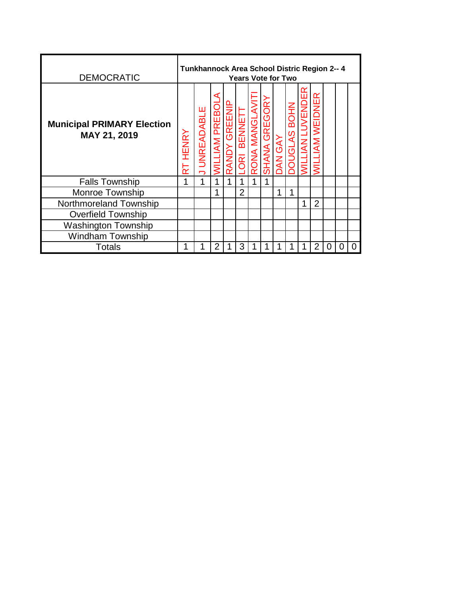| <b>DEMOCRATIC</b>                                 |                                  | Tunkhannock Area School Distric Region 2-- 4 |                     |                        |                                                            | <b>Years Vote for Two</b> |                                    |                   |                                         |                           |                |   |   |   |
|---------------------------------------------------|----------------------------------|----------------------------------------------|---------------------|------------------------|------------------------------------------------------------|---------------------------|------------------------------------|-------------------|-----------------------------------------|---------------------------|----------------|---|---|---|
| <b>Municipal PRIMARY Election</b><br>MAY 21, 2019 | HENRY<br>$\overline{\mathbf{z}}$ | <b>UNREADABLE</b>                            | <b>MILLIAM PREB</b> | GREENIP<br><b>ANDY</b> | BENNE <sup>-</sup><br>$\overline{\widetilde{\mathrm{BS}}}$ | <b>ONA MANGLAVIT</b>      | <b>ORY</b><br>GREG<br><b>SHANA</b> | <b>RAS</b><br>NAC | <b>NHOB</b><br>$\overline{AS}$<br>DONGL | <b>JVENDE</b><br><b>Z</b> | WEIDNER<br>ĄΜ  |   |   |   |
| <b>Falls Township</b>                             | 1                                | 1                                            |                     | 1                      |                                                            |                           |                                    |                   |                                         |                           |                |   |   |   |
| <b>Monroe Township</b>                            |                                  |                                              | 1                   |                        | $\overline{2}$                                             |                           |                                    | 1                 | 1                                       |                           |                |   |   |   |
| Northmoreland Township                            |                                  |                                              |                     |                        |                                                            |                           |                                    |                   |                                         | 1                         | $\overline{2}$ |   |   |   |
| <b>Overfield Township</b>                         |                                  |                                              |                     |                        |                                                            |                           |                                    |                   |                                         |                           |                |   |   |   |
| <b>Washington Township</b>                        |                                  |                                              |                     |                        |                                                            |                           |                                    |                   |                                         |                           |                |   |   |   |
| <b>Windham Township</b>                           |                                  |                                              |                     |                        |                                                            |                           |                                    |                   |                                         |                           |                |   |   |   |
| <b>Totals</b>                                     |                                  |                                              | $\overline{2}$      |                        | 3                                                          |                           |                                    |                   |                                         |                           | $\overline{2}$ | 0 | 0 | ი |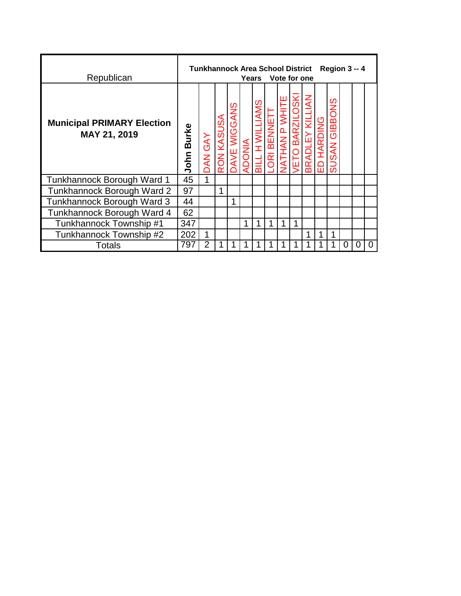| Republican                                        |               | Tunkhannock Area School District Region 3 -- 4 |            |              |               | Years Vote for one |            |                         |                                  |                          |            |                         |   |   |   |
|---------------------------------------------------|---------------|------------------------------------------------|------------|--------------|---------------|--------------------|------------|-------------------------|----------------------------------|--------------------------|------------|-------------------------|---|---|---|
| <b>Municipal PRIMARY Election</b><br>MAY 21, 2019 | Burke<br>John | DAN GAY                                        | RON KASUSA | DAVE WIGGANS | <b>ADONIA</b> | <b>TH WIL</b>      | ORI BENNET | <b>THIN AN P VATHAN</b> | <b>LOSKI</b><br><b>ETO BARZI</b> | $\leq$<br><b>BRADLEY</b> | ED HARDING | GIBBONS<br><b>SUSAN</b> |   |   |   |
| Tunkhannock Borough Ward 1                        | 45            | 1                                              |            |              |               |                    |            |                         |                                  |                          |            |                         |   |   |   |
| Tunkhannock Borough Ward 2                        | 97            |                                                | 1          |              |               |                    |            |                         |                                  |                          |            |                         |   |   |   |
| Tunkhannock Borough Ward 3                        | 44            |                                                |            | 1            |               |                    |            |                         |                                  |                          |            |                         |   |   |   |
| Tunkhannock Borough Ward 4                        | 62            |                                                |            |              |               |                    |            |                         |                                  |                          |            |                         |   |   |   |
| Tunkhannock Township #1                           | 347           |                                                |            |              |               | 1                  | 1          | 1                       | 1                                |                          |            |                         |   |   |   |
| Tunkhannock Township #2                           | 202           | 1                                              |            |              |               |                    |            |                         |                                  |                          | 1          | 1                       |   |   |   |
| Totals                                            | 797           | $\overline{2}$                                 |            |              |               |                    |            |                         |                                  |                          |            |                         | 0 | 0 | 0 |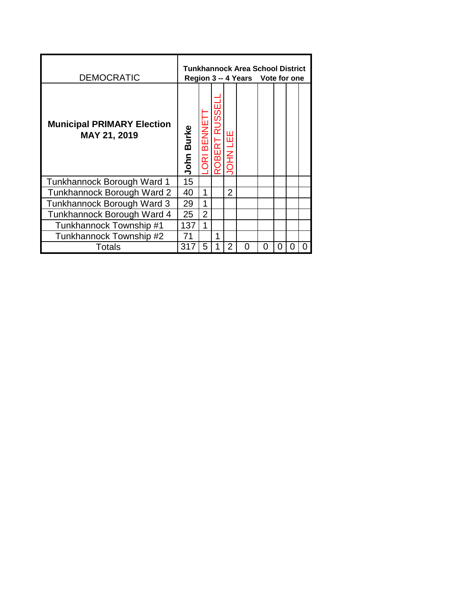| <b>DEMOCRATIC</b>                                 |            |                                          |             |                 | Tunkhannock Area School District<br>Region 3 -- 4 Years Vote for one |                   |   |  |
|---------------------------------------------------|------------|------------------------------------------|-------------|-----------------|----------------------------------------------------------------------|-------------------|---|--|
| <b>Municipal PRIMARY Election</b><br>MAY 21, 2019 | John Burke | BENNE<br>$\overline{\underline{\alpha}}$ | <b>JBEF</b> | 出<br><b>NHA</b> |                                                                      |                   |   |  |
| Tunkhannock Borough Ward 1                        | 15         |                                          |             |                 |                                                                      |                   |   |  |
| Tunkhannock Borough Ward 2                        | 40         | 1                                        |             | $\overline{2}$  |                                                                      |                   |   |  |
| Tunkhannock Borough Ward 3                        | 29         | 1                                        |             |                 |                                                                      |                   |   |  |
| Tunkhannock Borough Ward 4                        | 25         | $\overline{2}$                           |             |                 |                                                                      |                   |   |  |
| Tunkhannock Township #1                           | 137        | $\mathbf{1}$                             |             |                 |                                                                      |                   |   |  |
| Tunkhannock Township #2                           | 71         |                                          | 1           |                 |                                                                      |                   |   |  |
| <b>Totals</b>                                     | 31         | 5                                        |             | 2               | ( )                                                                  | $\mathbf{\Omega}$ | 0 |  |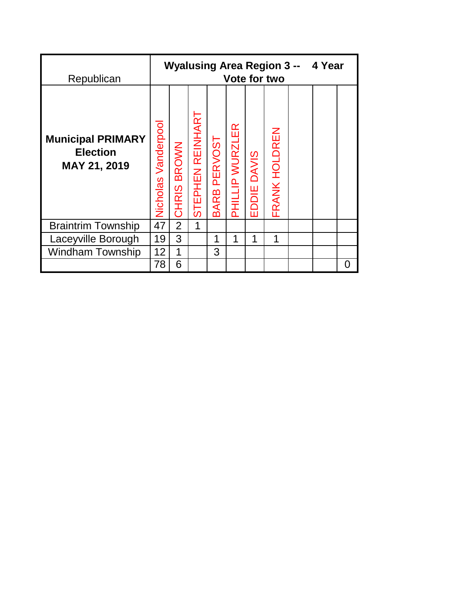| Republican                                                  |                     |                       |                  |                               |                 |             | <b>Wyalusing Area Region 3 --</b><br><b>Vote for two</b> | 4 Year |   |
|-------------------------------------------------------------|---------------------|-----------------------|------------------|-------------------------------|-----------------|-------------|----------------------------------------------------------|--------|---|
| <b>Municipal PRIMARY</b><br><b>Election</b><br>MAY 21, 2019 | Nicholas Vanderpool | <b>BROWN</b><br>CHRIS | STEPHEN REINHART | <b>PERVOST</b><br><b>BARB</b> | PHILLIP WURZLER | EDDIE DAVIS | FRANK HOLDREN                                            |        |   |
| <b>Braintrim Township</b>                                   | 47                  | $\overline{2}$        | 1                |                               |                 |             |                                                          |        |   |
| Laceyville Borough                                          | 19                  | 3                     |                  | 1                             | 1               | 1           | 1                                                        |        |   |
| <b>Windham Township</b>                                     | 12                  | 1                     |                  | 3                             |                 |             |                                                          |        |   |
|                                                             | 78                  | 6                     |                  |                               |                 |             |                                                          |        | O |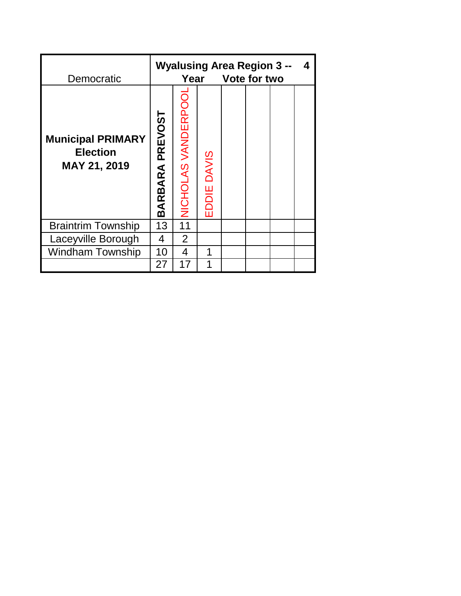| Democratic                                                  |                        | Year               |             | <b>Wyalusing Area Region 3 --</b><br>Vote for two |  | 4 |
|-------------------------------------------------------------|------------------------|--------------------|-------------|---------------------------------------------------|--|---|
| <b>Municipal PRIMARY</b><br><b>Election</b><br>MAY 21, 2019 | <b>BARBARA PREVOST</b> | NICHOLAS VANDERPOO | EDDIE DAVIS |                                                   |  |   |
| <b>Braintrim Township</b>                                   | 13                     | 11                 |             |                                                   |  |   |
| Laceyville Borough                                          | 4                      | $\overline{2}$     |             |                                                   |  |   |
| <b>Windham Township</b>                                     | 10                     | 4                  | 1           |                                                   |  |   |
|                                                             | 27                     | 17                 | 1           |                                                   |  |   |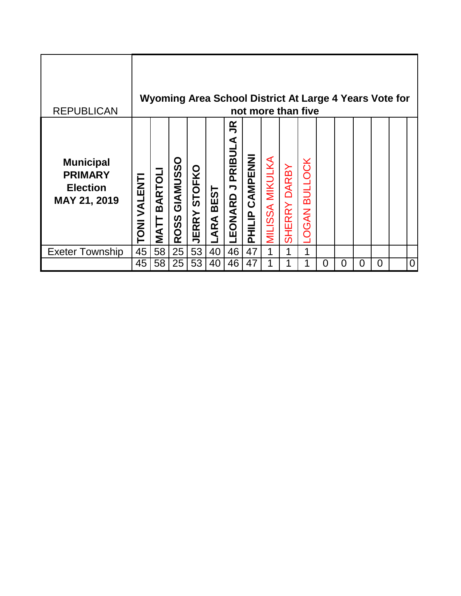| <b>REPUBLICAN</b>                                                     |                   |                              |                      |                     |                    |                                    |                    |                 |                               | Wyoming Area School District At Large 4 Years Vote for<br>not more than five |          |          |          |   |                |
|-----------------------------------------------------------------------|-------------------|------------------------------|----------------------|---------------------|--------------------|------------------------------------|--------------------|-----------------|-------------------------------|------------------------------------------------------------------------------|----------|----------|----------|---|----------------|
| <b>Municipal</b><br><b>PRIMARY</b><br><b>Election</b><br>MAY 21, 2019 | <b>TONIVALENT</b> | <b>BARTOL</b><br><b>NATT</b> | GIAMUSSO<br>0SS<br>œ | <b>JERRY STOFKO</b> | <b>BEST</b><br>ARA | $\mathbf{R}$<br>PRIBULA<br>LEONARD | CAMPENNI<br>PHILIP | MILISSA MIKULKA | <b>DARBY</b><br><b>SHERRY</b> | <b>OGAN BULLOCK</b>                                                          |          |          |          |   |                |
| <b>Exeter Township</b>                                                | 45                | 58                           | 25                   | 53                  | 40                 | 46                                 | 47                 |                 | 1                             | 1                                                                            |          |          |          |   |                |
|                                                                       | 45                | 58                           | 25                   | 53                  | 40                 | 46                                 | 47                 |                 |                               |                                                                              | $\Omega$ | $\Omega$ | $\Omega$ | 0 | $\overline{0}$ |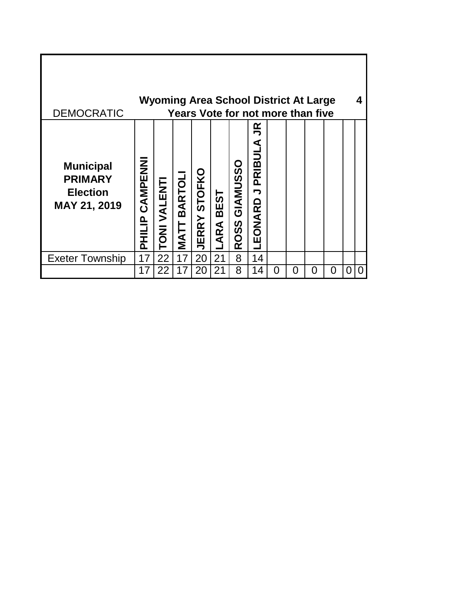| <b>DEMOCRATIC</b>                                                     |                          |                     |                       |                               |                 |                                               | Wyoming Area School District At Large<br>Years Vote for not more than five |   |   |   |   |   |   |
|-----------------------------------------------------------------------|--------------------------|---------------------|-----------------------|-------------------------------|-----------------|-----------------------------------------------|----------------------------------------------------------------------------|---|---|---|---|---|---|
| <b>Municipal</b><br><b>PRIMARY</b><br><b>Election</b><br>MAY 21, 2019 | CAMPENN<br><b>PHILIP</b> | <b>TONI VALENTI</b> | <b>BARTOLI</b><br>TAN | <b>STOFKO</b><br><b>IERRY</b> | EST<br>B<br>ARA | <b>GIANUSSO</b><br><u>ທ</u><br><b>SO</b><br>œ | $\tilde{\mathbf{r}}$<br>⋖<br>PRIBUI<br>ONARD<br>ப்                         |   |   |   |   |   |   |
| <b>Exeter Township</b>                                                | 17                       | 22                  | 17                    | 20                            | 21              | 8                                             | 14                                                                         |   |   |   |   |   |   |
|                                                                       | 17                       | 22                  | 17                    | 20                            | 21              | 8                                             | 14                                                                         | 0 | 0 | O | O | 0 | 0 |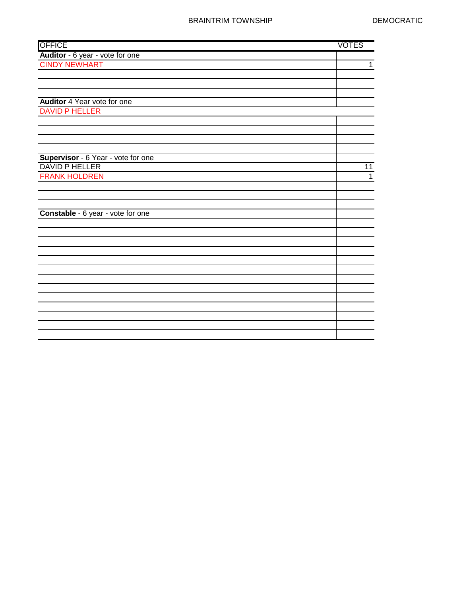| <b>OFFICE</b>                      | <b>VOTES</b> |
|------------------------------------|--------------|
| Auditor - 6 year - vote for one    |              |
| <b>CINDY NEWHART</b>               | $\mathbf{1}$ |
|                                    |              |
|                                    |              |
|                                    |              |
| Auditor 4 Year vote for one        |              |
| <b>DAVID P HELLER</b>              |              |
|                                    |              |
|                                    |              |
|                                    |              |
|                                    |              |
| Supervisor - 6 Year - vote for one |              |
| <b>DAVID P HELLER</b>              | 11           |
| <b>FRANK HOLDREN</b>               | $\mathbf{1}$ |
|                                    |              |
|                                    |              |
|                                    |              |
| Constable - 6 year - vote for one  |              |
|                                    |              |
|                                    |              |
|                                    |              |
|                                    |              |
|                                    |              |
|                                    |              |
|                                    |              |
|                                    |              |
|                                    |              |
|                                    |              |
|                                    |              |
|                                    |              |
|                                    |              |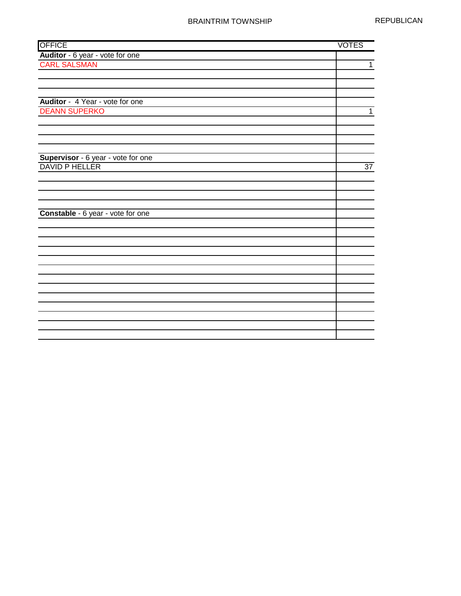| <b>OFFICE</b>                      | <b>VOTES</b>    |
|------------------------------------|-----------------|
| Auditor - 6 year - vote for one    |                 |
| <b>CARL SALSMAN</b>                | $\mathbf{1}$    |
|                                    |                 |
|                                    |                 |
|                                    |                 |
| Auditor - 4 Year - vote for one    |                 |
| <b>DEANN SUPERKO</b>               | 1               |
|                                    |                 |
|                                    |                 |
|                                    |                 |
|                                    |                 |
| Supervisor - 6 year - vote for one |                 |
| DAVID P HELLER                     | $\overline{37}$ |
|                                    |                 |
|                                    |                 |
|                                    |                 |
|                                    |                 |
| Constable - 6 year - vote for one  |                 |
|                                    |                 |
|                                    |                 |
|                                    |                 |
|                                    |                 |
|                                    |                 |
|                                    |                 |
|                                    |                 |
|                                    |                 |
|                                    |                 |
|                                    |                 |
|                                    |                 |
|                                    |                 |
|                                    |                 |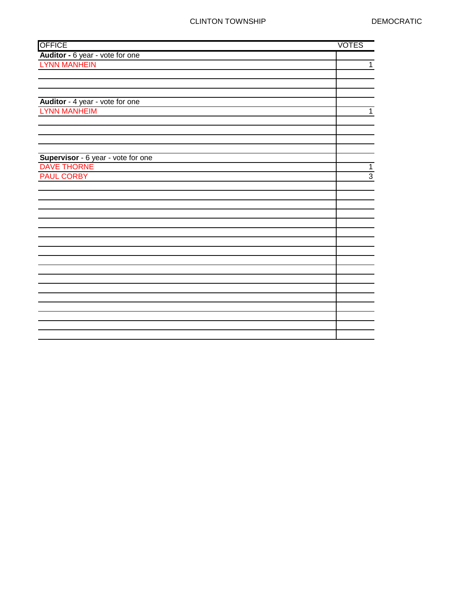| <b>OFFICE</b>                      | <b>VOTES</b>   |
|------------------------------------|----------------|
| Auditor - 6 year - vote for one    |                |
| <b>LYNN MANHEIN</b>                | $\mathbf{1}$   |
|                                    |                |
|                                    |                |
|                                    |                |
| Auditor - 4 year - vote for one    |                |
| <b>LYNN MANHEIM</b>                | 1              |
|                                    |                |
|                                    |                |
|                                    |                |
|                                    |                |
| Supervisor - 6 year - vote for one |                |
| <b>DAVE THORNE</b>                 | $\mathbf 1$    |
| <b>PAUL CORBY</b>                  | $\overline{3}$ |
|                                    |                |
|                                    |                |
|                                    |                |
|                                    |                |
|                                    |                |
|                                    |                |
|                                    |                |
|                                    |                |
|                                    |                |
|                                    |                |
|                                    |                |
|                                    |                |
|                                    |                |
|                                    |                |
|                                    |                |
|                                    |                |
|                                    |                |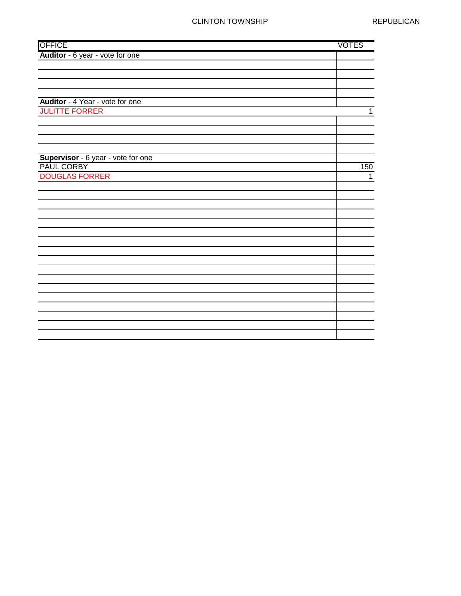## CLINTON TOWNSHIP REPUBLICAN

| <b>OFFICE</b>                      | <b>VOTES</b>   |
|------------------------------------|----------------|
| Auditor - 6 year - vote for one    |                |
|                                    |                |
|                                    |                |
|                                    |                |
|                                    |                |
| Auditor - 4 Year - vote for one    |                |
| <b>JULITTE FORRER</b>              | $\mathbf{1}$   |
|                                    |                |
|                                    |                |
|                                    |                |
|                                    |                |
| Supervisor - 6 year - vote for one |                |
| PAUL CORBY                         | 150            |
| <b>DOUGLAS FORRER</b>              | $\overline{1}$ |
|                                    |                |
|                                    |                |
|                                    |                |
|                                    |                |
|                                    |                |
|                                    |                |
|                                    |                |
|                                    |                |
|                                    |                |
|                                    |                |
|                                    |                |
|                                    |                |
|                                    |                |
|                                    |                |
|                                    |                |
|                                    |                |
|                                    |                |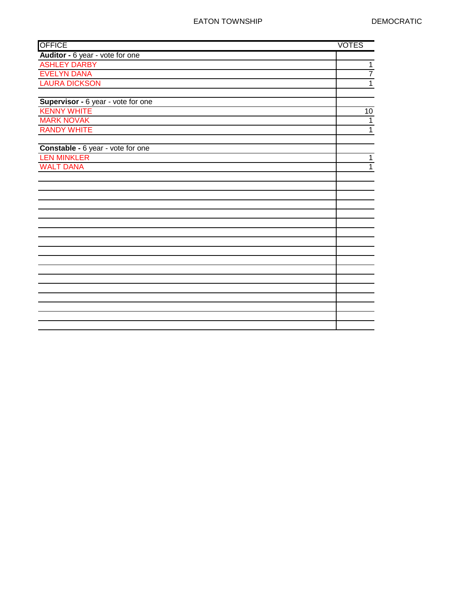| <b>OFFICE</b>                      | <b>VOTES</b>   |
|------------------------------------|----------------|
| Auditor - 6 year - vote for one    |                |
| <b>ASHLEY DARBY</b>                | $\mathbf 1$    |
| <b>EVELYN DANA</b>                 | $\overline{7}$ |
| <b>LAURA DICKSON</b>               | $\overline{1}$ |
|                                    |                |
| Supervisor - 6 year - vote for one |                |
| <b>KENNY WHITE</b>                 | $10$           |
| <b>MARK NOVAK</b>                  | $\mathbf{1}$   |
| <b>RANDY WHITE</b>                 | $\overline{1}$ |
|                                    |                |
| Constable - 6 year - vote for one  |                |
| <b>LEN MINKLER</b>                 | $\mathbf 1$    |
| <b>WALT DANA</b>                   | $\mathbf{1}$   |
|                                    |                |
|                                    |                |
|                                    |                |
|                                    |                |
|                                    |                |
|                                    |                |
|                                    |                |
|                                    |                |
|                                    |                |
|                                    |                |
|                                    |                |
|                                    |                |
|                                    |                |
|                                    |                |
|                                    |                |
|                                    |                |
|                                    |                |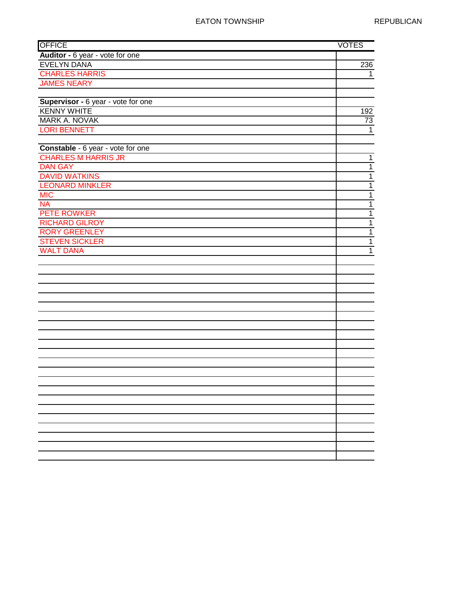| <b>OFFICE</b>                      | <b>VOTES</b>     |
|------------------------------------|------------------|
| Auditor - 6 year - vote for one    |                  |
| <b>EVELYN DANA</b>                 | $\overline{236}$ |
| <b>CHARLES HARRIS</b>              | 1                |
| <b>JAMES NEARY</b>                 |                  |
|                                    |                  |
| Supervisor - 6 year - vote for one |                  |
| <b>KENNY WHITE</b>                 | 192              |
| MARK A. NOVAK                      | 73               |
| <b>LORI BENNETT</b>                | $\mathbf 1$      |
|                                    |                  |
| Constable - 6 year - vote for one  |                  |
| <b>CHARLES M HARRIS JR</b>         | $\mathbf{1}$     |
| <b>DAN GAY</b>                     | $\mathbf 1$      |
| <b>DAVID WATKINS</b>               | $\mathbf 1$      |
| <b>LEONARD MINKLER</b>             | $\mathbf{1}$     |
| <b>MIC</b>                         | $\overline{1}$   |
| <b>NA</b>                          | $\mathbf{1}$     |
| PETE ROWKER                        | $\mathbf 1$      |
| <b>RICHARD GILROY</b>              | $\mathbf{1}$     |
| <b>RORY GREENLEY</b>               | $\overline{1}$   |
| <b>STEVEN SICKLER</b>              | $\mathbf{1}$     |
| <b>WALT DANA</b>                   | $\overline{1}$   |
|                                    |                  |
|                                    |                  |
|                                    |                  |
|                                    |                  |
|                                    |                  |
|                                    |                  |
|                                    |                  |
|                                    |                  |
|                                    |                  |
|                                    |                  |
|                                    |                  |
|                                    |                  |
|                                    |                  |
|                                    |                  |
|                                    |                  |
|                                    |                  |
|                                    |                  |
|                                    |                  |
|                                    |                  |
|                                    |                  |
|                                    |                  |
|                                    |                  |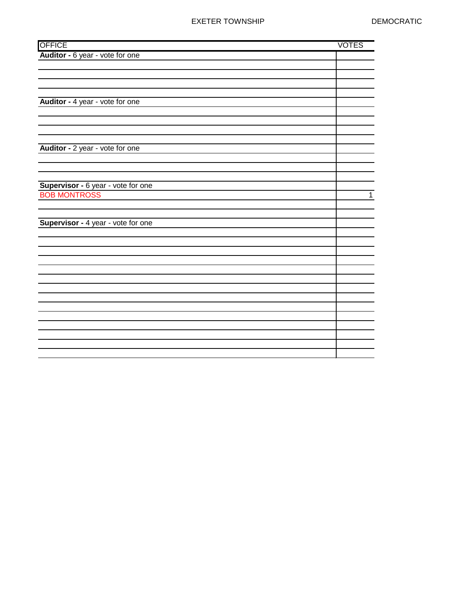## EXETER TOWNSHIP DEMOCRATIC

| <b>OFFICE</b>                      | <b>VOTES</b> |
|------------------------------------|--------------|
| Auditor - 6 year - vote for one    |              |
|                                    |              |
|                                    |              |
|                                    |              |
|                                    |              |
| Auditor - 4 year - vote for one    |              |
|                                    |              |
|                                    |              |
|                                    |              |
|                                    |              |
| Auditor - 2 year - vote for one    |              |
|                                    |              |
|                                    |              |
| Supervisor - 6 year - vote for one |              |
| <b>BOB MONTROSS</b>                | $\mathbf 1$  |
|                                    |              |
|                                    |              |
| Supervisor - 4 year - vote for one |              |
|                                    |              |
|                                    |              |
|                                    |              |
|                                    |              |
|                                    |              |
|                                    |              |
|                                    |              |
|                                    |              |
|                                    |              |
|                                    |              |
|                                    |              |
|                                    |              |
|                                    |              |
|                                    |              |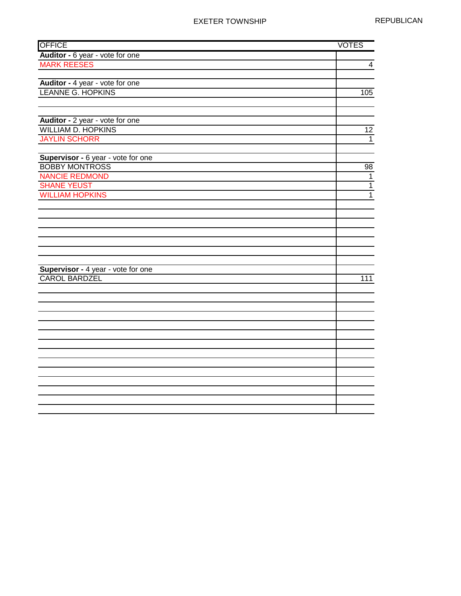| <b>OFFICE</b>                                              | <b>VOTES</b>    |
|------------------------------------------------------------|-----------------|
| Auditor - 6 year - vote for one                            |                 |
| <b>MARK REESES</b>                                         | $\overline{4}$  |
|                                                            |                 |
| Auditor - 4 year - vote for one                            |                 |
| <b>LEANNE G. HOPKINS</b>                                   | 105             |
|                                                            |                 |
|                                                            |                 |
| Auditor - 2 year - vote for one                            |                 |
| <b>WILLIAM D. HOPKINS</b>                                  | $\overline{12}$ |
| <b>JAYLIN SCHORR</b>                                       | $\mathbf{1}$    |
|                                                            |                 |
| Supervisor - 6 year - vote for one                         |                 |
| <b>BOBBY MONTROSS</b>                                      | 98              |
| <b>NANCIE REDMOND</b>                                      | $\mathbf{1}$    |
| <b>SHANE YEUST</b>                                         | $\overline{1}$  |
| <b>WILLIAM HOPKINS</b>                                     | $\overline{1}$  |
|                                                            |                 |
|                                                            |                 |
|                                                            |                 |
|                                                            |                 |
|                                                            |                 |
|                                                            |                 |
|                                                            |                 |
| Supervisor - 4 year - vote for one<br><b>CAROL BARDZEL</b> |                 |
|                                                            | 111             |
|                                                            |                 |
|                                                            |                 |
|                                                            |                 |
|                                                            |                 |
|                                                            |                 |
|                                                            |                 |
|                                                            |                 |
|                                                            |                 |
|                                                            |                 |
|                                                            |                 |
|                                                            |                 |
|                                                            |                 |
|                                                            |                 |
|                                                            |                 |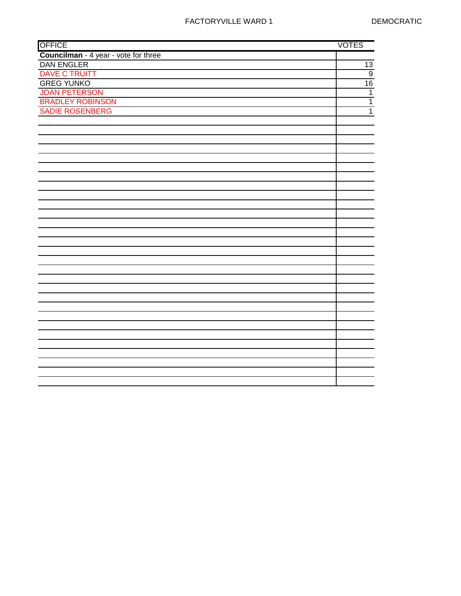| <b>OFFICE</b>                        | <b>VOTES</b>   |
|--------------------------------------|----------------|
| Councilman - 4 year - vote for three |                |
| <b>DAN ENGLER</b>                    | 13             |
| <b>DAVE C TRUITT</b>                 | $\overline{9}$ |
| <b>GREG YUNKO</b>                    | 16             |
| <b>JOAN PETERSON</b>                 | $\overline{1}$ |
| <b>BRADLEY ROBINSON</b>              | $\overline{1}$ |
| SADIE ROSENBERG                      | $\overline{1}$ |
|                                      |                |
|                                      |                |
|                                      |                |
|                                      |                |
|                                      |                |
|                                      |                |
|                                      |                |
|                                      |                |
|                                      |                |
|                                      |                |
|                                      |                |
|                                      |                |
|                                      |                |
|                                      |                |
|                                      |                |
|                                      |                |
|                                      |                |
|                                      |                |
|                                      |                |
|                                      |                |
|                                      |                |
|                                      |                |
|                                      |                |
|                                      |                |
|                                      |                |
|                                      |                |
|                                      |                |
|                                      |                |
|                                      |                |
|                                      |                |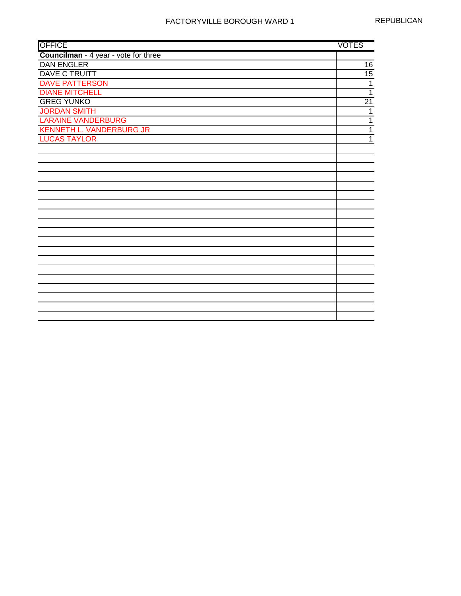| <b>OFFICE</b>                        | <b>VOTES</b>    |
|--------------------------------------|-----------------|
| Councilman - 4 year - vote for three |                 |
| <b>DAN ENGLER</b>                    | 16              |
| <b>DAVE C TRUITT</b>                 | $\overline{15}$ |
| <b>DAVE PATTERSON</b>                | $\overline{1}$  |
| <b>DIANE MITCHELL</b>                | $\overline{1}$  |
| <b>GREG YUNKO</b>                    | $\overline{21}$ |
| <b>JORDAN SMITH</b>                  | 1               |
| <b>LARAINE VANDERBURG</b>            | $\overline{1}$  |
| <b>KENNETH L. VANDERBURG JR</b>      | $\overline{1}$  |
| <b>LUCAS TAYLOR</b>                  | 1               |
|                                      |                 |
|                                      |                 |
|                                      |                 |
|                                      |                 |
|                                      |                 |
|                                      |                 |
|                                      |                 |
|                                      |                 |
|                                      |                 |
|                                      |                 |
|                                      |                 |
|                                      |                 |
|                                      |                 |
|                                      |                 |
|                                      |                 |
|                                      |                 |
|                                      |                 |
|                                      |                 |
|                                      |                 |
|                                      |                 |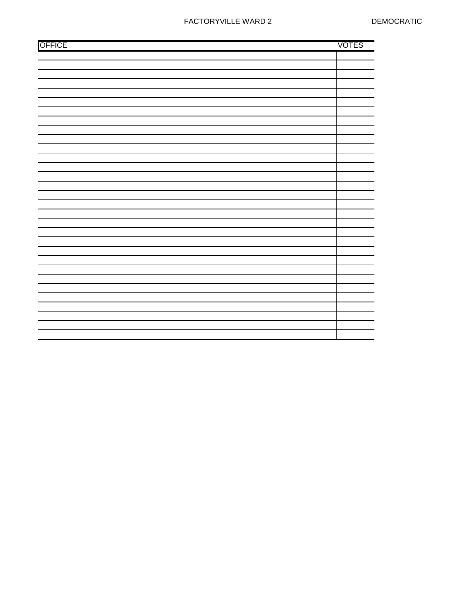| <b>OFFICE</b> | <b>VOTES</b> |
|---------------|--------------|
|               |              |
|               |              |
|               |              |
|               |              |
|               |              |
|               |              |
|               |              |
|               |              |
|               |              |
|               |              |
|               |              |
|               |              |
|               |              |
|               |              |
|               |              |
|               |              |
|               |              |
|               |              |
|               |              |
|               |              |
|               |              |
|               |              |
|               |              |
|               |              |
|               |              |
|               |              |
|               |              |
|               |              |
|               |              |
|               |              |
|               |              |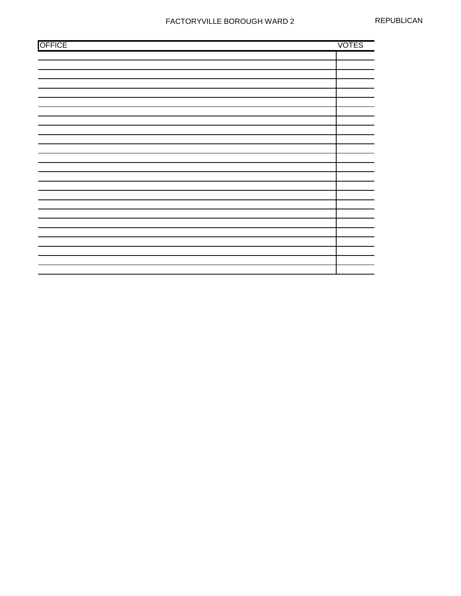| <b>OFFICE</b> | <b>VOTES</b> |
|---------------|--------------|
|               |              |
|               |              |
|               |              |
|               |              |
|               |              |
|               |              |
|               |              |
|               |              |
|               |              |
|               |              |
|               |              |
|               |              |
|               |              |
|               |              |
|               |              |
|               |              |
|               |              |
|               |              |
|               |              |
|               |              |
|               |              |
|               |              |
|               |              |
|               |              |
|               |              |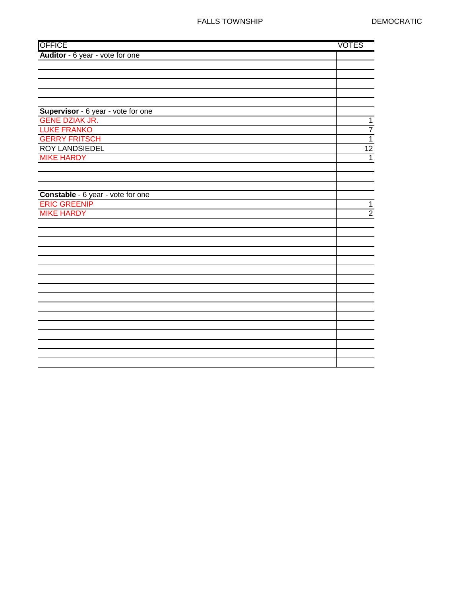| <b>OFFICE</b>                      | <b>VOTES</b>   |
|------------------------------------|----------------|
| Auditor - 6 year - vote for one    |                |
|                                    |                |
|                                    |                |
|                                    |                |
|                                    |                |
|                                    |                |
| Supervisor - 6 year - vote for one |                |
| <b>GENE DZIAK JR.</b>              | $\mathbf{1}$   |
| <b>LUKE FRANKO</b>                 | $\overline{7}$ |
| <b>GERRY FRITSCH</b>               | $\overline{1}$ |
| <b>ROY LANDSIEDEL</b>              | 12             |
| <b>MIKE HARDY</b>                  | $\mathbf{1}$   |
|                                    |                |
|                                    |                |
|                                    |                |
| Constable - 6 year - vote for one  |                |
| <b>ERIC GREENIP</b>                | $\mathbf{1}$   |
| <b>MIKE HARDY</b>                  | $\overline{2}$ |
|                                    |                |
|                                    |                |
|                                    |                |
|                                    |                |
|                                    |                |
|                                    |                |
|                                    |                |
|                                    |                |
|                                    |                |
|                                    |                |
|                                    |                |
|                                    |                |
|                                    |                |
|                                    |                |
|                                    |                |
|                                    |                |
|                                    |                |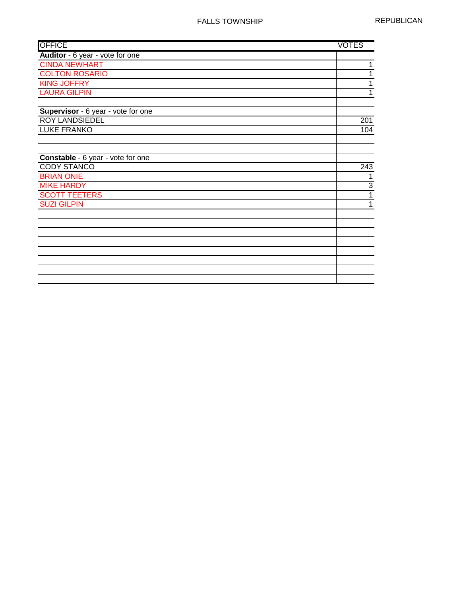| <b>OFFICE</b>                      | <b>VOTES</b> |              |
|------------------------------------|--------------|--------------|
| Auditor - 6 year - vote for one    |              |              |
| <b>CINDA NEWHART</b>               |              | 1            |
| <b>COLTON ROSARIO</b>              |              | 1            |
| <b>KING JOFFRY</b>                 |              | 1            |
| <b>LAURA GILPIN</b>                |              | 1            |
| Supervisor - 6 year - vote for one |              |              |
| <b>ROY LANDSIEDEL</b>              |              | 201          |
| <b>LUKE FRANKO</b>                 |              | 104          |
|                                    |              |              |
| Constable - 6 year - vote for one  |              |              |
| <b>CODY STANCO</b>                 |              | 243          |
| <b>BRIAN ONIE</b>                  |              | 1            |
| <b>MIKE HARDY</b>                  |              | 3            |
| <b>SCOTT TEETERS</b>               |              | $\mathbf{1}$ |
| <b>SUZI GILPIN</b>                 |              | 1            |
|                                    |              |              |
|                                    |              |              |
|                                    |              |              |
|                                    |              |              |
|                                    |              |              |
|                                    |              |              |
|                                    |              |              |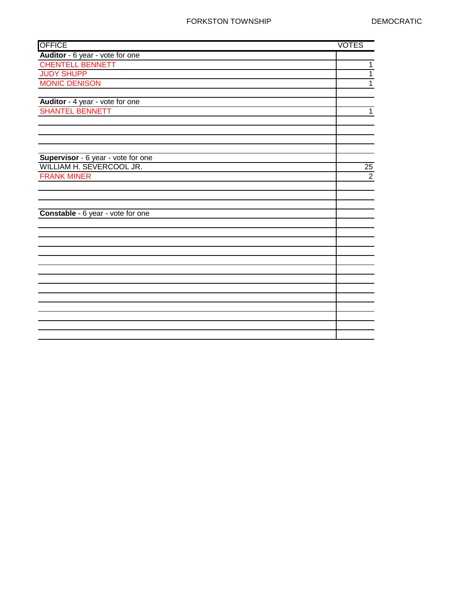| <b>OFFICE</b>                      | <b>VOTES</b>   |
|------------------------------------|----------------|
| Auditor - 6 year - vote for one    |                |
| <b>CHENTELL BENNETT</b>            | 1              |
| <b>JUDY SHUPP</b>                  | 1              |
| <b>MONIC DENISON</b>               | $\overline{1}$ |
|                                    |                |
| Auditor - 4 year - vote for one    |                |
| <b>SHANTEL BENNETT</b>             | 1              |
|                                    |                |
|                                    |                |
|                                    |                |
|                                    |                |
| Supervisor - 6 year - vote for one |                |
| WILLIAM H. SEVERCOOL JR.           | 25             |
| <b>FRANK MINER</b>                 | $\overline{2}$ |
|                                    |                |
|                                    |                |
|                                    |                |
| Constable - 6 year - vote for one  |                |
|                                    |                |
|                                    |                |
|                                    |                |
|                                    |                |
|                                    |                |
|                                    |                |
|                                    |                |
|                                    |                |
|                                    |                |
|                                    |                |
|                                    |                |
|                                    |                |
|                                    |                |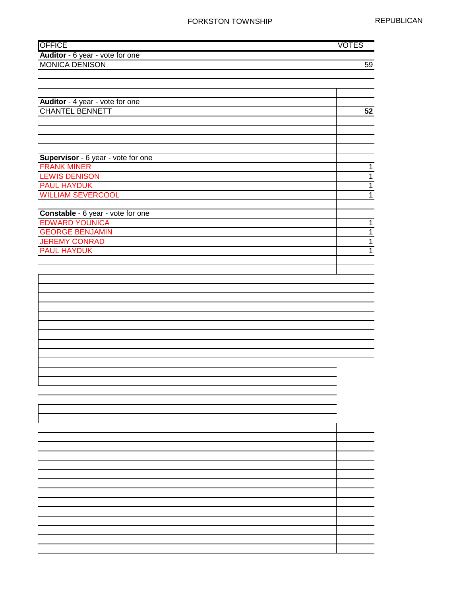#### FORKSTON TOWNSHIP REPUBLICAN

| <b>OFFICE</b>                              | <b>VOTES</b>                  |
|--------------------------------------------|-------------------------------|
| Auditor - 6 year - vote for one            |                               |
| <b>MONICA DENISON</b>                      | $\overline{59}$               |
|                                            |                               |
|                                            |                               |
|                                            |                               |
| Auditor - 4 year - vote for one            |                               |
| <b>CHANTEL BENNETT</b>                     | 52                            |
|                                            |                               |
|                                            |                               |
|                                            |                               |
|                                            |                               |
| Supervisor - 6 year - vote for one         |                               |
| <b>FRANK MINER</b>                         | $\mathbf 1$<br>$\overline{1}$ |
| <b>LEWIS DENISON</b><br><b>PAUL HAYDUK</b> | $\overline{1}$                |
| <b>WILLIAM SEVERCOOL</b>                   | $\overline{1}$                |
|                                            |                               |
| Constable - 6 year - vote for one          |                               |
| <b>EDWARD YOUNICA</b>                      | $\mathbf{1}$                  |
| <b>GEORGE BENJAMIN</b>                     | $\overline{1}$                |
| <b>JEREMY CONRAD</b>                       | $\overline{1}$                |
| <b>PAUL HAYDUK</b>                         | $\overline{1}$                |
|                                            |                               |
|                                            |                               |
|                                            |                               |
|                                            |                               |
|                                            |                               |
|                                            |                               |
|                                            |                               |
|                                            |                               |
|                                            |                               |
|                                            |                               |
|                                            |                               |
|                                            |                               |
|                                            |                               |
|                                            |                               |
|                                            |                               |
|                                            |                               |
|                                            |                               |
|                                            |                               |
|                                            |                               |
|                                            |                               |
|                                            |                               |
|                                            |                               |
|                                            |                               |
|                                            |                               |
|                                            |                               |
|                                            |                               |
|                                            |                               |
|                                            |                               |
|                                            |                               |
|                                            |                               |
|                                            |                               |
|                                            |                               |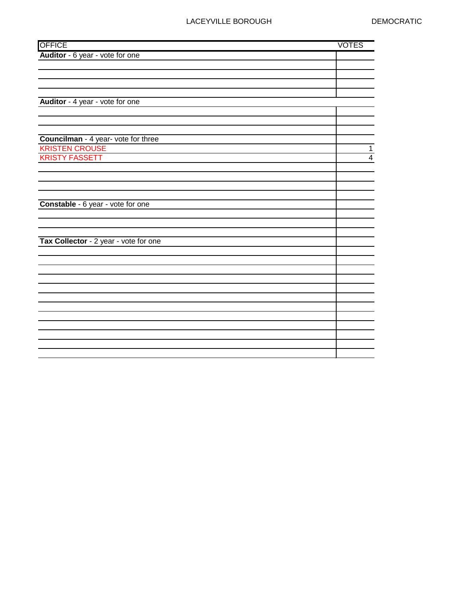# LACEYVILLE BOROUGH DEMOCRATIC

| <b>OFFICE</b>                         | <b>VOTES</b>            |
|---------------------------------------|-------------------------|
| Auditor - 6 year - vote for one       |                         |
|                                       |                         |
|                                       |                         |
|                                       |                         |
|                                       |                         |
| Auditor - 4 year - vote for one       |                         |
|                                       |                         |
|                                       |                         |
| Councilman - 4 year- vote for three   |                         |
| <b>KRISTEN CROUSE</b>                 | $\mathbf{1}$            |
| <b>KRISTY FASSETT</b>                 | $\overline{\mathbf{4}}$ |
|                                       |                         |
|                                       |                         |
|                                       |                         |
|                                       |                         |
| Constable - 6 year - vote for one     |                         |
|                                       |                         |
|                                       |                         |
|                                       |                         |
| Tax Collector - 2 year - vote for one |                         |
|                                       |                         |
|                                       |                         |
|                                       |                         |
|                                       |                         |
|                                       |                         |
|                                       |                         |
|                                       |                         |
|                                       |                         |
|                                       |                         |
|                                       |                         |
|                                       |                         |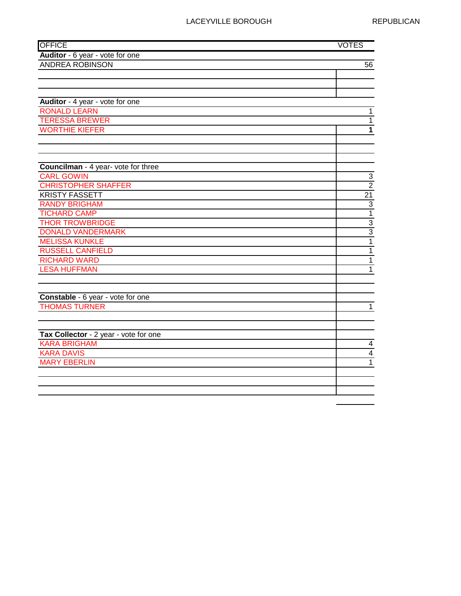## LACEYVILLE BOROUGH REPUBLICAN

| <b>OFFICE</b>                              | <b>VOTES</b>            |
|--------------------------------------------|-------------------------|
| Auditor - 6 year - vote for one            |                         |
| <b>ANDREA ROBINSON</b>                     | 56                      |
|                                            |                         |
|                                            |                         |
|                                            |                         |
| Auditor - 4 year - vote for one            |                         |
| <b>RONALD LEARN</b>                        | $\mathbf{1}$            |
| <b>TERESSA BREWER</b>                      | $\mathbf{1}$            |
| <b>WORTHIE KIEFER</b>                      | 1                       |
|                                            |                         |
|                                            |                         |
|                                            |                         |
| <b>Councilman</b> - 4 year- vote for three |                         |
| <b>CARL GOWIN</b>                          | $\overline{3}$          |
| <b>CHRISTOPHER SHAFFER</b>                 | $\overline{2}$          |
| <b>KRISTY FASSETT</b>                      | $\overline{21}$         |
| <b>RANDY BRIGHAM</b>                       | $\overline{3}$          |
| <b>TICHARD CAMP</b>                        | $\overline{1}$          |
| <b>THOR TROWBRIDGE</b>                     | $\frac{3}{3}$           |
| <b>DONALD VANDERMARK</b>                   |                         |
| <b>MELISSA KUNKLE</b>                      | $\overline{1}$          |
| <b>RUSSELL CANFIELD</b>                    | $\overline{1}$          |
| <b>RICHARD WARD</b>                        | $\overline{1}$          |
| <b>LESA HUFFMAN</b>                        | 1                       |
|                                            |                         |
|                                            |                         |
| Constable - 6 year - vote for one          |                         |
| <b>THOMAS TURNER</b>                       | $\mathbf{1}$            |
|                                            |                         |
|                                            |                         |
| Tax Collector - 2 year - vote for one      |                         |
| <b>KARA BRIGHAM</b>                        | $\overline{\mathbf{4}}$ |
| <b>KARA DAVIS</b>                          | $\overline{4}$          |
| <b>MARY EBERLIN</b>                        | 1                       |
|                                            |                         |
|                                            |                         |
|                                            |                         |
|                                            |                         |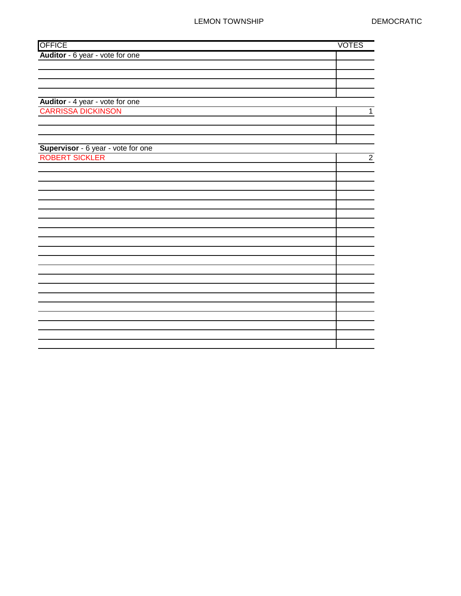## LEMON TOWNSHIP DEMOCRATIC

| <b>OFFICE</b>                                        | <b>VOTES</b>   |
|------------------------------------------------------|----------------|
| Auditor - 6 year - vote for one                      |                |
|                                                      |                |
|                                                      |                |
|                                                      |                |
|                                                      |                |
| Auditor - 4 year - vote for one                      |                |
| <b>CARRISSA DICKINSON</b>                            | $\mathbf{1}$   |
|                                                      |                |
|                                                      |                |
|                                                      |                |
| Supervisor - 6 year - vote for one<br>ROBERT SICKLER |                |
|                                                      | $\overline{2}$ |
|                                                      |                |
|                                                      |                |
|                                                      |                |
|                                                      |                |
|                                                      |                |
|                                                      |                |
|                                                      |                |
|                                                      |                |
|                                                      |                |
|                                                      |                |
|                                                      |                |
|                                                      |                |
|                                                      |                |
|                                                      |                |
|                                                      |                |
|                                                      |                |
|                                                      |                |
|                                                      |                |
|                                                      |                |
|                                                      |                |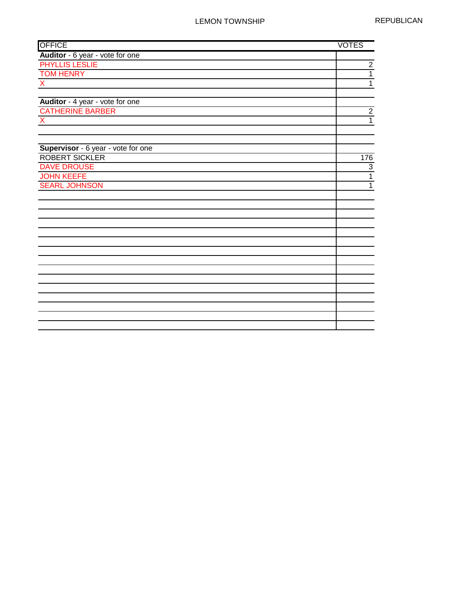| <b>OFFICE</b>                      | <b>VOTES</b>   |
|------------------------------------|----------------|
| Auditor - 6 year - vote for one    |                |
| <b>PHYLLIS LESLIE</b>              | $\overline{2}$ |
| <b>TOM HENRY</b>                   | $\overline{1}$ |
| $\overline{X}$                     | $\overline{1}$ |
|                                    |                |
| Auditor - 4 year - vote for one    |                |
| <b>CATHERINE BARBER</b>            | $\overline{2}$ |
| $\boldsymbol{\mathsf{X}}$          | $\overline{1}$ |
|                                    |                |
|                                    |                |
| Supervisor - 6 year - vote for one |                |
| <b>ROBERT SICKLER</b>              | 176            |
| <b>DAVE DROUSE</b>                 | 3              |
| <b>JOHN KEEFE</b>                  | $\overline{1}$ |
| <b>SEARL JOHNSON</b>               | $\overline{1}$ |
|                                    |                |
|                                    |                |
|                                    |                |
|                                    |                |
|                                    |                |
|                                    |                |
|                                    |                |
|                                    |                |
|                                    |                |
|                                    |                |
|                                    |                |
|                                    |                |
|                                    |                |
|                                    |                |
|                                    |                |
|                                    |                |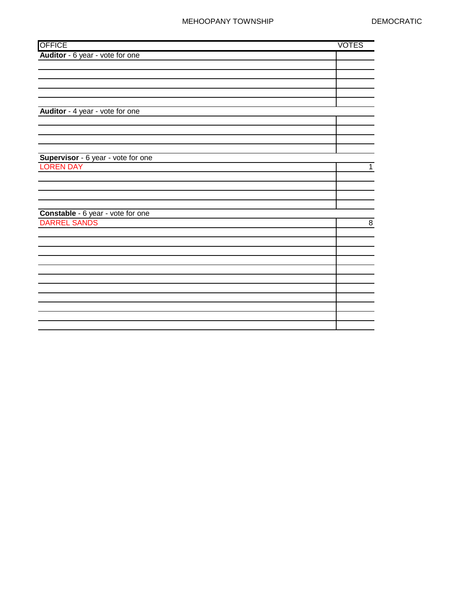#### MEHOOPANY TOWNSHIP DEMOCRATIC

| <b>OFFICE</b>                                     | <b>VOTES</b> |                |
|---------------------------------------------------|--------------|----------------|
| Auditor - 6 year - vote for one                   |              |                |
|                                                   |              |                |
|                                                   |              |                |
|                                                   |              |                |
|                                                   |              |                |
|                                                   |              |                |
| Auditor - 4 year - vote for one                   |              |                |
|                                                   |              |                |
|                                                   |              |                |
|                                                   |              |                |
|                                                   |              |                |
| Supervisor - 6 year - vote for one                |              |                |
| <b>LOREN DAY</b>                                  |              | $\mathbf{1}$   |
|                                                   |              |                |
|                                                   |              |                |
|                                                   |              |                |
|                                                   |              |                |
| Constable - 6 year - vote for one<br>DARREL SANDS |              |                |
|                                                   |              | $\overline{8}$ |
|                                                   |              |                |
|                                                   |              |                |
|                                                   |              |                |
|                                                   |              |                |
|                                                   |              |                |
|                                                   |              |                |
|                                                   |              |                |
|                                                   |              |                |
|                                                   |              |                |
|                                                   |              |                |
|                                                   |              |                |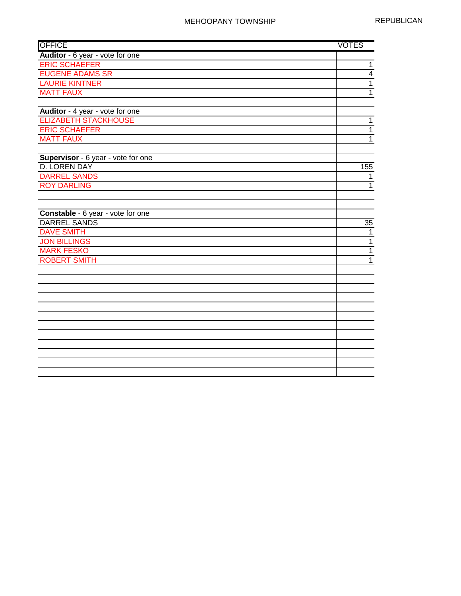| <b>OFFICE</b>                      | <b>VOTES</b>   |
|------------------------------------|----------------|
| Auditor - 6 year - vote for one    |                |
| <b>ERIC SCHAEFER</b>               | $\overline{1}$ |
| <b>EUGENE ADAMS SR</b>             | $\overline{4}$ |
| <b>LAURIE KINTNER</b>              | $\overline{1}$ |
| <b>MATT FAUX</b>                   | $\overline{1}$ |
|                                    |                |
| Auditor - 4 year - vote for one    |                |
| <b>ELIZABETH STACKHOUSE</b>        | $\mathbf{1}$   |
| <b>ERIC SCHAEFER</b>               | $\mathbf{1}$   |
| <b>MATT FAUX</b>                   | $\overline{1}$ |
|                                    |                |
| Supervisor - 6 year - vote for one |                |
| <b>D. LOREN DAY</b>                | 155            |
| <b>DARREL SANDS</b>                | 1              |
| <b>ROY DARLING</b>                 | $\mathbf{1}$   |
|                                    |                |
|                                    |                |
| Constable - 6 year - vote for one  |                |
| <b>DARREL SANDS</b>                | 35             |
| <b>DAVE SMITH</b>                  | $\mathbf{1}$   |
| <b>JON BILLINGS</b>                | $\overline{1}$ |
| <b>MARK FESKO</b>                  | $\overline{1}$ |
| <b>ROBERT SMITH</b>                | $\mathbf{1}$   |
|                                    |                |
|                                    |                |
|                                    |                |
|                                    |                |
|                                    |                |
|                                    |                |
|                                    |                |
|                                    |                |
|                                    |                |
|                                    |                |
|                                    |                |
|                                    |                |
|                                    |                |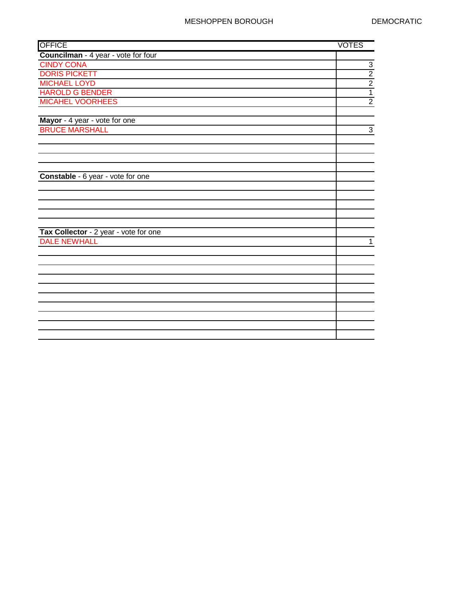| <b>OFFICE</b>                         | <b>VOTES</b>                |
|---------------------------------------|-----------------------------|
| Councilman - 4 year - vote for four   |                             |
| <b>CINDY CONA</b>                     |                             |
| <b>DORIS PICKETT</b>                  | $\frac{3}{2}$ $\frac{2}{1}$ |
| <b>MICHAEL LOYD</b>                   |                             |
| <b>HAROLD G BENDER</b>                |                             |
| <b>MICAHEL VOORHEES</b>               | $\overline{2}$              |
|                                       |                             |
| Mayor - 4 year - vote for one         |                             |
| <b>BRUCE MARSHALL</b>                 | $\sqrt{3}$                  |
|                                       |                             |
|                                       |                             |
|                                       |                             |
|                                       |                             |
| Constable - 6 year - vote for one     |                             |
|                                       |                             |
|                                       |                             |
|                                       |                             |
|                                       |                             |
|                                       |                             |
| Tax Collector - 2 year - vote for one |                             |
| <b>DALE NEWHALL</b>                   | $\mathbf 1$                 |
|                                       |                             |
|                                       |                             |
|                                       |                             |
|                                       |                             |
|                                       |                             |
|                                       |                             |
|                                       |                             |
|                                       |                             |
|                                       |                             |
|                                       |                             |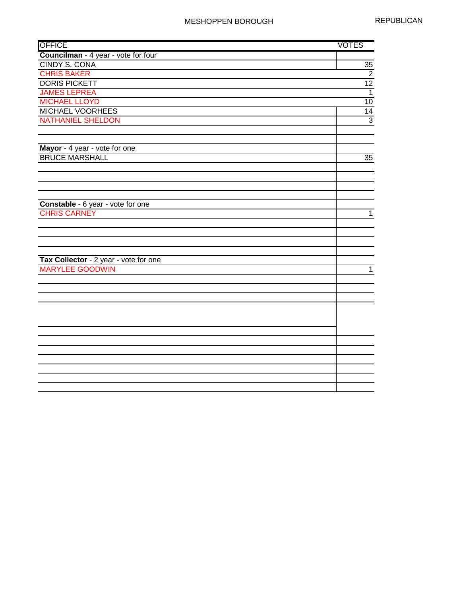| <b>OFFICE</b>                         | <b>VOTES</b>   |
|---------------------------------------|----------------|
| Councilman - 4 year - vote for four   |                |
| <b>CINDY S. CONA</b>                  | 35             |
| <b>CHRIS BAKER</b>                    | $\overline{2}$ |
| <b>DORIS PICKETT</b>                  | 12             |
| <b>JAMES LEPREA</b>                   | $\overline{1}$ |
| <b>MICHAEL LLOYD</b>                  | 10             |
| <b>MICHAEL VOORHEES</b>               | 14             |
| <b>NATHANIEL SHELDON</b>              | $\overline{3}$ |
|                                       |                |
|                                       |                |
| Mayor - 4 year - vote for one         |                |
| <b>BRUCE MARSHALL</b>                 | 35             |
|                                       |                |
|                                       |                |
|                                       |                |
|                                       |                |
| Constable - 6 year - vote for one     |                |
| <b>CHRIS CARNEY</b>                   | $\mathbf{1}$   |
|                                       |                |
|                                       |                |
|                                       |                |
|                                       |                |
| Tax Collector - 2 year - vote for one |                |
| <b>MARYLEE GOODWIN</b>                | $\mathbf{1}$   |
|                                       |                |
|                                       |                |
|                                       |                |
|                                       |                |
|                                       |                |
|                                       |                |
|                                       |                |
|                                       |                |
|                                       |                |
|                                       |                |
|                                       |                |
|                                       |                |
|                                       |                |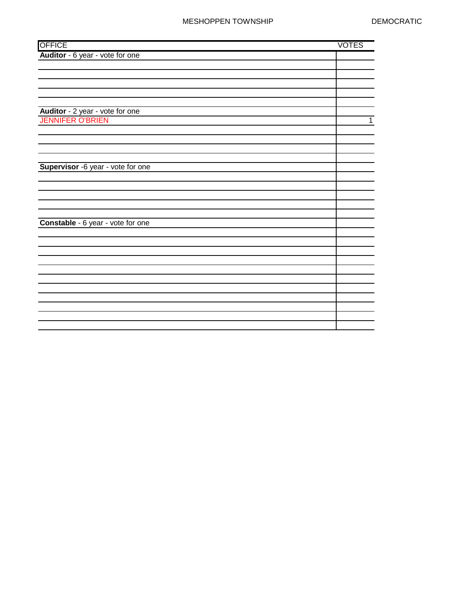#### MESHOPPEN TOWNSHIP DEMOCRATIC

| <b>OFFICE</b>                     | <b>VOTES</b> |
|-----------------------------------|--------------|
| Auditor - 6 year - vote for one   |              |
|                                   |              |
|                                   |              |
|                                   |              |
|                                   |              |
|                                   |              |
| Auditor - 2 year - vote for one   |              |
| <b>JENNIFER O'BRIEN</b>           | $\mathbf{1}$ |
|                                   |              |
|                                   |              |
|                                   |              |
|                                   |              |
| Supervisor -6 year - vote for one |              |
|                                   |              |
|                                   |              |
|                                   |              |
|                                   |              |
|                                   |              |
| Constable - 6 year - vote for one |              |
|                                   |              |
|                                   |              |
|                                   |              |
|                                   |              |
|                                   |              |
|                                   |              |
|                                   |              |
|                                   |              |
|                                   |              |
|                                   |              |
|                                   |              |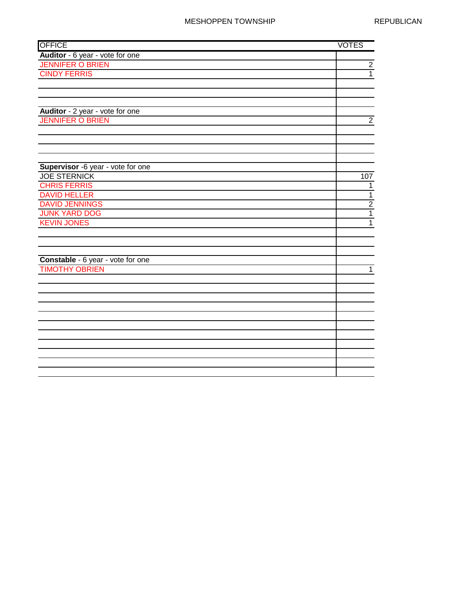| <b>OFFICE</b>                     | <b>VOTES</b>   |
|-----------------------------------|----------------|
| Auditor - 6 year - vote for one   |                |
| <b>JENNIFER O BRIEN</b>           | $\overline{2}$ |
| <b>CINDY FERRIS</b>               | $\overline{1}$ |
|                                   |                |
|                                   |                |
|                                   |                |
| Auditor - 2 year - vote for one   |                |
| <b>JENNIFER O BRIEN</b>           | $\mathbf{2}$   |
|                                   |                |
|                                   |                |
|                                   |                |
|                                   |                |
| Supervisor -6 year - vote for one |                |
| <b>JOE STERNICK</b>               | 107            |
| <b>CHRIS FERRIS</b>               | $\mathbf{1}$   |
| <b>DAVID HELLER</b>               | $\overline{1}$ |
| <b>DAVID JENNINGS</b>             | $\frac{2}{1}$  |
| <b>JUNK YARD DOG</b>              |                |
| <b>KEVIN JONES</b>                | $\overline{1}$ |
|                                   |                |
|                                   |                |
|                                   |                |
| Constable - 6 year - vote for one |                |
| <b>TIMOTHY OBRIEN</b>             | $\mathbf{1}$   |
|                                   |                |
|                                   |                |
|                                   |                |
|                                   |                |
|                                   |                |
|                                   |                |
|                                   |                |
|                                   |                |
|                                   |                |
|                                   |                |
|                                   |                |
|                                   |                |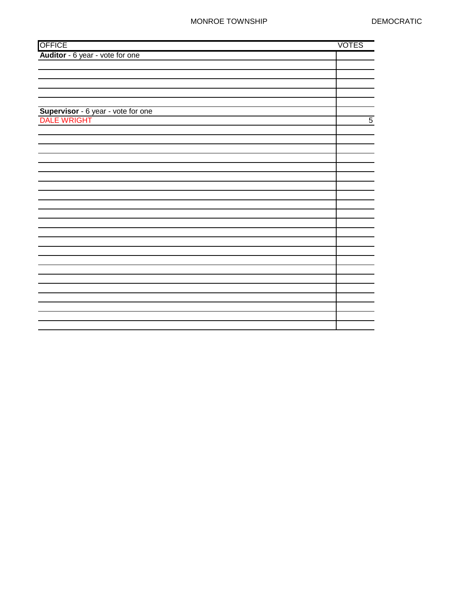### MONROE TOWNSHIP DEMOCRATIC

|                                                   | <b>VOTES</b>   |
|---------------------------------------------------|----------------|
| OFFICE<br><b>Auditor</b> - 6 year - vote for one  |                |
|                                                   |                |
|                                                   |                |
|                                                   |                |
|                                                   |                |
|                                                   |                |
|                                                   |                |
| Supervisor - 6 year - vote for one<br>DALE WRIGHT | $\overline{5}$ |
|                                                   |                |
|                                                   |                |
|                                                   |                |
|                                                   |                |
|                                                   |                |
|                                                   |                |
|                                                   |                |
|                                                   |                |
|                                                   |                |
|                                                   |                |
|                                                   |                |
|                                                   |                |
|                                                   |                |
|                                                   |                |
|                                                   |                |
|                                                   |                |
|                                                   |                |
|                                                   |                |
|                                                   |                |
|                                                   |                |
|                                                   |                |
|                                                   |                |
|                                                   |                |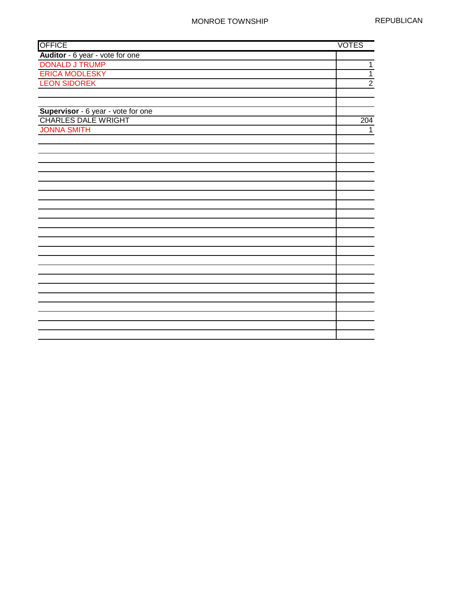| Auditor - 6 year - vote for one<br><b>DONALD J TRUMP</b><br><b>ERICA MODLESKY</b><br><b>LEON SIDOREK</b><br>Supervisor - 6 year - vote for one<br><b>CHARLES DALE WRIGHT</b><br>204<br><b>JONNA SMITH</b> | <b>OFFICE</b> | <b>VOTES</b>   |
|-----------------------------------------------------------------------------------------------------------------------------------------------------------------------------------------------------------|---------------|----------------|
|                                                                                                                                                                                                           |               |                |
|                                                                                                                                                                                                           |               | $\overline{1}$ |
|                                                                                                                                                                                                           |               | $\overline{1}$ |
|                                                                                                                                                                                                           |               | $\overline{2}$ |
|                                                                                                                                                                                                           |               |                |
|                                                                                                                                                                                                           |               |                |
|                                                                                                                                                                                                           |               |                |
|                                                                                                                                                                                                           |               |                |
|                                                                                                                                                                                                           |               | 1              |
|                                                                                                                                                                                                           |               |                |
|                                                                                                                                                                                                           |               |                |
|                                                                                                                                                                                                           |               |                |
|                                                                                                                                                                                                           |               |                |
|                                                                                                                                                                                                           |               |                |
|                                                                                                                                                                                                           |               |                |
|                                                                                                                                                                                                           |               |                |
|                                                                                                                                                                                                           |               |                |
|                                                                                                                                                                                                           |               |                |
|                                                                                                                                                                                                           |               |                |
|                                                                                                                                                                                                           |               |                |
|                                                                                                                                                                                                           |               |                |
|                                                                                                                                                                                                           |               |                |
|                                                                                                                                                                                                           |               |                |
|                                                                                                                                                                                                           |               |                |
|                                                                                                                                                                                                           |               |                |
|                                                                                                                                                                                                           |               |                |
|                                                                                                                                                                                                           |               |                |
|                                                                                                                                                                                                           |               |                |
|                                                                                                                                                                                                           |               |                |
|                                                                                                                                                                                                           |               |                |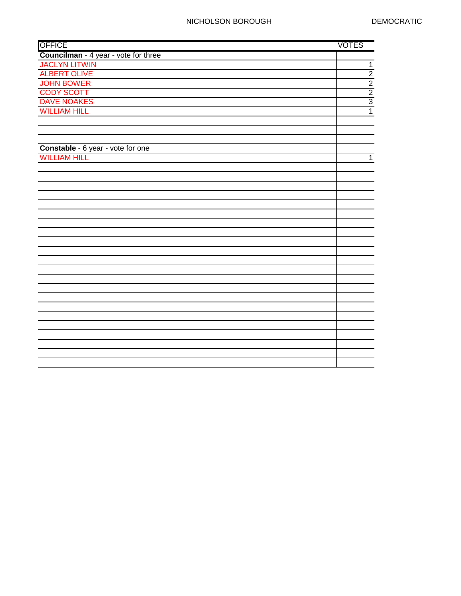| <b>OFFICE</b>                        | <b>VOTES</b>   |
|--------------------------------------|----------------|
| Councilman - 4 year - vote for three |                |
| <b>JACLYN LITWIN</b>                 | $\overline{1}$ |
| <b>ALBERT OLIVE</b>                  | $\overline{2}$ |
| <b>JOHN BOWER</b>                    | $\overline{2}$ |
| <b>CODY SCOTT</b>                    | $\overline{2}$ |
| <b>DAVE NOAKES</b>                   | $\overline{3}$ |
| <b>WILLIAM HILL</b>                  | $\overline{1}$ |
|                                      |                |
|                                      |                |
|                                      |                |
| Constable - 6 year - vote for one    |                |
| <b>WILLIAM HILL</b>                  | $\mathbf{1}$   |
|                                      |                |
|                                      |                |
|                                      |                |
|                                      |                |
|                                      |                |
|                                      |                |
|                                      |                |
|                                      |                |
|                                      |                |
|                                      |                |
|                                      |                |
|                                      |                |
|                                      |                |
|                                      |                |
|                                      |                |
|                                      |                |
|                                      |                |
|                                      |                |
|                                      |                |
|                                      |                |
|                                      |                |
|                                      |                |
|                                      |                |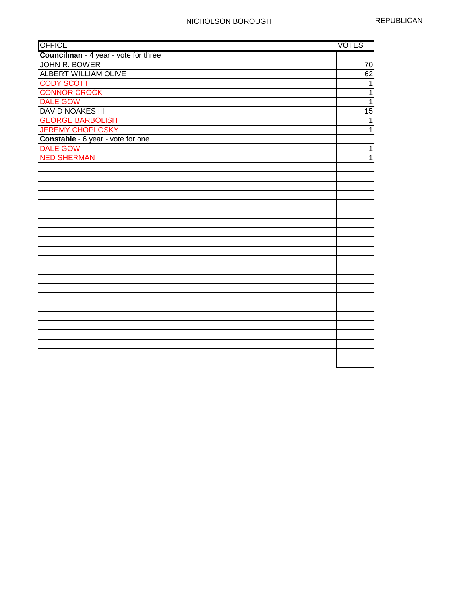| <b>OFFICE</b>                        | <b>VOTES</b>   |
|--------------------------------------|----------------|
| Councilman - 4 year - vote for three |                |
| <b>JOHN R. BOWER</b>                 | 70             |
| <b>ALBERT WILLIAM OLIVE</b>          | 62             |
| <b>CODY SCOTT</b>                    | $\mathbf{1}$   |
| <b>CONNOR CROCK</b>                  | $\overline{1}$ |
| <b>DALE GOW</b>                      | $\overline{1}$ |
| <b>DAVID NOAKES III</b>              | 15             |
| <b>GEORGE BARBOLISH</b>              | $\mathbf{1}$   |
| <b>JEREMY CHOPLOSKY</b>              | $\mathbf{1}$   |
| Constable - 6 year - vote for one    |                |
| <b>DALE GOW</b>                      | $\mathbf{1}$   |
| <b>NED SHERMAN</b>                   | $\mathbf{1}$   |
|                                      |                |
|                                      |                |
|                                      |                |
|                                      |                |
|                                      |                |
|                                      |                |
|                                      |                |
|                                      |                |
|                                      |                |
|                                      |                |
|                                      |                |
|                                      |                |
|                                      |                |
|                                      |                |
|                                      |                |
|                                      |                |
|                                      |                |
|                                      |                |
|                                      |                |
|                                      |                |
|                                      |                |
|                                      |                |
|                                      |                |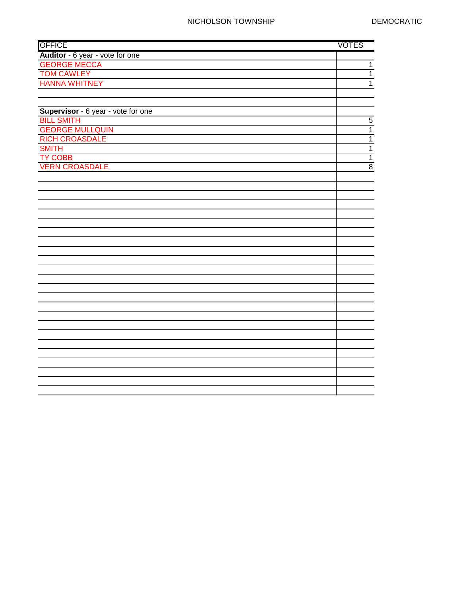| <b>OFFICE</b>                      | <b>VOTES</b>   |
|------------------------------------|----------------|
| Auditor - 6 year - vote for one    |                |
| <b>GEORGE MECCA</b>                | $\overline{1}$ |
| <b>TOM CAWLEY</b>                  | $\overline{1}$ |
| <b>HANNA WHITNEY</b>               | $\overline{1}$ |
|                                    |                |
|                                    |                |
| Supervisor - 6 year - vote for one |                |
| <b>BILL SMITH</b>                  | $\overline{5}$ |
| <b>GEORGE MULLQUIN</b>             | $\overline{1}$ |
| <b>RICH CROASDALE</b>              | $\overline{1}$ |
| <b>SMITH</b>                       | $\overline{1}$ |
| <b>TY COBB</b>                     | $\overline{1}$ |
| <b>VERN CROASDALE</b>              | $\overline{8}$ |
|                                    |                |
|                                    |                |
|                                    |                |
|                                    |                |
|                                    |                |
|                                    |                |
|                                    |                |
|                                    |                |
|                                    |                |
|                                    |                |
|                                    |                |
|                                    |                |
|                                    |                |
|                                    |                |
|                                    |                |
|                                    |                |
|                                    |                |
|                                    |                |
|                                    |                |
|                                    |                |
|                                    |                |
|                                    |                |
|                                    |                |
|                                    |                |
|                                    |                |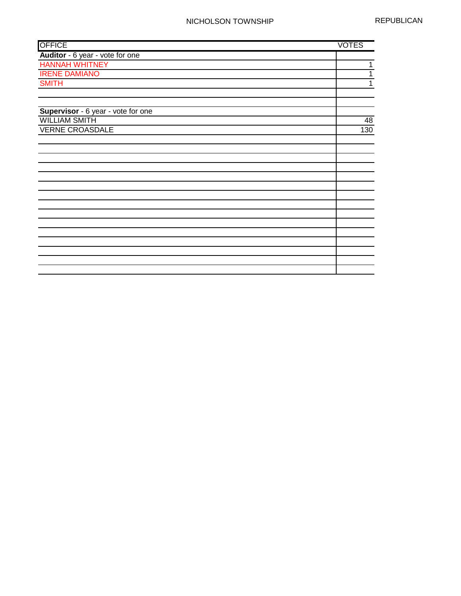| Auditor - 6 year - vote for one<br><b>HANNAH WHITNEY</b><br><b>IRENE DAMIANO</b><br><b>SMITH</b><br>Supervisor - 6 year - vote for one<br><b>WILLIAM SMITH</b><br><b>VERNE CROASDALE</b> | <b>OFFICE</b> | <b>VOTES</b> |
|------------------------------------------------------------------------------------------------------------------------------------------------------------------------------------------|---------------|--------------|
|                                                                                                                                                                                          |               |              |
|                                                                                                                                                                                          |               | 1            |
|                                                                                                                                                                                          |               | 1            |
|                                                                                                                                                                                          |               | 1            |
|                                                                                                                                                                                          |               |              |
|                                                                                                                                                                                          |               |              |
|                                                                                                                                                                                          |               |              |
|                                                                                                                                                                                          |               | 48           |
|                                                                                                                                                                                          |               | 130          |
|                                                                                                                                                                                          |               |              |
|                                                                                                                                                                                          |               |              |
|                                                                                                                                                                                          |               |              |
|                                                                                                                                                                                          |               |              |
|                                                                                                                                                                                          |               |              |
|                                                                                                                                                                                          |               |              |
|                                                                                                                                                                                          |               |              |
|                                                                                                                                                                                          |               |              |
|                                                                                                                                                                                          |               |              |
|                                                                                                                                                                                          |               |              |
|                                                                                                                                                                                          |               |              |
|                                                                                                                                                                                          |               |              |
|                                                                                                                                                                                          |               |              |
|                                                                                                                                                                                          |               |              |
|                                                                                                                                                                                          |               |              |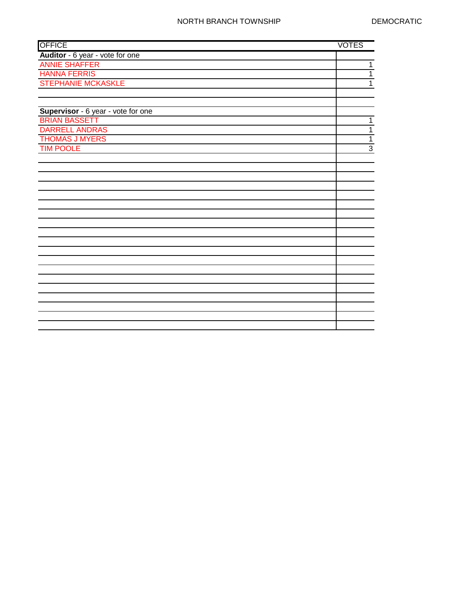| <b>OFFICE</b>                      | <b>VOTES</b>   |
|------------------------------------|----------------|
| Auditor - 6 year - vote for one    |                |
| <b>ANNIE SHAFFER</b>               | 1              |
| <b>HANNA FERRIS</b>                | 1              |
| <b>STEPHANIE MCKASKLE</b>          | $\mathbf{1}$   |
|                                    |                |
|                                    |                |
| Supervisor - 6 year - vote for one |                |
| <b>BRIAN BASSETT</b>               | 1              |
| <b>DARRELL ANDRAS</b>              | $\mathbf{1}$   |
| <b>THOMAS J MYERS</b>              | $\overline{1}$ |
| <b>TIM POOLE</b>                   | $\overline{3}$ |
|                                    |                |
|                                    |                |
|                                    |                |
|                                    |                |
|                                    |                |
|                                    |                |
|                                    |                |
|                                    |                |
|                                    |                |
|                                    |                |
|                                    |                |
|                                    |                |
|                                    |                |
|                                    |                |
|                                    |                |
|                                    |                |
|                                    |                |
|                                    |                |
|                                    |                |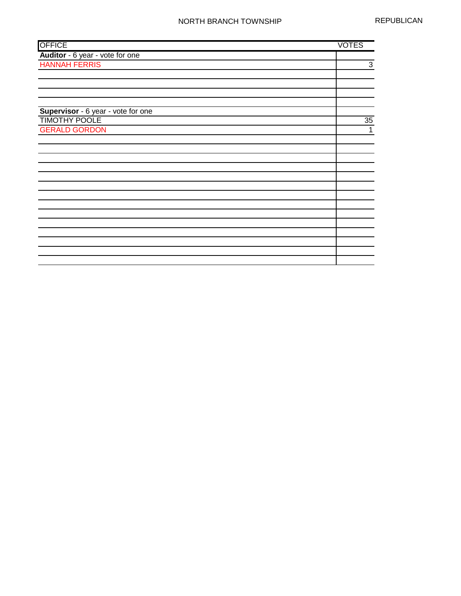| <b>OFFICE</b>                      | <b>VOTES</b> |
|------------------------------------|--------------|
| Auditor - 6 year - vote for one    |              |
| <b>HANNAH FERRIS</b>               | 3            |
|                                    |              |
|                                    |              |
|                                    |              |
|                                    |              |
| Supervisor - 6 year - vote for one |              |
| <b>TIMOTHY POOLE</b>               | 35           |
| <b>GERALD GORDON</b>               | 1            |
|                                    |              |
|                                    |              |
|                                    |              |
|                                    |              |
|                                    |              |
|                                    |              |
|                                    |              |
|                                    |              |
|                                    |              |
|                                    |              |
|                                    |              |
|                                    |              |
|                                    |              |
|                                    |              |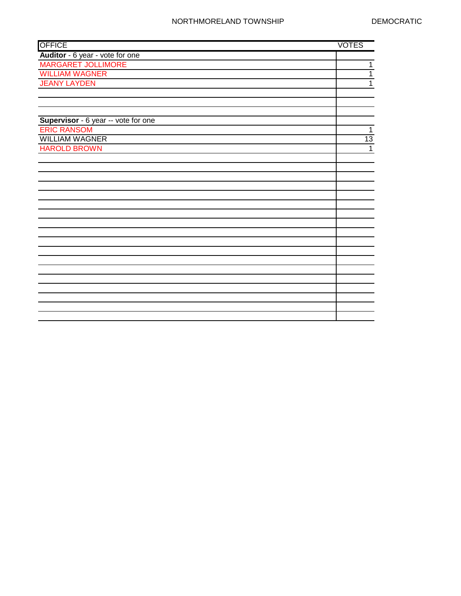| <b>OFFICE</b>                       | <b>VOTES</b> |
|-------------------------------------|--------------|
| Auditor - 6 year - vote for one     |              |
| <b>MARGARET JOLLIMORE</b>           | 1            |
| <b>WILLIAM WAGNER</b>               | 1            |
| <b>JEANY LAYDEN</b>                 | 1            |
|                                     |              |
|                                     |              |
|                                     |              |
| Supervisor - 6 year -- vote for one |              |
| <b>ERIC RANSOM</b>                  | 1            |
| <b>WILLIAM WAGNER</b>               | 13           |
| <b>HAROLD BROWN</b>                 | $\mathbf{1}$ |
|                                     |              |
|                                     |              |
|                                     |              |
|                                     |              |
|                                     |              |
|                                     |              |
|                                     |              |
|                                     |              |
|                                     |              |
|                                     |              |
|                                     |              |
|                                     |              |
|                                     |              |
|                                     |              |
|                                     |              |
|                                     |              |
|                                     |              |
|                                     |              |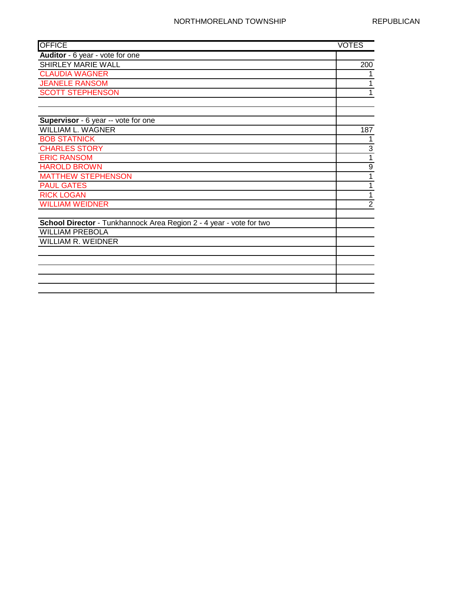| <b>OFFICE</b>                                                       | <b>VOTES</b>     |
|---------------------------------------------------------------------|------------------|
| Auditor - 6 year - vote for one                                     |                  |
| <b>SHIRLEY MARIE WALL</b>                                           | 200              |
| <b>CLAUDIA WAGNER</b>                                               | 1                |
| <b>JEANELE RANSOM</b>                                               | 1                |
| <b>SCOTT STEPHENSON</b>                                             | $\mathbf{1}$     |
|                                                                     |                  |
|                                                                     |                  |
| Supervisor - 6 year -- vote for one                                 |                  |
| <b>WILLIAM L. WAGNER</b>                                            | 187              |
| <b>BOB STATNICK</b>                                                 |                  |
| <b>CHARLES STORY</b>                                                | 3                |
| <b>ERIC RANSOM</b>                                                  | 1                |
| <b>HAROLD BROWN</b>                                                 | $\boldsymbol{9}$ |
| <b>MATTHEW STEPHENSON</b>                                           | 1                |
| <b>PAUL GATES</b>                                                   | 1                |
| <b>RICK LOGAN</b>                                                   | 1                |
| <b>WILLIAM WEIDNER</b>                                              | $\overline{2}$   |
|                                                                     |                  |
| School Director - Tunkhannock Area Region 2 - 4 year - vote for two |                  |
| <b>WILLIAM PREBOLA</b>                                              |                  |
| <b>WILLIAM R. WEIDNER</b>                                           |                  |
|                                                                     |                  |
|                                                                     |                  |
|                                                                     |                  |
|                                                                     |                  |
|                                                                     |                  |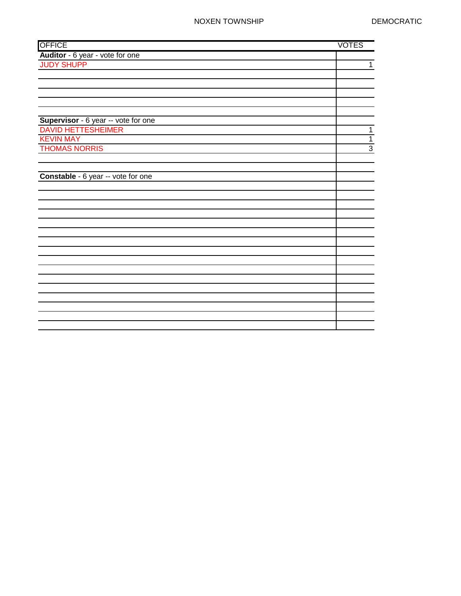| <b>OFFICE</b>                       | <b>VOTES</b>   |
|-------------------------------------|----------------|
| Auditor - 6 year - vote for one     |                |
| <b>JUDY SHUPP</b>                   | $\mathbf{1}$   |
|                                     |                |
|                                     |                |
|                                     |                |
|                                     |                |
|                                     |                |
| Supervisor - 6 year -- vote for one |                |
| <b>DAVID HETTESHEIMER</b>           | $\mathbf{1}$   |
| <b>KEVIN MAY</b>                    | $\overline{1}$ |
| <b>THOMAS NORRIS</b>                | $\overline{3}$ |
|                                     |                |
|                                     |                |
| Constable - 6 year -- vote for one  |                |
|                                     |                |
|                                     |                |
|                                     |                |
|                                     |                |
|                                     |                |
|                                     |                |
|                                     |                |
|                                     |                |
|                                     |                |
|                                     |                |
|                                     |                |
|                                     |                |
|                                     |                |
|                                     |                |
|                                     |                |
|                                     |                |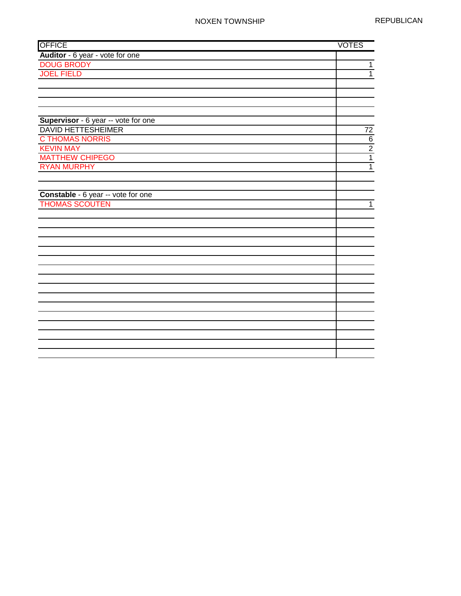| <b>OFFICE</b>                       | <b>VOTES</b>   |
|-------------------------------------|----------------|
| Auditor - 6 year - vote for one     |                |
| <b>DOUG BRODY</b>                   | $\mathbf 1$    |
| <b>JOEL FIELD</b>                   | $\overline{1}$ |
|                                     |                |
|                                     |                |
|                                     |                |
|                                     |                |
| Supervisor - 6 year -- vote for one |                |
| <b>DAVID HETTESHEIMER</b>           | 72             |
| <b>C THOMAS NORRIS</b>              | $\overline{6}$ |
| <b>KEVIN MAY</b>                    | $\overline{2}$ |
| <b>MATTHEW CHIPEGO</b>              | $\overline{1}$ |
| <b>RYAN MURPHY</b>                  | $\mathbf 1$    |
|                                     |                |
|                                     |                |
| Constable - 6 year -- vote for one  |                |
| <b>THOMAS SCOUTEN</b>               | $\overline{1}$ |
|                                     |                |
|                                     |                |
|                                     |                |
|                                     |                |
|                                     |                |
|                                     |                |
|                                     |                |
|                                     |                |
|                                     |                |
|                                     |                |
|                                     |                |
|                                     |                |
|                                     |                |
|                                     |                |
|                                     |                |
|                                     |                |
|                                     |                |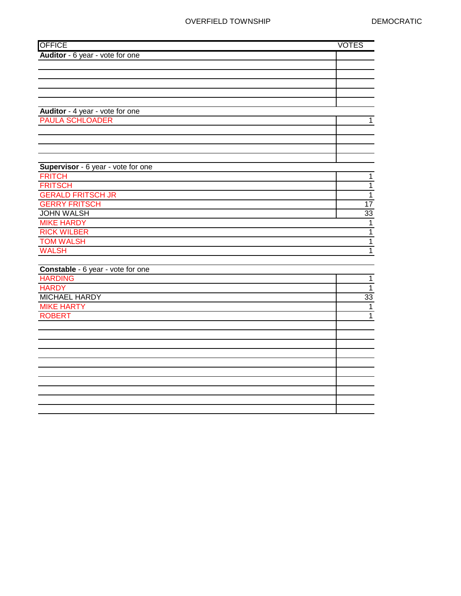### OVERFIELD TOWNSHIP DEMOCRATIC

| <b>OFFICE</b>                      | <b>VOTES</b>   |
|------------------------------------|----------------|
| Auditor - 6 year - vote for one    |                |
|                                    |                |
|                                    |                |
|                                    |                |
|                                    |                |
|                                    |                |
| Auditor - 4 year - vote for one    |                |
| <b>PAULA SCHLOADER</b>             | $\mathbf{1}$   |
|                                    |                |
|                                    |                |
|                                    |                |
|                                    |                |
| Supervisor - 6 year - vote for one |                |
| <b>FRITCH</b>                      | $\mathbf 1$    |
| <b>FRITSCH</b>                     | $\overline{1}$ |
| <b>GERALD FRITSCH JR</b>           | $\overline{1}$ |
| <b>GERRY FRITSCH</b>               | 17             |
| <b>JOHN WALSH</b>                  | 33             |
| <b>MIKE HARDY</b>                  | $\overline{1}$ |
| <b>RICK WILBER</b>                 | $\overline{1}$ |
| <b>TOM WALSH</b>                   | $\overline{1}$ |
| <b>WALSH</b>                       | $\overline{1}$ |
|                                    |                |
| Constable - 6 year - vote for one  |                |
| <b>HARDING</b>                     | $\mathbf{1}$   |
| <b>HARDY</b>                       | $\overline{1}$ |
| <b>MICHAEL HARDY</b>               | 33             |
| <b>MIKE HARTY</b>                  | $\mathbf{1}$   |
| <b>ROBERT</b>                      | $\mathbf{1}$   |
|                                    |                |
|                                    |                |
|                                    |                |
|                                    |                |
|                                    |                |
|                                    |                |
|                                    |                |
|                                    |                |
|                                    |                |
|                                    |                |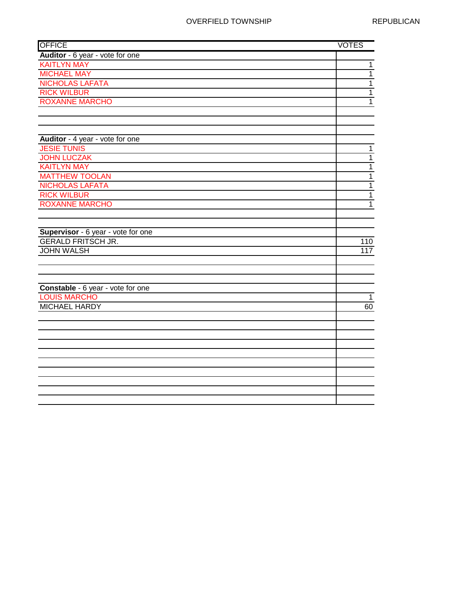| <b>OFFICE</b>                      | <b>VOTES</b>   |
|------------------------------------|----------------|
| Auditor - 6 year - vote for one    |                |
| <b>KAITLYN MAY</b>                 | $\mathbf 1$    |
| <b>MICHAEL MAY</b>                 | $\overline{1}$ |
| <b>NICHOLAS LAFATA</b>             | $\overline{1}$ |
| <b>RICK WILBUR</b>                 | $\mathbf 1$    |
| <b>ROXANNE MARCHO</b>              | $\overline{1}$ |
|                                    |                |
|                                    |                |
|                                    |                |
| Auditor - 4 year - vote for one    |                |
| <b>JESIE TUNIS</b>                 | $\mathbf 1$    |
| <b>JOHN LUCZAK</b>                 | $\mathbf 1$    |
| <b>KAITLYN MAY</b>                 | $\overline{1}$ |
| <b>MATTHEW TOOLAN</b>              | $\overline{1}$ |
| <b>NICHOLAS LAFATA</b>             | $\overline{1}$ |
| <b>RICK WILBUR</b>                 | $\mathbf 1$    |
| <b>ROXANNE MARCHO</b>              | $\overline{1}$ |
|                                    |                |
| Supervisor - 6 year - vote for one |                |
| <b>GERALD FRITSCH JR.</b>          | 110            |
| <b>JOHN WALSH</b>                  | 117            |
|                                    |                |
|                                    |                |
|                                    |                |
| Constable - 6 year - vote for one  |                |
| <b>LOUIS MARCHO</b>                | $\mathbf 1$    |
| <b>MICHAEL HARDY</b>               | 60             |
|                                    |                |
|                                    |                |
|                                    |                |
|                                    |                |
|                                    |                |
|                                    |                |
|                                    |                |
|                                    |                |
|                                    |                |
|                                    |                |
|                                    |                |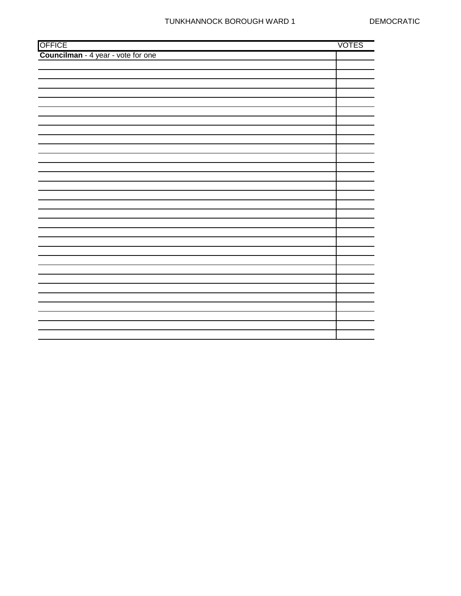|                                              | <b>VOTES</b> |
|----------------------------------------------|--------------|
| OFFICE<br>Councilman - 4 year - vote for one |              |
|                                              |              |
|                                              |              |
|                                              |              |
|                                              |              |
|                                              |              |
|                                              |              |
|                                              |              |
|                                              |              |
|                                              |              |
|                                              |              |
|                                              |              |
|                                              |              |
|                                              |              |
|                                              |              |
|                                              |              |
|                                              |              |
|                                              |              |
|                                              |              |
|                                              |              |
|                                              |              |
|                                              |              |
|                                              |              |
|                                              |              |
|                                              |              |
|                                              |              |
|                                              |              |
|                                              |              |
|                                              |              |
|                                              |              |
|                                              |              |
|                                              |              |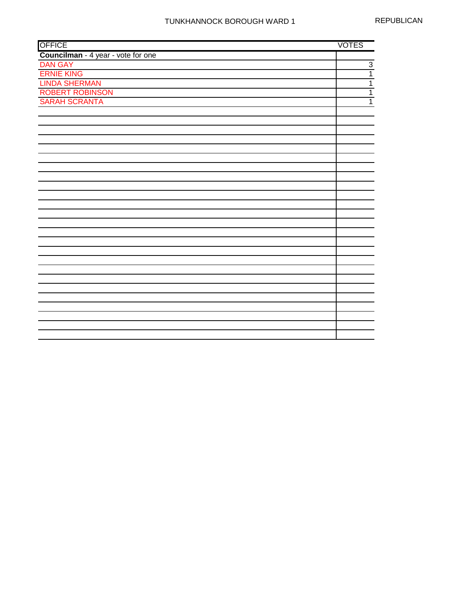| <b>OFFICE</b>                      | <b>VOTES</b>   |
|------------------------------------|----------------|
| Councilman - 4 year - vote for one |                |
| <b>DAN GAY</b>                     | $\overline{3}$ |
| <b>ERNIE KING</b>                  | 1              |
| <b>LINDA SHERMAN</b>               | 1              |
| <b>ROBERT ROBINSON</b>             | $\overline{1}$ |
| <b>SARAH SCRANTA</b>               | 1              |
|                                    |                |
|                                    |                |
|                                    |                |
|                                    |                |
|                                    |                |
|                                    |                |
|                                    |                |
|                                    |                |
|                                    |                |
|                                    |                |
|                                    |                |
|                                    |                |
|                                    |                |
|                                    |                |
|                                    |                |
|                                    |                |
|                                    |                |
|                                    |                |
|                                    |                |
|                                    |                |
|                                    |                |
|                                    |                |
|                                    |                |
|                                    |                |
|                                    |                |
|                                    |                |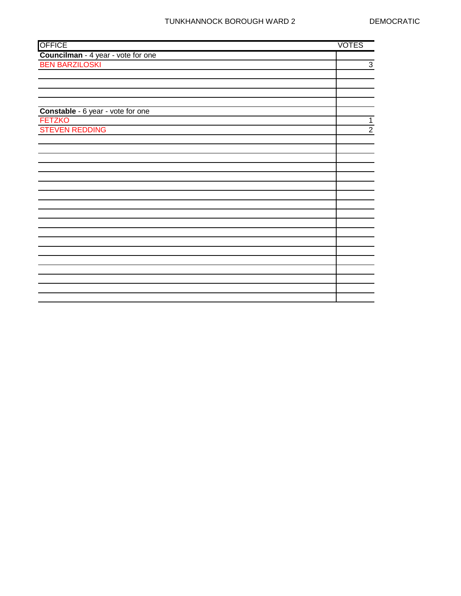| Councilman - 4 year - vote for one<br><b>BEN BARZILOSKI</b><br>Constable - 6 year - vote for one<br><b>FETZKO</b><br><b>STEVEN REDDING</b> |                |
|--------------------------------------------------------------------------------------------------------------------------------------------|----------------|
|                                                                                                                                            |                |
|                                                                                                                                            | 3              |
|                                                                                                                                            |                |
|                                                                                                                                            |                |
|                                                                                                                                            |                |
|                                                                                                                                            |                |
|                                                                                                                                            |                |
|                                                                                                                                            | $\mathbf 1$    |
|                                                                                                                                            | $\overline{2}$ |
|                                                                                                                                            |                |
|                                                                                                                                            |                |
|                                                                                                                                            |                |
|                                                                                                                                            |                |
|                                                                                                                                            |                |
|                                                                                                                                            |                |
|                                                                                                                                            |                |
|                                                                                                                                            |                |
|                                                                                                                                            |                |
|                                                                                                                                            |                |
|                                                                                                                                            |                |
|                                                                                                                                            |                |
|                                                                                                                                            |                |
|                                                                                                                                            |                |
|                                                                                                                                            |                |
|                                                                                                                                            |                |
|                                                                                                                                            |                |
|                                                                                                                                            |                |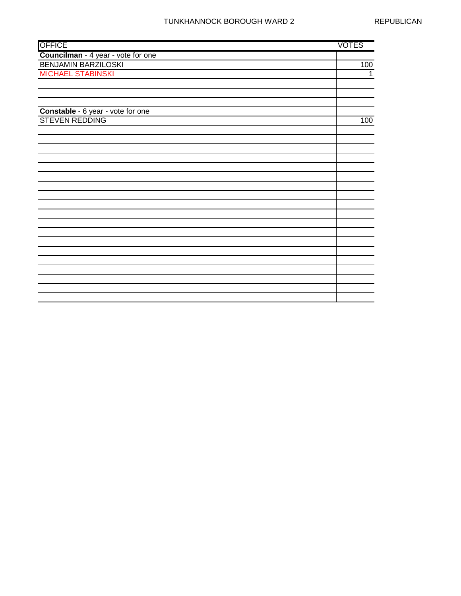| <b>OFFICE</b>                      | <b>VOTES</b> |
|------------------------------------|--------------|
| Councilman - 4 year - vote for one |              |
| <b>BENJAMIN BARZILOSKI</b>         | 100          |
| <b>MICHAEL STABINSKI</b>           | $\mathbf{1}$ |
|                                    |              |
|                                    |              |
|                                    |              |
| Constable - 6 year - vote for one  |              |
| <b>STEVEN REDDING</b>              | 100          |
|                                    |              |
|                                    |              |
|                                    |              |
|                                    |              |
|                                    |              |
|                                    |              |
|                                    |              |
|                                    |              |
|                                    |              |
|                                    |              |
|                                    |              |
|                                    |              |
|                                    |              |
|                                    |              |
|                                    |              |
|                                    |              |
|                                    |              |
|                                    |              |
|                                    |              |
|                                    |              |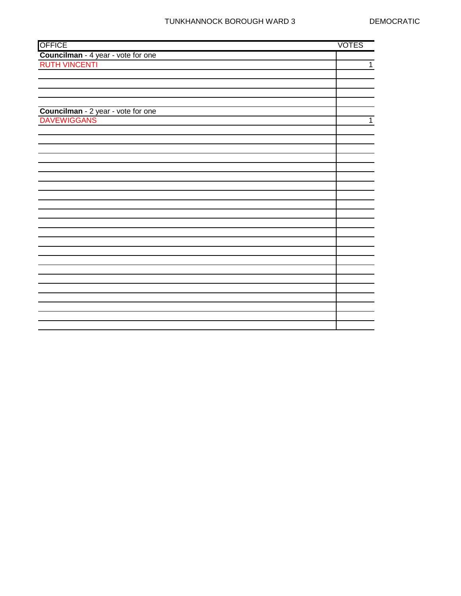|                                                   | <b>VOTES</b>   |
|---------------------------------------------------|----------------|
| OFFICE<br>Councilman - 4 year - vote for one      |                |
| <b>RUTH VINCENTI</b>                              | $\overline{1}$ |
|                                                   |                |
|                                                   |                |
|                                                   |                |
|                                                   |                |
|                                                   |                |
| Councilman - 2 year - vote for one<br>DAVEWIGGANS | $\mathbf{1}$   |
|                                                   |                |
|                                                   |                |
|                                                   |                |
|                                                   |                |
|                                                   |                |
|                                                   |                |
|                                                   |                |
|                                                   |                |
|                                                   |                |
|                                                   |                |
|                                                   |                |
|                                                   |                |
|                                                   |                |
|                                                   |                |
|                                                   |                |
|                                                   |                |
|                                                   |                |
|                                                   |                |
|                                                   |                |
|                                                   |                |
|                                                   |                |
|                                                   |                |
|                                                   |                |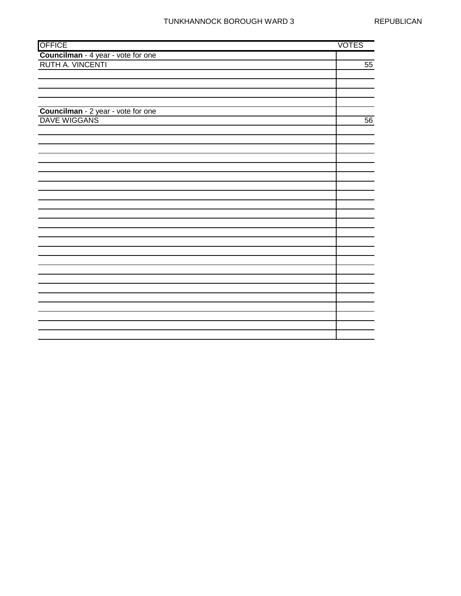| <b>OFFICE</b>                                                 | <b>VOTES</b>    |
|---------------------------------------------------------------|-----------------|
| <b>Councilman</b> - 4 year - vote for one<br>RUTH A. VINCENTI |                 |
|                                                               | $\overline{55}$ |
|                                                               |                 |
|                                                               |                 |
|                                                               |                 |
|                                                               |                 |
|                                                               |                 |
| Councilman - 2 year - vote for one<br>DAVE WIGGANS            | $\overline{56}$ |
|                                                               |                 |
|                                                               |                 |
|                                                               |                 |
|                                                               |                 |
|                                                               |                 |
|                                                               |                 |
|                                                               |                 |
|                                                               |                 |
|                                                               |                 |
|                                                               |                 |
|                                                               |                 |
|                                                               |                 |
|                                                               |                 |
|                                                               |                 |
|                                                               |                 |
|                                                               |                 |
|                                                               |                 |
|                                                               |                 |
|                                                               |                 |
|                                                               |                 |
|                                                               |                 |
|                                                               |                 |
|                                                               |                 |
|                                                               |                 |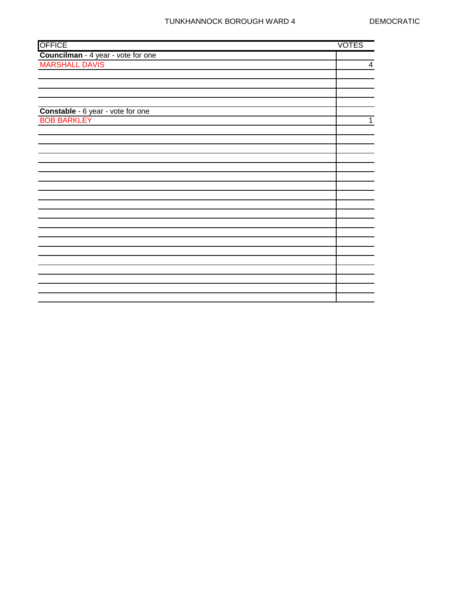| <b>OFFICE</b>                                        | <b>VOTES</b> |
|------------------------------------------------------|--------------|
| Councilman - 4 year - vote for one<br>MARSHALL DAVIS |              |
|                                                      | 4            |
|                                                      |              |
|                                                      |              |
|                                                      |              |
|                                                      |              |
| Constable - 6 year - vote for one                    |              |
| <b>BOB BARKLEY</b>                                   | $\mathbf{1}$ |
|                                                      |              |
|                                                      |              |
|                                                      |              |
|                                                      |              |
|                                                      |              |
|                                                      |              |
|                                                      |              |
|                                                      |              |
|                                                      |              |
|                                                      |              |
|                                                      |              |
|                                                      |              |
|                                                      |              |
|                                                      |              |
|                                                      |              |
|                                                      |              |
|                                                      |              |
|                                                      |              |
|                                                      |              |
|                                                      |              |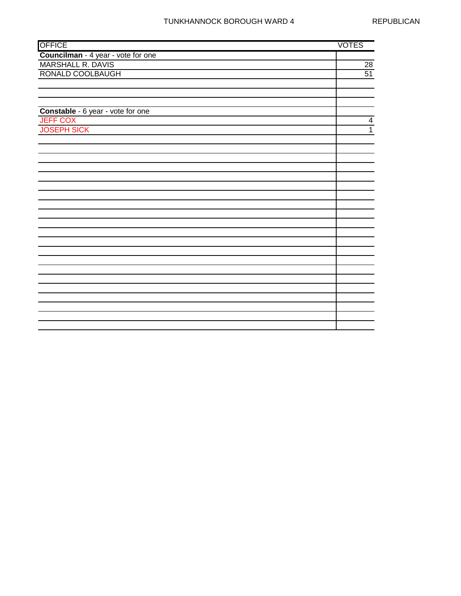| <b>OFFICE</b>                      | <b>VOTES</b>            |
|------------------------------------|-------------------------|
| Councilman - 4 year - vote for one |                         |
| <b>MARSHALL R. DAVIS</b>           | 28                      |
| RONALD COOLBAUGH                   | $\overline{51}$         |
|                                    |                         |
|                                    |                         |
|                                    |                         |
| Constable - 6 year - vote for one  |                         |
| <b>JEFF COX</b>                    | $\overline{\mathbf{4}}$ |
| <b>JOSEPH SICK</b>                 | $\overline{1}$          |
|                                    |                         |
|                                    |                         |
|                                    |                         |
|                                    |                         |
|                                    |                         |
|                                    |                         |
|                                    |                         |
|                                    |                         |
|                                    |                         |
|                                    |                         |
|                                    |                         |
|                                    |                         |
|                                    |                         |
|                                    |                         |
|                                    |                         |
|                                    |                         |
|                                    |                         |
|                                    |                         |
|                                    |                         |
|                                    |                         |
|                                    |                         |
|                                    |                         |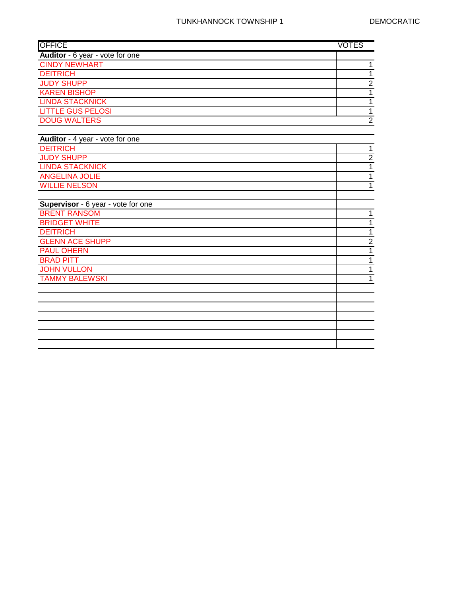| <b>OFFICE</b>                      | <b>VOTES</b>   |
|------------------------------------|----------------|
| Auditor - 6 year - vote for one    |                |
| <b>CINDY NEWHART</b>               | $\mathbf{1}$   |
| <b>DEITRICH</b>                    | $\mathbf{1}$   |
| <b>JUDY SHUPP</b>                  | $\overline{2}$ |
| <b>KAREN BISHOP</b>                | $\overline{1}$ |
| <b>LINDA STACKNICK</b>             | $\overline{1}$ |
| <b>LITTLE GUS PELOSI</b>           | $\mathbf{1}$   |
| <b>DOUG WALTERS</b>                | $\overline{2}$ |
|                                    |                |
| Auditor - 4 year - vote for one    |                |
| <b>DEITRICH</b>                    | $\mathbf{1}$   |
| <b>JUDY SHUPP</b>                  | $\overline{2}$ |
| <b>LINDA STACKNICK</b>             | $\overline{1}$ |
| <b>ANGELINA JOLIE</b>              | $\overline{1}$ |
| <b>WILLIE NELSON</b>               | $\mathbf{1}$   |
|                                    |                |
| Supervisor - 6 year - vote for one |                |
| <b>BRENT RANSOM</b>                | $\mathbf{1}$   |
| <b>BRIDGET WHITE</b>               | $\overline{1}$ |
| <b>DEITRICH</b>                    | $\overline{1}$ |
| <b>GLENN ACE SHUPP</b>             | $\overline{2}$ |
| <b>PAUL OHERN</b>                  | $\mathbf{1}$   |
| <b>BRAD PITT</b>                   | $\mathbf{1}$   |
| <b>JOHN VULLON</b>                 | $\overline{1}$ |
| <b>TAMMY BALEWSKI</b>              | $\mathbf{1}$   |
|                                    |                |
|                                    |                |
|                                    |                |
|                                    |                |
|                                    |                |
|                                    |                |
|                                    |                |
|                                    |                |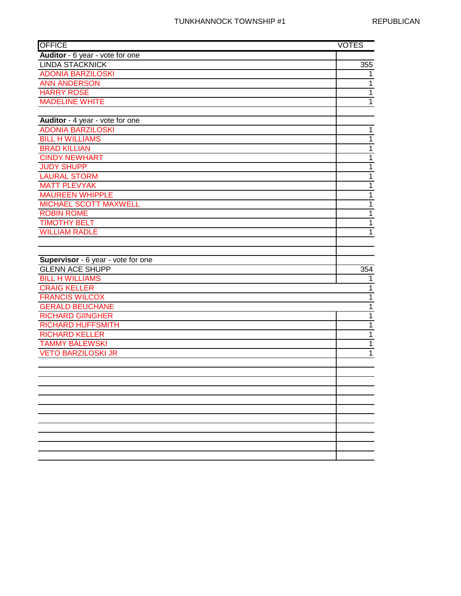| <b>OFFICE</b>                      | <b>VOTES</b>   |
|------------------------------------|----------------|
| Auditor - 6 year - vote for one    |                |
| <b>LINDA STACKNICK</b>             | 355            |
| <b>ADONIA BARZILOSKI</b>           | 1              |
| <b>ANN ANDERSON</b>                | $\overline{1}$ |
| <b>HARRY ROSE</b>                  | $\overline{1}$ |
| <b>MADELINE WHITE</b>              | $\overline{1}$ |
|                                    |                |
| Auditor - 4 year - vote for one    |                |
| <b>ADONIA BARZILOSKI</b>           | $\mathbf{1}$   |
| <b>BILL H WILLIAMS</b>             | $\overline{1}$ |
| <b>BRAD KILLIAN</b>                | $\overline{1}$ |
| <b>CINDY NEWHART</b>               | $\overline{1}$ |
| <b>JUDY SHUPP</b>                  | $\mathbf{1}$   |
| <b>LAURAL STORM</b>                | $\mathbf{1}$   |
| <b>MATT PLEVYAK</b>                | $\mathbf{1}$   |
| <b>MAUREEN WHIPPLE</b>             | $\mathbf 1$    |
| <b>MICHAEL SCOTT MAXWELL</b>       | $\mathbf 1$    |
| <b>ROBIN ROME</b>                  | $\mathbf 1$    |
| <b>TIMOTHY BELT</b>                | $\mathbf 1$    |
| <b>WILLIAM RADLE</b>               | $\overline{1}$ |
|                                    |                |
|                                    |                |
| Supervisor - 6 year - vote for one |                |
| <b>GLENN ACE SHUPP</b>             | 354            |
| <b>BILL H WILLIAMS</b>             | 1              |
| <b>CRAIG KELLER</b>                | $\mathbf 1$    |
| <b>FRANCIS WILCOX</b>              | $\overline{1}$ |
| <b>GERALD BEUCHANE</b>             | $\overline{1}$ |
| <b>RICHARD GIINGHER</b>            | $\overline{1}$ |
| <b>RICHARD HUFFSMITH</b>           | $\mathbf{1}$   |
| <b>RICHARD KELLER</b>              | $\overline{1}$ |
| <b>TAMMY BALEWSKI</b>              | $\overline{1}$ |
| <b>VETO BARZILOSKI JR</b>          | $\mathbf 1$    |
|                                    |                |
|                                    |                |
|                                    |                |
|                                    |                |
|                                    |                |
|                                    |                |
|                                    |                |
|                                    |                |
|                                    |                |
|                                    |                |
|                                    |                |
|                                    |                |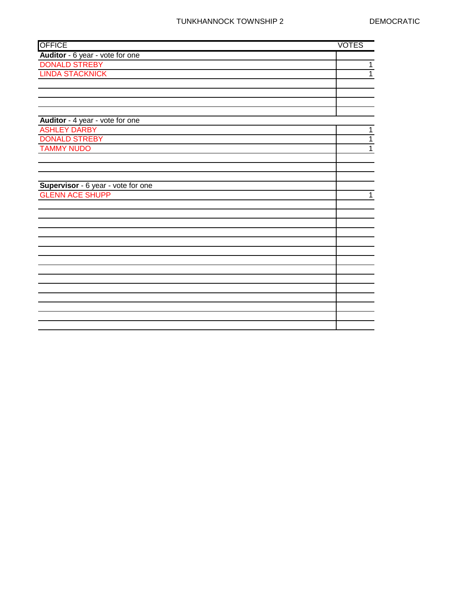| <b>OFFICE</b>                                         | <b>VOTES</b> |
|-------------------------------------------------------|--------------|
| Auditor - 6 year - vote for one                       |              |
| <b>DONALD STREBY</b>                                  | 1            |
| <b>LINDA STACKNICK</b>                                | 1            |
|                                                       |              |
|                                                       |              |
|                                                       |              |
|                                                       |              |
| Auditor - 4 year - vote for one                       |              |
| <b>ASHLEY DARBY</b>                                   | $\mathbf{1}$ |
| <b>DONALD STREBY</b>                                  | $\mathbf{1}$ |
| <b>TAMMY NUDO</b>                                     | $\mathbf{1}$ |
|                                                       |              |
|                                                       |              |
|                                                       |              |
| Supervisor - 6 year - vote for one<br>GLENN ACE SHUPP |              |
|                                                       | $\mathbf{1}$ |
|                                                       |              |
|                                                       |              |
|                                                       |              |
|                                                       |              |
|                                                       |              |
|                                                       |              |
|                                                       |              |
|                                                       |              |
|                                                       |              |
|                                                       |              |
|                                                       |              |
|                                                       |              |
|                                                       |              |
|                                                       |              |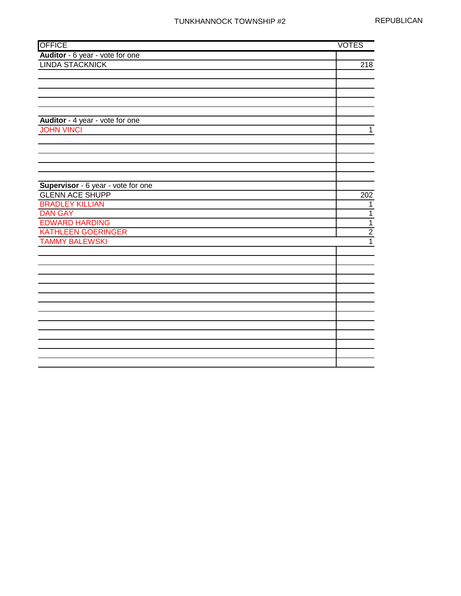| <b>OFFICE</b>                      | <b>VOTES</b>     |
|------------------------------------|------------------|
| Auditor - 6 year - vote for one    |                  |
| <b>LINDA STACKNICK</b>             | $\overline{218}$ |
|                                    |                  |
|                                    |                  |
|                                    |                  |
|                                    |                  |
|                                    |                  |
| Auditor - 4 year - vote for one    |                  |
| <b>JOHN VINCI</b>                  | $\mathbf 1$      |
|                                    |                  |
|                                    |                  |
|                                    |                  |
|                                    |                  |
|                                    |                  |
| Supervisor - 6 year - vote for one |                  |
| <b>GLENN ACE SHUPP</b>             | 202              |
| <b>BRADLEY KILLIAN</b>             | 1                |
| <b>DAN GAY</b>                     | $\mathbf{1}$     |
| <b>EDWARD HARDING</b>              | $\overline{1}$   |
| <b>KATHLEEN GOERINGER</b>          | $\overline{2}$   |
| <b>TAMMY BALEWSKI</b>              | $\overline{1}$   |
|                                    |                  |
|                                    |                  |
|                                    |                  |
|                                    |                  |
|                                    |                  |
|                                    |                  |
|                                    |                  |
|                                    |                  |
|                                    |                  |
|                                    |                  |
|                                    |                  |
|                                    |                  |
|                                    |                  |
|                                    |                  |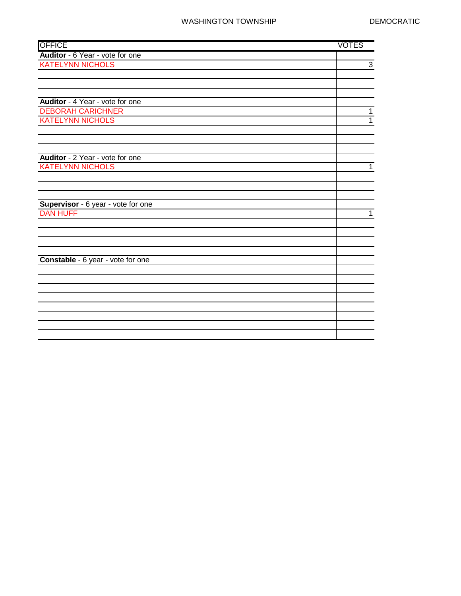| <b>OFFICE</b>                      | <b>VOTES</b>   |
|------------------------------------|----------------|
| Auditor - 6 Year - vote for one    |                |
| <b>KATELYNN NICHOLS</b>            | $\overline{3}$ |
|                                    |                |
|                                    |                |
|                                    |                |
| Auditor - 4 Year - vote for one    |                |
| <b>DEBORAH CARICHNER</b>           | 1              |
| <b>KATELYNN NICHOLS</b>            | $\overline{1}$ |
|                                    |                |
|                                    |                |
|                                    |                |
| Auditor - 2 Year - vote for one    |                |
| <b>KATELYNN NICHOLS</b>            | $\mathbf{1}$   |
|                                    |                |
|                                    |                |
|                                    |                |
| Supervisor - 6 year - vote for one |                |
| <b>DAN HUFF</b>                    | 1              |
|                                    |                |
|                                    |                |
|                                    |                |
|                                    |                |
| Constable - 6 year - vote for one  |                |
|                                    |                |
|                                    |                |
|                                    |                |
|                                    |                |
|                                    |                |
|                                    |                |
|                                    |                |
|                                    |                |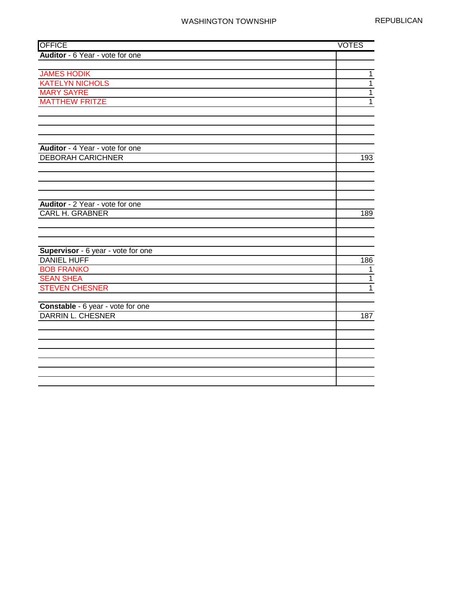| <b>OFFICE</b>                      | <b>VOTES</b>   |
|------------------------------------|----------------|
| Auditor - 6 Year - vote for one    |                |
|                                    |                |
| <b>JAMES HODIK</b>                 | $\overline{1}$ |
| <b>KATELYN NICHOLS</b>             | $\mathbf{1}$   |
| <b>MARY SAYRE</b>                  | $\mathbf{1}$   |
| <b>MATTHEW FRITZE</b>              | $\overline{1}$ |
|                                    |                |
|                                    |                |
|                                    |                |
|                                    |                |
| Auditor - 4 Year - vote for one    |                |
| <b>DEBORAH CARICHNER</b>           | 193            |
|                                    |                |
|                                    |                |
|                                    |                |
|                                    |                |
| Auditor - 2 Year - vote for one    |                |
| <b>CARL H. GRABNER</b>             | 189            |
|                                    |                |
|                                    |                |
|                                    |                |
| Supervisor - 6 year - vote for one |                |
| <b>DANIEL HUFF</b>                 | 186            |
| <b>BOB FRANKO</b>                  | $\mathbf{1}$   |
| <b>SEAN SHEA</b>                   | $\mathbf{1}$   |
| <b>STEVEN CHESNER</b>              | $\overline{1}$ |
|                                    |                |
| Constable - 6 year - vote for one  |                |
| DARRIN L. CHESNER                  | 187            |
|                                    |                |
|                                    |                |
|                                    |                |
|                                    |                |
|                                    |                |
|                                    |                |
|                                    |                |
|                                    |                |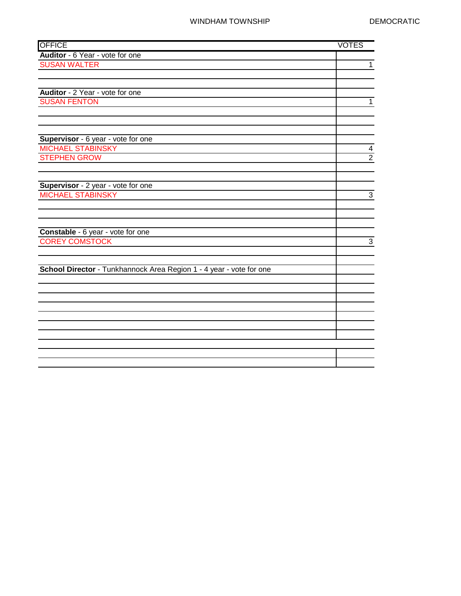| <b>OFFICE</b>                                                       | <b>VOTES</b>                              |
|---------------------------------------------------------------------|-------------------------------------------|
| Auditor - 6 Year - vote for one                                     |                                           |
| <b>SUSAN WALTER</b>                                                 | $\overline{1}$                            |
|                                                                     |                                           |
|                                                                     |                                           |
| Auditor - 2 Year - vote for one                                     |                                           |
| <b>SUSAN FENTON</b>                                                 | $\mathbf 1$                               |
|                                                                     |                                           |
|                                                                     |                                           |
|                                                                     |                                           |
| Supervisor - 6 year - vote for one                                  |                                           |
| <b>MICHAEL STABINSKY</b>                                            | $\overline{\mathbf{4}}$<br>$\overline{2}$ |
| <b>STEPHEN GROW</b>                                                 |                                           |
|                                                                     |                                           |
| Supervisor - 2 year - vote for one                                  |                                           |
| <b>MICHAEL STABINSKY</b>                                            | $\overline{3}$                            |
|                                                                     |                                           |
|                                                                     |                                           |
|                                                                     |                                           |
| Constable - 6 year - vote for one                                   |                                           |
| <b>COREY COMSTOCK</b>                                               | $\overline{3}$                            |
|                                                                     |                                           |
|                                                                     |                                           |
| School Director - Tunkhannock Area Region 1 - 4 year - vote for one |                                           |
|                                                                     |                                           |
|                                                                     |                                           |
|                                                                     |                                           |
|                                                                     |                                           |
|                                                                     |                                           |
|                                                                     |                                           |
|                                                                     |                                           |
|                                                                     |                                           |
|                                                                     |                                           |
|                                                                     |                                           |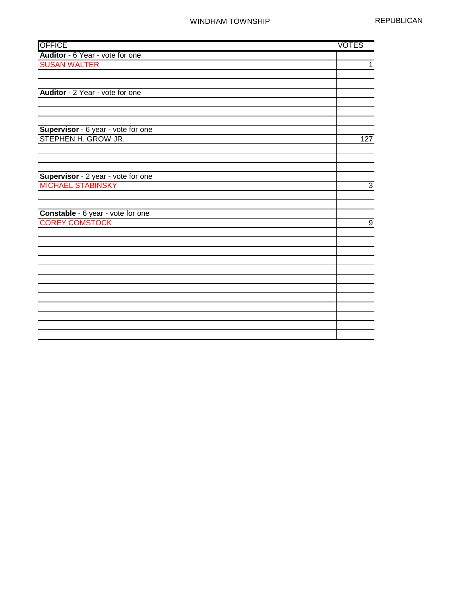| <b>OFFICE</b>                      | <b>VOTES</b>     |
|------------------------------------|------------------|
| Auditor - 6 Year - vote for one    |                  |
| <b>SUSAN WALTER</b>                | $\overline{1}$   |
|                                    |                  |
|                                    |                  |
| Auditor - 2 Year - vote for one    |                  |
|                                    |                  |
|                                    |                  |
|                                    |                  |
| Supervisor - 6 year - vote for one |                  |
| STEPHEN H. GROW JR.                | 127              |
|                                    |                  |
|                                    |                  |
| Supervisor - 2 year - vote for one |                  |
| <b>MICHAEL STABINSKY</b>           | $\overline{3}$   |
|                                    |                  |
|                                    |                  |
| Constable - 6 year - vote for one  |                  |
| <b>COREY COMSTOCK</b>              | $\boldsymbol{9}$ |
|                                    |                  |
|                                    |                  |
|                                    |                  |
|                                    |                  |
|                                    |                  |
|                                    |                  |
|                                    |                  |
|                                    |                  |
|                                    |                  |
|                                    |                  |
|                                    |                  |
|                                    |                  |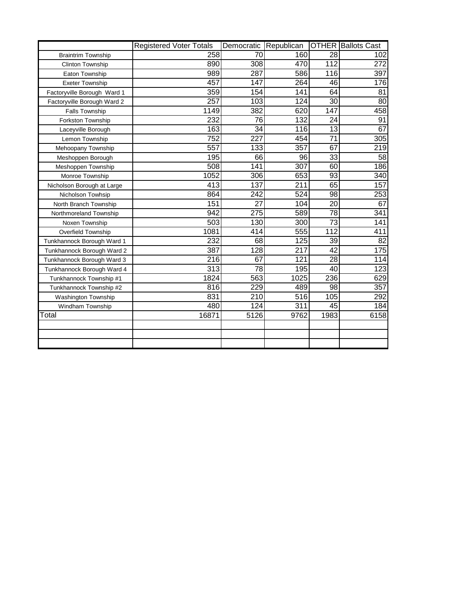|                             | <b>Registered Voter Totals</b> | Democratic       | Republican       |                 | <b>OTHER</b> Ballots Cast |
|-----------------------------|--------------------------------|------------------|------------------|-----------------|---------------------------|
| <b>Braintrim Township</b>   | 258                            | 70               | 160              | 28              | 102                       |
| <b>Clinton Township</b>     | 890                            | 308              | 470              | 112             | 272                       |
| Eaton Township              | 989                            | 287              | 586              | 116             | 397                       |
| <b>Exeter Township</b>      | 457                            | 147              | 264              | 46              | 176                       |
| Factoryville Borough Ward 1 | 359                            | 154              | $\overline{141}$ | 64              | 81                        |
| Factoryville Borough Ward 2 | 257                            | 103              | 124              | 30              | 80                        |
| <b>Falls Township</b>       | 1149                           | 382              | 620              | 147             | 458                       |
| Forkston Township           | $\overline{232}$               | 76               | 132              | 24              | 91                        |
| Laceyville Borough          | 163                            | 34               | 116              | 13              | 67                        |
| Lemon Township              | $\overline{752}$               | 227              | 454              | 71              | 305                       |
| Mehoopany Township          | 557                            | 133              | 357              | 67              | 219                       |
| Meshoppen Borough           | 195                            | 66               | 96               | 33              | 58                        |
| Meshoppen Township          | 508                            | 141              | 307              | 60              | 186                       |
| Monroe Township             | 1052                           | 306              | 653              | 93              | 340                       |
| Nicholson Borough at Large  | 413                            | 137              | 211              | 65              | 157                       |
| Nicholson Towhsip           | 864                            | 242              | 524              | 98              | 253                       |
| North Branch Township       | 151                            | 27               | 104              | 20              | 67                        |
| Northmoreland Township      | 942                            | $\overline{275}$ | 589              | $\overline{78}$ | 341                       |
| Noxen Township              | 503                            | 130              | 300              | 73              | 141                       |
| Overfield Township          | 1081                           | 414              | 555              | 112             | 411                       |
| Tunkhannock Borough Ward 1  | 232                            | 68               | 125              | 39              | 82                        |
| Tunkhannock Borough Ward 2  | 387                            | 128              | 217              | $\overline{42}$ | $\overline{175}$          |
| Tunkhannock Borough Ward 3  | 216                            | 67               | 121              | $\overline{28}$ | 114                       |
| Tunkhannock Borough Ward 4  | 313                            | 78               | 195              | 40              | 123                       |
| Tunkhannock Township #1     | 1824                           | 563              | 1025             | 236             | 629                       |
| Tunkhannock Township #2     | 816                            | 229              | 489              | $\overline{98}$ | 357                       |
| Washington Township         | 831                            | 210              | 516              | 105             | 292                       |
| Windham Township            | 480                            | 124              | 311              | 45              | 184                       |
| Total                       | 16871                          | 5126             | 9762             | 1983            | 6158                      |
|                             |                                |                  |                  |                 |                           |
|                             |                                |                  |                  |                 |                           |
|                             |                                |                  |                  |                 |                           |